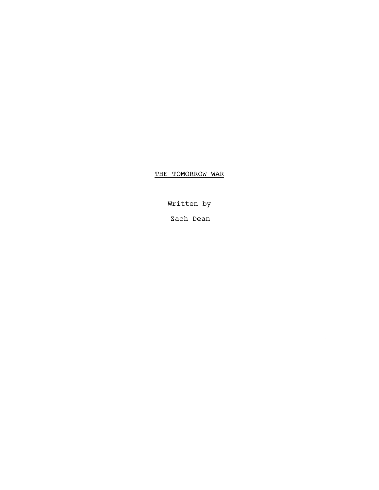# THE TOMORROW WAR

Written by

Zach Dean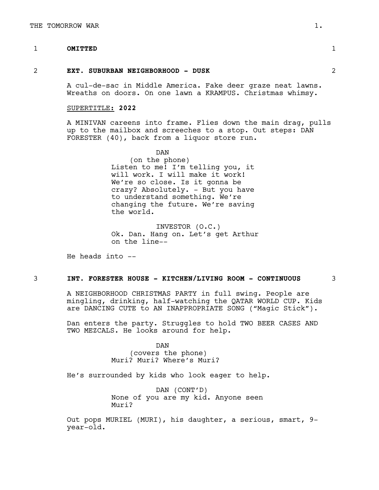# 1 **OMITTED** 1

#### 2 **EXT. SUBURBAN NEIGHBORHOOD - DUSK** 2

A cul-de-sac in Middle America. Fake deer graze neat lawns. Wreaths on doors. On one lawn a KRAMPUS. Christmas whimsy.

#### SUPERTITLE: **2022**

A MINIVAN careens into frame. Flies down the main drag, pulls up to the mailbox and screeches to a stop. Out steps: DAN FORESTER (40), back from a liquor store run.

> DAN (on the phone) Listen to me! I'm telling you, it will work. I will make it work! We're so close. Is it gonna be crazy? Absolutely. - But you have to understand something. We're changing the future. We're saving the world.

INVESTOR (O.C.) Ok. Dan. Hang on. Let's get Arthur on the line--

He heads into  $-$ 

# 3 **INT. FORESTER HOUSE - KITCHEN/LIVING ROOM - CONTINUOUS** 3

A NEIGHBORHOOD CHRISTMAS PARTY in full swing. People are mingling, drinking, half-watching the QATAR WORLD CUP. Kids are DANCING CUTE to AN INAPPROPRIATE SONG ("Magic Stick").

Dan enters the party. Struggles to hold TWO BEER CASES AND TWO MEZCALS. He looks around for help.

> DAN (covers the phone) Muri? Muri? Where's Muri?

He's surrounded by kids who look eager to help.

DAN (CONT'D) None of you are my kid. Anyone seen Muri?

Out pops MURIEL (MURI), his daughter, a serious, smart, 9 year-old.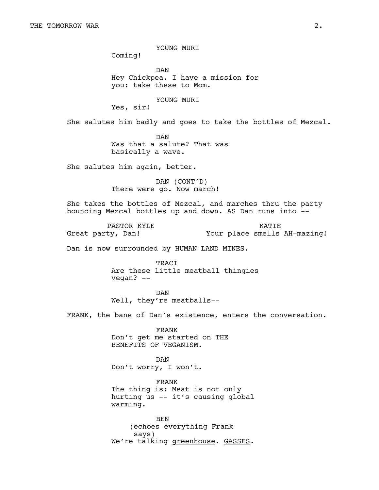YOUNG MURI

Coming!

DAN Hey Chickpea. I have a mission for you: take these to Mom.

YOUNG MURI

Yes, sir!

She salutes him badly and goes to take the bottles of Mezcal.

DAN Was that a salute? That was basically a wave.

She salutes him again, better.

DAN (CONT'D) There were go. Now march!

She takes the bottles of Mezcal, and marches thru the party bouncing Mezcal bottles up and down. AS Dan runs into --

PASTOR KYLE Great party, Dan! **KATTE** Your place smells AH-mazing!

Dan is now surrounded by HUMAN LAND MINES.

TRACI Are these little meatball thingies vegan? --

DAN Well, they're meatballs--

FRANK, the bane of Dan's existence, enters the conversation.

FRANK Don't get me started on THE BENEFITS OF VEGANISM.

DAN Don't worry, I won't.

FRANK The thing is: Meat is not only hurting us -- it's causing global warming.

BEN (echoes everything Frank says) We're talking greenhouse. GASSES.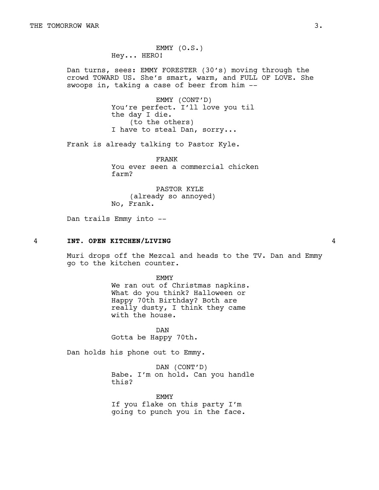EMMY (O.S.) Hey... HERO!

Dan turns, sees: EMMY FORESTER (30's) moving through the crowd TOWARD US. She's smart, warm, and FULL OF LOVE. She swoops in, taking a case of beer from him --

> EMMY (CONT'D) You're perfect. I'll love you til the day I die. (to the others) I have to steal Dan, sorry...

Frank is already talking to Pastor Kyle.

FRANK You ever seen a commercial chicken farm?

PASTOR KYLE (already so annoyed) No, Frank.

Dan trails Emmy into --

#### 4 **INT. OPEN KITCHEN/LIVING** 4

Muri drops off the Mezcal and heads to the TV. Dan and Emmy go to the kitchen counter.

> EMMY We ran out of Christmas napkins. What do you think? Halloween or Happy 70th Birthday? Both are really dusty, I think they came with the house.

DAN Gotta be Happy 70th.

Dan holds his phone out to Emmy.

DAN (CONT'D) Babe. I'm on hold. Can you handle this?

EMMY If you flake on this party I'm going to punch you in the face.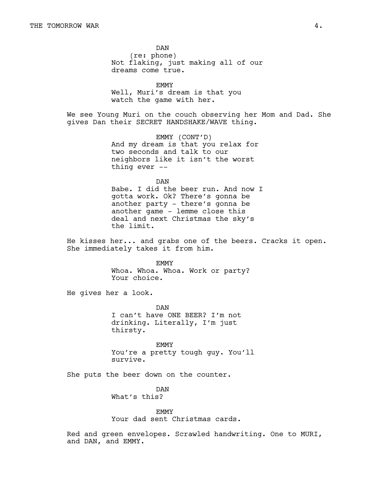DAN (re: phone) Not flaking, just making all of our dreams come true.

EMMY Well, Muri's dream is that you watch the game with her.

We see Young Muri on the couch observing her Mom and Dad. She gives Dan their SECRET HANDSHAKE/WAVE thing.

> EMMY (CONT'D) And my dream is that you relax for two seconds and talk to our neighbors like it isn't the worst thing ever --

> > DAN

Babe. I did the beer run. And now I gotta work. Ok? There's gonna be another party - there's gonna be another game - lemme close this deal and next Christmas the sky's the limit.

He kisses her... and grabs one of the beers. Cracks it open. She immediately takes it from him.

> EMMY Whoa. Whoa. Whoa. Work or party? Your choice.

He gives her a look.

DAN I can't have ONE BEER? I'm not drinking. Literally, I'm just thirsty.

EMMY You're a pretty tough guy. You'll survive.

She puts the beer down on the counter.

DAN What's this?

EMMY

Your dad sent Christmas cards.

Red and green envelopes. Scrawled handwriting. One to MURI, and DAN, and EMMY.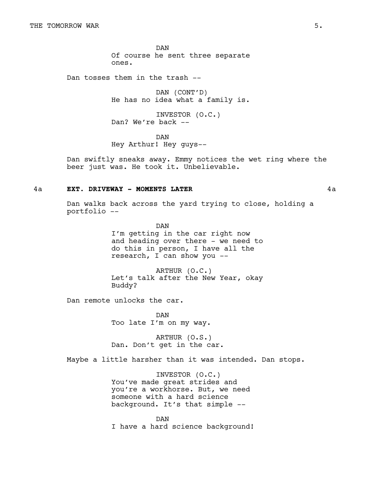DAN Of course he sent three separate ones.

Dan tosses them in the trash --

DAN (CONT'D) He has no idea what a family is.

INVESTOR (O.C.) Dan? We're back --

DAN Hey Arthur! Hey guys--

Dan swiftly sneaks away. Emmy notices the wet ring where the beer just was. He took it. Unbelievable.

### 4a **EXT. DRIVEWAY - MOMENTS LATER** 4a

Dan walks back across the yard trying to close, holding a portfolio --

> DAN I'm getting in the car right now and heading over there - we need to do this in person, I have all the research, I can show you --

> ARTHUR (O.C.) Let's talk after the New Year, okay Buddy?

Dan remote unlocks the car.

DAN Too late I'm on my way.

ARTHUR (O.S.) Dan. Don't get in the car.

Maybe a little harsher than it was intended. Dan stops.

INVESTOR (O.C.) You've made great strides and you're a workhorse. But, we need someone with a hard science background. It's that simple --

DAN I have a hard science background!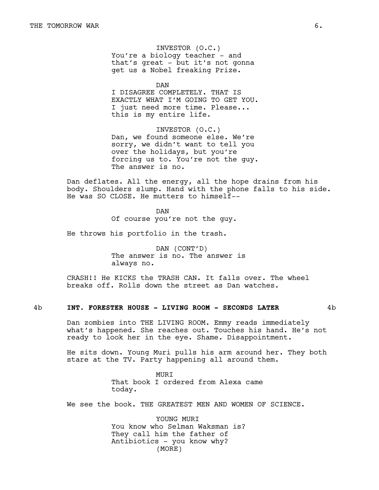INVESTOR (O.C.) You're a biology teacher - and that's great - but it's not gonna get us a Nobel freaking Prize.

DAN

I DISAGREE COMPLETELY. THAT IS EXACTLY WHAT I'M GOING TO GET YOU. I just need more time. Please... this is my entire life.

INVESTOR (O.C.) Dan, we found someone else. We're sorry, we didn't want to tell you over the holidays, but you're forcing us to. You're not the guy. The answer is no.

Dan deflates. All the energy, all the hope drains from his body. Shoulders slump. Hand with the phone falls to his side. He was SO CLOSE. He mutters to himself--

> DAN Of course you're not the guy.

He throws his portfolio in the trash.

DAN (CONT'D) The answer is no. The answer is always no.

CRASH!! He KICKS the TRASH CAN. It falls over. The wheel breaks off. Rolls down the street as Dan watches.

#### 4b **INT. FORESTER HOUSE - LIVING ROOM - SECONDS LATER** 4b

Dan zombies into THE LIVING ROOM. Emmy reads immediately what's happened. She reaches out. Touches his hand. He's not ready to look her in the eye. Shame. Disappointment.

He sits down. Young Muri pulls his arm around her. They both stare at the TV. Party happening all around them.

> **MURT** That book I ordered from Alexa came today.

We see the book. THE GREATEST MEN AND WOMEN OF SCIENCE.

YOUNG MURI You know who Selman Waksman is? They call him the father of Antibiotics - you know why? (MORE)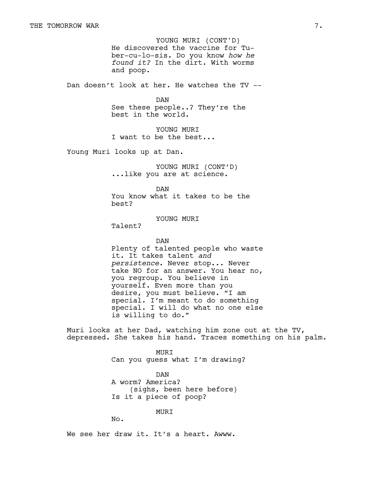He discovered the vaccine for Tuber-cu-lo-sis. Do you know *how he found it?* In the dirt. With worms and poop. YOUNG MURI (CONT'D)

Dan doesn't look at her. He watches the TV --

DAN See these people..? They're the best in the world.

YOUNG MURI I want to be the best...

Young Muri looks up at Dan.

YOUNG MURI (CONT'D) ...like you are at science.

DAN You know what it takes to be the best?

YOUNG MURI

Talent?

DAN Plenty of talented people who waste it. It takes talent *and persistence*. Never stop... Never take NO for an answer. You hear no, you regroup. You believe in yourself. Even more than you desire, you must believe. "I am special. I'm meant to do something special. I will do what no one else is willing to do."

Muri looks at her Dad, watching him zone out at the TV, depressed. She takes his hand. Traces something on his palm.

> MURI Can you guess what I'm drawing?

DAN A worm? America? (sighs, been here before) Is it a piece of poop?

MURI

No.

We see her draw it. It's a heart. Awww.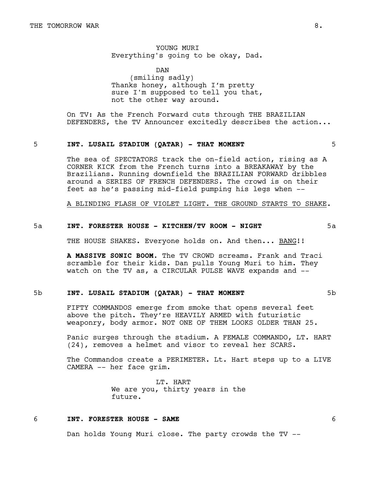YOUNG MURI Everything's going to be okay, Dad.

DAN (smiling sadly) Thanks honey, although I'm pretty sure I'm supposed to tell you that, not the other way around.

On TV: As the French Forward cuts through THE BRAZILIAN DEFENDERS, the TV Announcer excitedly describes the action...

#### 5 **INT. LUSAIL STADIUM (QATAR) - THAT MOMENT** 5

The sea of SPECTATORS track the on-field action, rising as A CORNER KICK from the French turns into a BREAKAWAY by the Brazilians. Running downfield the BRAZILIAN FORWARD dribbles around a SERIES OF FRENCH DEFENDERS. The crowd is on their feet as he's passing mid-field pumping his legs when --

A BLINDING FLASH OF VIOLET LIGHT. THE GROUND STARTS TO SHAKE.

# 5a **INT. FORESTER HOUSE - KITCHEN/TV ROOM - NIGHT** 5a

THE HOUSE SHAKES. Everyone holds on. And then... BANG!!

**A MASSIVE SONIC BOOM**. The TV CROWD screams. Frank and Traci scramble for their kids. Dan pulls Young Muri to him. They watch on the TV as, a CIRCULAR PULSE WAVE expands and --

### 5b **INT. LUSAIL STADIUM (QATAR) - THAT MOMENT** 5b

FIFTY COMMANDOS emerge from smoke that opens several feet above the pitch. They're HEAVILY ARMED with futuristic weaponry, body armor. NOT ONE OF THEM LOOKS OLDER THAN 25.

Panic surges through the stadium. A FEMALE COMMANDO, LT. HART (24), removes a helmet and visor to reveal her SCARS.

The Commandos create a PERIMETER. Lt. Hart steps up to a LIVE CAMERA -- her face grim.

> LT. HART We are you, thirty years in the future.

# 6 **INT. FORESTER HOUSE - SAME** 6

Dan holds Young Muri close. The party crowds the TV --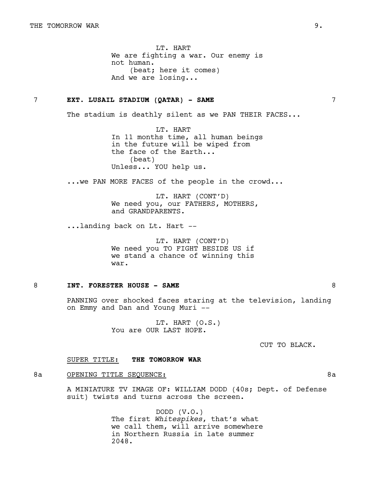LT. HART We are fighting a war. Our enemy is not human. (beat; here it comes) And we are losing...

### 7 **EXT. LUSAIL STADIUM (QATAR) - SAME** 7

The stadium is deathly silent as we PAN THEIR FACES...

LT. HART In 11 months time, all human beings in the future will be wiped from the face of the Earth... (beat) Unless... YOU help us.

...we PAN MORE FACES of the people in the crowd...

LT. HART (CONT'D) We need you, our FATHERS, MOTHERS, and GRANDPARENTS.

...landing back on Lt. Hart --

LT. HART (CONT'D) We need you TO FIGHT BESIDE US if we stand a chance of winning this war.

### 8 **INT. FORESTER HOUSE - SAME** 8

PANNING over shocked faces staring at the television, landing on Emmy and Dan and Young Muri --

> LT. HART (O.S.) You are OUR LAST HOPE.

> > CUT TO BLACK.

### SUPER TITLE: **THE TOMORROW WAR**

### 8a OPENING TITLE SEQUENCE: 8a

A MINIATURE TV IMAGE OF: WILLIAM DODD (40s; Dept. of Defense suit) twists and turns across the screen.

> DODD (V.O.) The first *Whitespikes*, that's what we call them, will arrive somewhere in Northern Russia in late summer 2048.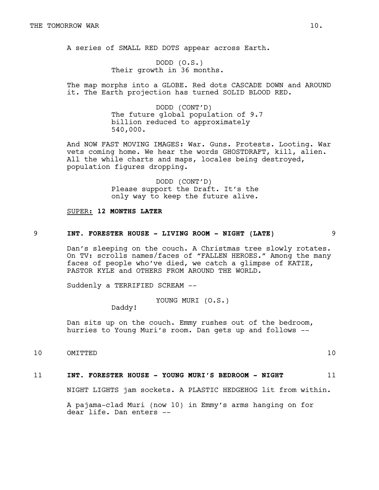A series of SMALL RED DOTS appear across Earth.

DODD (O.S.) Their growth in 36 months.

The map morphs into a GLOBE. Red dots CASCADE DOWN and AROUND it. The Earth projection has turned SOLID BLOOD RED.

> DODD (CONT'D) The future global population of 9.7 billion reduced to approximately 540,000.

And NOW FAST MOVING IMAGES: War. Guns. Protests. Looting. War vets coming home. We hear the words GHOSTDRAFT, kill, alien. All the while charts and maps, locales being destroyed, population figures dropping.

> DODD (CONT'D) Please support the Draft. It's the only way to keep the future alive.

#### SUPER: **12 MONTHS LATER**

# 9 **INT. FORESTER HOUSE - LIVING ROOM - NIGHT (LATE)** 9

Dan's sleeping on the couch. A Christmas tree slowly rotates. On TV: scrolls names/faces of "FALLEN HEROES." Among the many faces of people who've died, we catch a glimpse of KATIE, PASTOR KYLE and OTHERS FROM AROUND THE WORLD.

Suddenly a TERRIFIED SCREAM --

YOUNG MURI (O.S.)

Daddy!

Dan sits up on the couch. Emmy rushes out of the bedroom, hurries to Young Muri's room. Dan gets up and follows --

10 OMITTED 10

### 11 **INT. FORESTER HOUSE - YOUNG MURI'S BEDROOM - NIGHT** 11

NIGHT LIGHTS jam sockets. A PLASTIC HEDGEHOG lit from within.

A pajama-clad Muri (now 10) in Emmy's arms hanging on for dear life. Dan enters --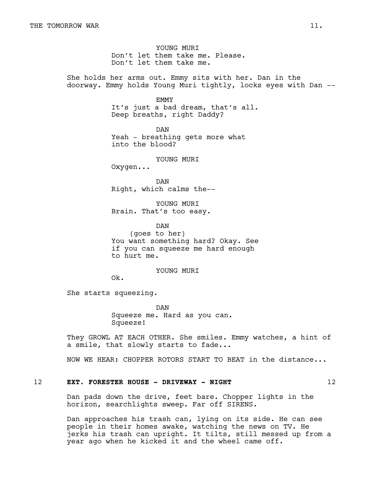YOUNG MURT Don't let them take me. Please. Don't let them take me.

She holds her arms out. Emmy sits with her. Dan in the doorway. Emmy holds Young Muri tightly, locks eyes with Dan --

EMMY

It's just a bad dream, that's all. Deep breaths, right Daddy?

DAN Yeah - breathing gets more what into the blood?

YOUNG MURI

Oxygen...

DAN Right, which calms the--

YOUNG MURI Brain. That's too easy.

DAN (goes to her) You want something hard? Okay. See if you can squeeze me hard enough to hurt me.

YOUNG MURI

Ok.

She starts squeezing.

DAN Squeeze me. Hard as you can. Squeeze!

They GROWL AT EACH OTHER. She smiles. Emmy watches, a hint of a smile, that slowly starts to fade...

NOW WE HEAR: CHOPPER ROTORS START TO BEAT in the distance...

# 12 **EXT. FORESTER HOUSE - DRIVEWAY - NIGHT** 12

Dan pads down the drive, feet bare. Chopper lights in the horizon, searchlights sweep. Far off SIRENS.

Dan approaches his trash can, lying on its side. He can see people in their homes awake, watching the news on TV. He jerks his trash can upright. It tilts, still messed up from a year ago when he kicked it and the wheel came off.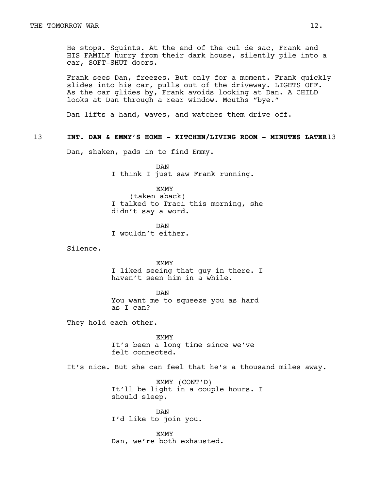He stops. Squints. At the end of the cul de sac, Frank and HIS FAMILY hurry from their dark house, silently pile into a car, SOFT-SHUT doors.

Frank sees Dan, freezes. But only for a moment. Frank quickly slides into his car, pulls out of the driveway. LIGHTS OFF. As the car glides by, Frank avoids looking at Dan. A CHILD looks at Dan through a rear window. Mouths "bye."

Dan lifts a hand, waves, and watches them drive off.

# 13 **INT. DAN & EMMY'S HOME - KITCHEN/LIVING ROOM - MINUTES LATER**13

Dan, shaken, pads in to find Emmy.

DAN I think I just saw Frank running.

EMMY (taken aback) I talked to Traci this morning, she didn't say a word.

DAN I wouldn't either.

Silence.

EMMY I liked seeing that guy in there. I haven't seen him in a while.

DAN You want me to squeeze you as hard as I can?

They hold each other.

EMMY It's been a long time since we've felt connected.

It's nice. But she can feel that he's a thousand miles away.

EMMY (CONT'D) It'll be light in a couple hours. I should sleep.

DAN I'd like to join you.

EMMY Dan, we're both exhausted.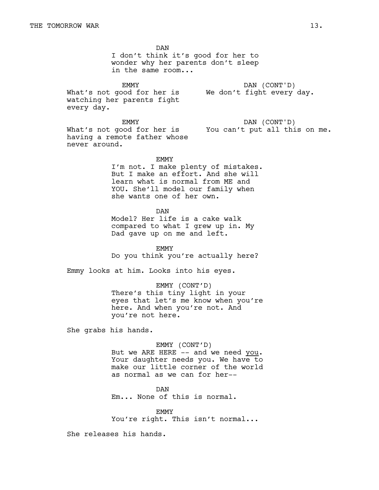DAN I don't think it's good for her to wonder why her parents don't sleep in the same room... EMMY What's not good for her is We don't fight every day. watching her parents fight every day. DAN (CONT'D) EMMY What's not good for her is You can't put all this on me. having a remote father whose never around. DAN (CONT'D) EMMY I'm not. I make plenty of mistakes. But I make an effort. And she will learn what is normal from ME and YOU. She'll model our family when she wants one of her own. DAN Model? Her life is a cake walk compared to what I grew up in. My Dad gave up on me and left. EMMY Do you think you're actually here? Emmy looks at him. Looks into his eyes. EMMY (CONT'D) There's this tiny light in your eyes that let's me know when you're here. And when you're not. And you're not here. She grabs his hands. EMMY (CONT'D) But we ARE HERE -- and we need you. Your daughter needs you. We have to make our little corner of the world as normal as we can for her-- DAN

Em... None of this is normal.

EMMY

You're right. This isn't normal...

She releases his hands.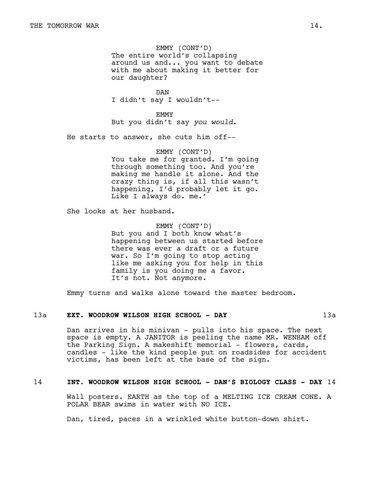EMMY (CONT'D) The entire world's collapsing around us and... you want to debate with me about making it better for our daughter?

DAN I didn't say I wouldn't--

EMMY But you didn't say *you would*.

He starts to answer, she cuts him off--

EMMY (CONT'D) You take me for granted. I'm going through something too. And you're making me handle it alone. And the crazy thing is, if all this wasn't happening, I'd probably let it go. Like I always do. me.'

She looks at her husband.

EMMY (CONT'D) But you and I both know what's happening between us started before there was ever a draft or a future war. So I'm going to stop acting like me asking you for help in this family is you doing me a favor. It's not. Not anymore.

Emmy turns and walks alone toward the master bedroom.

#### 13a **EXT. WOODROW WILSON HIGH SCHOOL - DAY** 13a

Dan arrives in his minivan - pulls into his space. The next space is empty. A JANITOR is peeling the name MR. WENHAM off the Parking Sign. A makeshift memorial - flowers, cards, candles - like the kind people put on roadsides for accident victims, has been left at the base of the sign.

# 14 **INT. WOODROW WILSON HIGH SCHOOL - DAN'S BIOLOGY CLASS - DAY** 14

Wall posters. EARTH as the top of a MELTING ICE CREAM CONE. A POLAR BEAR swims in water with NO ICE.

Dan, tired, paces in a wrinkled white button-down shirt.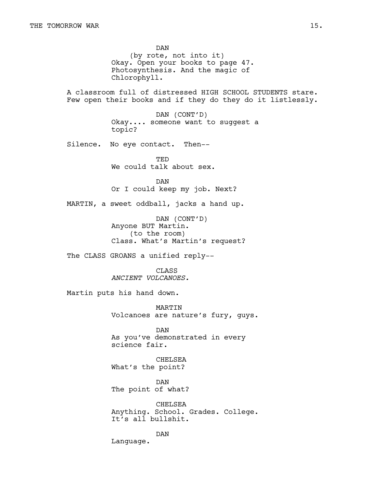DAN (by rote, not into it) Okay. Open your books to page 47. Photosynthesis. And the magic of Chlorophyll. A classroom full of distressed HIGH SCHOOL STUDENTS stare. Few open their books and if they do they do it listlessly. DAN (CONT'D) Okay.... someone want to suggest a topic? Silence. No eye contact. Then-- TED We could talk about sex. DAN Or I could keep my job. Next? MARTIN, a sweet oddball, jacks a hand up. DAN (CONT'D) Anyone BUT Martin. (to the room) Class. What's Martin's request? The CLASS GROANS a unified reply-- CLASS *ANCIENT VOLCANOES.* Martin puts his hand down. MARTIN Volcanoes are nature's fury, guys. DAN As you've demonstrated in every science fair. CHELSEA What's the point? DAN The point of what? CHELSEA Anything. School. Grades. College. It's all bullshit. DAN Language.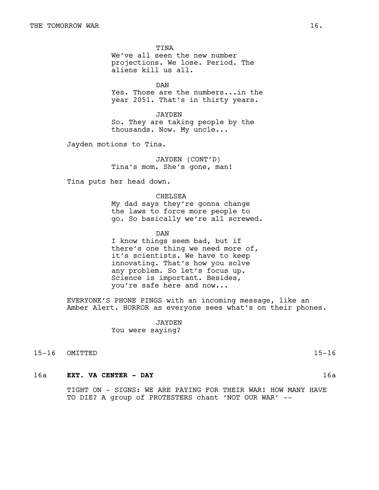TINA We've all seen the new number projections. We lose. Period. The aliens kill us all.

DAN Yes. Those are the numbers...in the year 2051. That's in thirty years.

JAYDEN So. They are taking people by the thousands. Now. My uncle...

Jayden motions to Tina.

JAYDEN (CONT'D) Tina's mom. She's gone, man!

Tina puts her head down.

CHELSEA My dad says they're gonna change the laws to force more people to go. So basically we're all screwed.

DAN

I know things seem bad, but if there's one thing we need more of, it's scientists. We have to keep innovating. That's how you solve any problem. So let's focus up. Science is important. Besides, you're safe here and now...

EVERYONE'S PHONE PINGS with an incoming message, like an Amber Alert. HORROR as everyone sees what's on their phones.

> JAYDEN You were saying?

15-16 OMITTED 15-16

# 16a **EXT. VA CENTER - DAY** 16a

TIGHT ON - SIGNS: WE ARE PAYING FOR THEIR WAR! HOW MANY HAVE TO DIE? A group of PROTESTERS chant 'NOT OUR WAR' --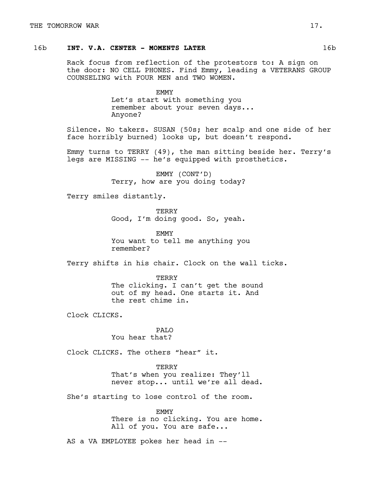# 16b **INT. V.A. CENTER - MOMENTS LATER** 16b

Rack focus from reflection of the protestors to: A sign on the door: NO CELL PHONES. Find Emmy, leading a VETERANS GROUP COUNSELING with FOUR MEN and TWO WOMEN.

> EMMY Let's start with something you remember about your seven days... Anyone?

Silence. No takers. SUSAN (50s; her scalp and one side of her face horribly burned) looks up, but doesn't respond.

Emmy turns to TERRY (49), the man sitting beside her. Terry's legs are MISSING -- he's equipped with prosthetics.

> EMMY (CONT'D) Terry, how are you doing today?

Terry smiles distantly.

**TERRY** Good, I'm doing good. So, yeah.

EMMY You want to tell me anything you remember?

Terry shifts in his chair. Clock on the wall ticks.

**TERRY** The clicking. I can't get the sound out of my head. One starts it. And the rest chime in.

Clock CLICKS.

PALO You hear that?

Clock CLICKS. The others "hear" it.

TERRY That's when you realize: They'll never stop... until we're all dead.

She's starting to lose control of the room.

EMMY There is no clicking. You are home. All of you. You are safe...

AS a VA EMPLOYEE pokes her head in --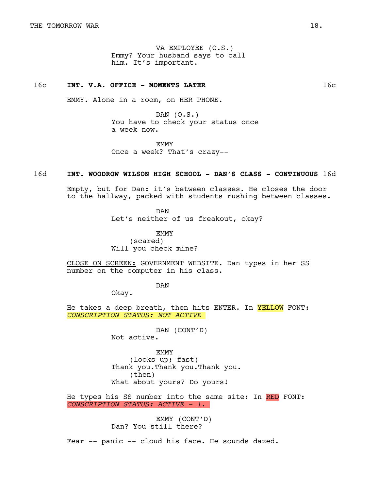VA EMPLOYEE (O.S.) Emmy? Your husband says to call him. It's important.

# 16c **INT. V.A. OFFICE - MOMENTS LATER** 16c

EMMY. Alone in a room, on HER PHONE.

DAN (O.S.) You have to check your status once a week now.

**EMMY** Once a week? That's crazy--

### 16d **INT. WOODROW WILSON HIGH SCHOOL - DAN'S CLASS - CONTINUOUS** 16d

Empty, but for Dan: it's between classes. He closes the door to the hallway, packed with students rushing between classes.

DAN

Let's neither of us freakout, okay?

EMMY (scared) Will you check mine?

CLOSE ON SCREEN: GOVERNMENT WEBSITE. Dan types in her SS number on the computer in his class.

DAN

Okay.

He takes a deep breath, then hits ENTER. In YELLOW FONT: *CONSCRIPTION STATUS: NOT ACTIVE*

> DAN (CONT'D) Not active.

EMMY (looks up; fast) Thank you.Thank you.Thank you. (then) What about yours? Do yours!

He types his SS number into the same site: In RED FONT: *CONSCRIPTION STATUS: ACTIVE - 1.*

> EMMY (CONT'D) Dan? You still there?

Fear -- panic -- cloud his face. He sounds dazed.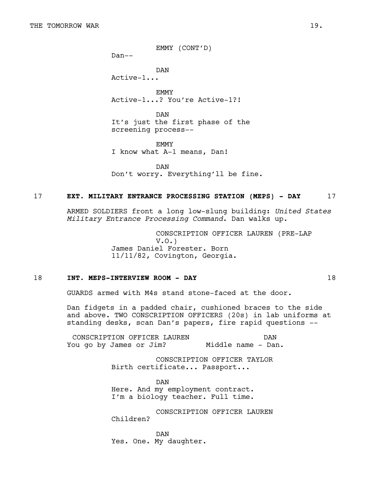EMMY (CONT'D)

Dan--

DAN Active-1...

EMMY Active-1...? You're Active-1?!

DAN It's just the first phase of the screening process--

**EMMY** I know what A-1 means, Dan!

DAN Don't worry. Everything'll be fine.

### 17 **EXT. MILITARY ENTRANCE PROCESSING STATION (MEPS) - DAY** 17

ARMED SOLDIERS front a long low-slung building: *United States Military Entrance Processing Command*. Dan walks up.

> CONSCRIPTION OFFICER LAUREN (PRE-LAP V.O.) James Daniel Forester. Born 11/11/82, Covington, Georgia.

### 18 **INT. MEPS-INTERVIEW ROOM - DAY** 18

GUARDS armed with M4s stand stone-faced at the door.

Dan fidgets in a padded chair, cushioned braces to the side and above. TWO CONSCRIPTION OFFICERS (20s) in lab uniforms at standing desks, scan Dan's papers, fire rapid questions --

CONSCRIPTION OFFICER LAUREN You go by James or Jim? DAN Middle name - Dan.

> CONSCRIPTION OFFICER TAYLOR Birth certificate... Passport...

DAN Here. And my employment contract. I'm a biology teacher. Full time.

CONSCRIPTION OFFICER LAUREN Children?

DAN Yes. One. My daughter.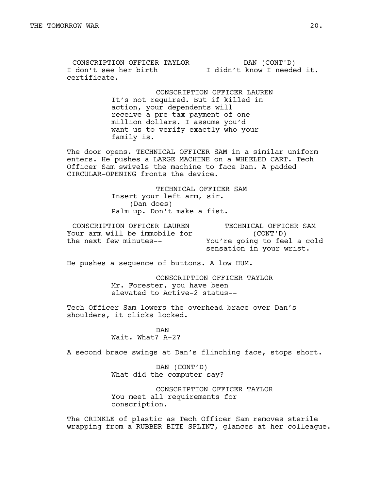CONSCRIPTION OFFICER TAYLOR I don't see her birth certificate. DAN (CONT'D) I didn't know I needed it.

> CONSCRIPTION OFFICER LAUREN It's not required. But if killed in action, your dependents will receive a pre-tax payment of one million dollars. I assume you'd want us to verify exactly who your family is.

The door opens. TECHNICAL OFFICER SAM in a similar uniform enters. He pushes a LARGE MACHINE on a WHEELED CART. Tech Officer Sam swivels the machine to face Dan. A padded CIRCULAR-OPENING fronts the device.

> TECHNICAL OFFICER SAM Insert your left arm, sir. (Dan does) Palm up. Don't make a fist.

CONSCRIPTION OFFICER LAUREN Your arm will be immobile for the next few minutes--

TECHNICAL OFFICER SAM (CONT'D) You're going to feel a cold sensation in your wrist.

He pushes a sequence of buttons. A low HUM.

CONSCRIPTION OFFICER TAYLOR Mr. Forester, you have been elevated to Active-2 status--

Tech Officer Sam lowers the overhead brace over Dan's shoulders, it clicks locked.

> DAN Wait. What? A-2?

A second brace swings at Dan's flinching face, stops short.

DAN (CONT'D) What did the computer say?

CONSCRIPTION OFFICER TAYLOR You meet all requirements for conscription.

The CRINKLE of plastic as Tech Officer Sam removes sterile wrapping from a RUBBER BITE SPLINT, glances at her colleague.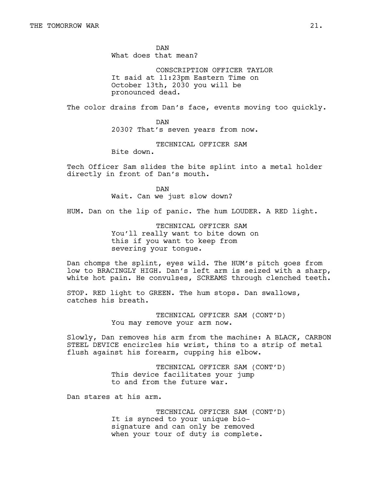DAN What does that mean?

CONSCRIPTION OFFICER TAYLOR It said at 11:23pm Eastern Time on October 13th, 2030 you will be pronounced dead.

The color drains from Dan's face, events moving too quickly.

DAN 2030? That's seven years from now.

TECHNICAL OFFICER SAM

Bite down.

Tech Officer Sam slides the bite splint into a metal holder directly in front of Dan's mouth.

> DAN Wait. Can we just slow down?

HUM. Dan on the lip of panic. The hum LOUDER. A RED light.

TECHNICAL OFFICER SAM You'll really want to bite down on this if you want to keep from severing your tongue.

Dan chomps the splint, eyes wild. The HUM's pitch goes from low to BRACINGLY HIGH. Dan's left arm is seized with a sharp, white hot pain. He convulses, SCREAMS through clenched teeth.

STOP. RED light to GREEN. The hum stops. Dan swallows, catches his breath.

> TECHNICAL OFFICER SAM (CONT'D) You may remove your arm now.

Slowly, Dan removes his arm from the machine: A BLACK, CARBON STEEL DEVICE encircles his wrist, thins to a strip of metal flush against his forearm, cupping his elbow.

> TECHNICAL OFFICER SAM (CONT'D) This device facilitates your jump to and from the future war.

Dan stares at his arm.

TECHNICAL OFFICER SAM (CONT'D) It is synced to your unique biosignature and can only be removed when your tour of duty is complete.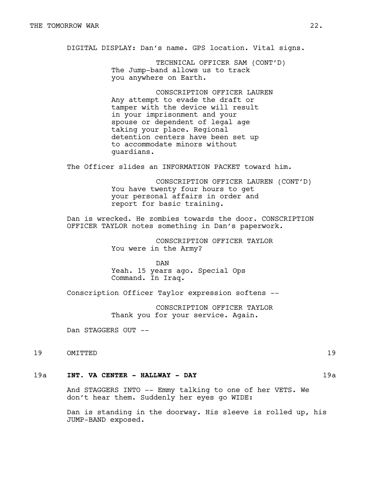DIGITAL DISPLAY: Dan's name. GPS location. Vital signs.

TECHNICAL OFFICER SAM (CONT'D) The Jump-band allows us to track you anywhere on Earth.

CONSCRIPTION OFFICER LAUREN Any attempt to evade the draft or tamper with the device will result in your imprisonment and your spouse or dependent of legal age taking your place. Regional detention centers have been set up to accommodate minors without guardians.

The Officer slides an INFORMATION PACKET toward him.

CONSCRIPTION OFFICER LAUREN (CONT'D) You have twenty four hours to get your personal affairs in order and report for basic training.

Dan is wrecked. He zombies towards the door. CONSCRIPTION OFFICER TAYLOR notes something in Dan's paperwork.

> CONSCRIPTION OFFICER TAYLOR You were in the Army?

DAN Yeah. 15 years ago. Special Ops Command. In Iraq.

Conscription Officer Taylor expression softens --

CONSCRIPTION OFFICER TAYLOR Thank you for your service. Again.

Dan STAGGERS OUT --

19 OMITTED 19

### 19a **INT. VA CENTER - HALLWAY - DAY** 19a

And STAGGERS INTO -- Emmy talking to one of her VETS. We don't hear them. Suddenly her eyes go WIDE:

Dan is standing in the doorway. His sleeve is rolled up, his JUMP-BAND exposed.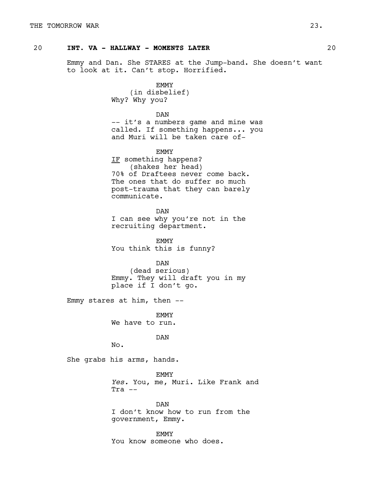# 20 **INT. VA - HALLWAY - MOMENTS LATER** 20

Emmy and Dan. She STARES at the Jump-band. She doesn't want to look at it. Can't stop. Horrified.

> EMMY (in disbelief) Why? Why you?

DAN -- it's a numbers game and mine was called. If something happens... you and Muri will be taken care of-

**EMMY** IF something happens? (shakes her head) 70% of Draftees never come back. The ones that do suffer so much post-trauma that they can barely communicate.

DAN I can see why you're not in the recruiting department.

EMMY You think this is funny?

DAN (dead serious) Emmy. They will draft you in my place if I don't go.

Emmy stares at him, then --

EMMY We have to run.

DAN

No.

She grabs his arms, hands.

EMMY *Yes.* You, me, Muri. Like Frank and  $Tra$   $--$ 

DAN I don't know how to run from the government, Emmy.

EMMY You know someone who does.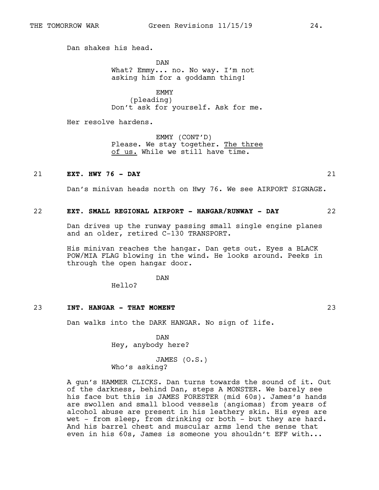Dan shakes his head.

DAN What? Emmy... no. No way. I'm not asking him for a goddamn thing!

EMMY (pleading) Don't ask for yourself. Ask for me.

Her resolve hardens.

EMMY (CONT'D) Please. We stay together. The three of us. While we still have time.

## 21 **EXT. HWY 76 - DAY** 21

Dan's minivan heads north on Hwy 76. We see AIRPORT SIGNAGE.

### 22 **EXT. SMALL REGIONAL AIRPORT - HANGAR/RUNWAY - DAY** 22

Dan drives up the runway passing small single engine planes and an older, retired C-130 TRANSPORT.

His minivan reaches the hangar. Dan gets out. Eyes a BLACK POW/MIA FLAG blowing in the wind. He looks around. Peeks in through the open hangar door.

DAN

Hello?

#### 23 **INT. HANGAR - THAT MOMENT** 23

Dan walks into the DARK HANGAR. No sign of life.

DAN Hey, anybody here?

JAMES (O.S.) Who's asking?

A gun's HAMMER CLICKS. Dan turns towards the sound of it. Out of the darkness, behind Dan, steps A MONSTER. We barely see his face but this is JAMES FORESTER (mid 60s). James's hands are swollen and small blood vessels (angiomas) from years of alcohol abuse are present in his leathery skin. His eyes are wet - from sleep, from drinking or both - but they are hard. And his barrel chest and muscular arms lend the sense that even in his 60s, James is someone you shouldn't EFF with...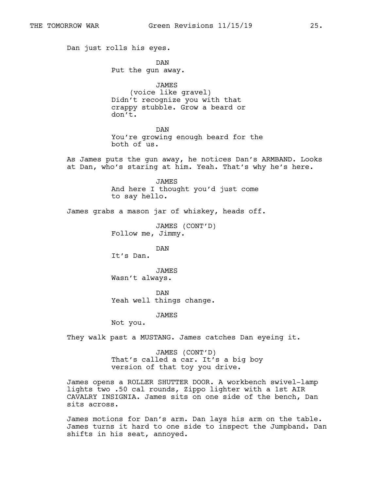Dan just rolls his eyes. DAN Put the gun away. JAMES (voice like gravel) Didn't recognize you with that crappy stubble. Grow a beard or don't. DAN You're growing enough beard for the both of us. As James puts the gun away, he notices Dan's ARMBAND. Looks at Dan, who's staring at him. Yeah. That's why he's here. JAMES And here I thought you'd just come to say hello. James grabs a mason jar of whiskey, heads off. JAMES (CONT'D) Follow me, Jimmy. DAN It's Dan. JAMES Wasn't always. DAN Yeah well things change. JAMES Not you. They walk past a MUSTANG. James catches Dan eyeing it. JAMES (CONT'D) That's called a car. It's a big boy version of that toy you drive. James opens a ROLLER SHUTTER DOOR. A workbench swivel-lamp lights two .50 cal rounds, Zippo lighter with a 1st AIR

CAVALRY INSIGNIA. James sits on one side of the bench, Dan sits across. James motions for Dan's arm. Dan lays his arm on the table. James turns it hard to one side to inspect the Jumpband. Dan

shifts in his seat, annoyed.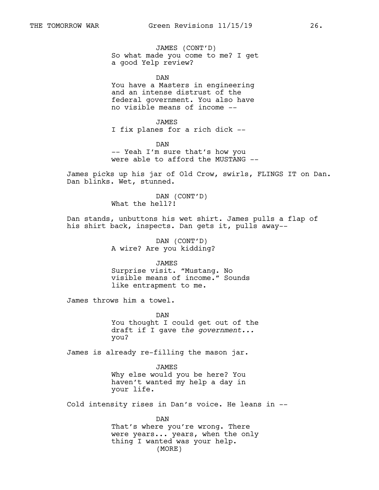JAMES (CONT'D) So what made you come to me? I get a good Yelp review?

DAN You have a Masters in engineering and an intense distrust of the federal government. You also have no visible means of income --

JAMES I fix planes for a rich dick --

DAN -- Yeah I'm sure that's how you were able to afford the MUSTANG --

James picks up his jar of Old Crow, swirls, FLINGS IT on Dan. Dan blinks. Wet, stunned.

> DAN (CONT'D) What the hell?!

Dan stands, unbuttons his wet shirt. James pulls a flap of his shirt back, inspects. Dan gets it, pulls away--

> DAN (CONT'D) A wire? Are you kidding?

> > JAMES

Surprise visit. "Mustang**.** No visible means of income." Sounds like entrapment to me.

James throws him a towel.

DAN You thought I could get out of the draft if I gave *the government...* you?

James is already re-filling the mason jar.

JAMES Why else would you be here? You haven't wanted my help a day in your life.

Cold intensity rises in Dan's voice. He leans in --

DAN That's where you're wrong. There were years... years, when the only thing I wanted was your help. (MORE)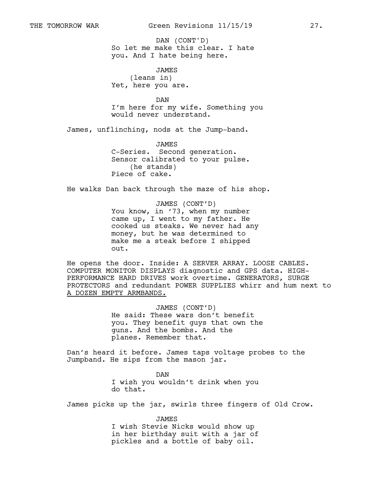So let me make this clear. I hate you. And I hate being here. DAN (CONT'D)

JAMES (leans in) Yet, here you are.

DAN I'm here for my wife. Something you would never understand.

James, unflinching, nods at the Jump-band.

JAMES C-Series. Second generation. Sensor calibrated to your pulse. (he stands) Piece of cake.

He walks Dan back through the maze of his shop.

# JAMES (CONT'D) You know, in '73, when my number came up, I went to my father. He cooked us steaks. We never had any money, but he was determined to make me a steak before I shipped out.

He opens the door. Inside: A SERVER ARRAY. LOOSE CABLES. COMPUTER MONITOR DISPLAYS diagnostic and GPS data. HIGH-PERFORMANCE HARD DRIVES work overtime. GENERATORS, SURGE PROTECTORS and redundant POWER SUPPLIES whirr and hum next to A DOZEN EMPTY ARMBANDS.

> JAMES (CONT'D) He said: These wars don't benefit you. They benefit guys that own the guns. And the bombs. And the planes. Remember that.

Dan's heard it before. James taps voltage probes to the Jumpband. He sips from the mason jar.

> DAN I wish you wouldn't drink when you do that.

James picks up the jar, swirls three fingers of Old Crow.

JAMES I wish Stevie Nicks would show up in her birthday suit with a jar of pickles and a bottle of baby oil.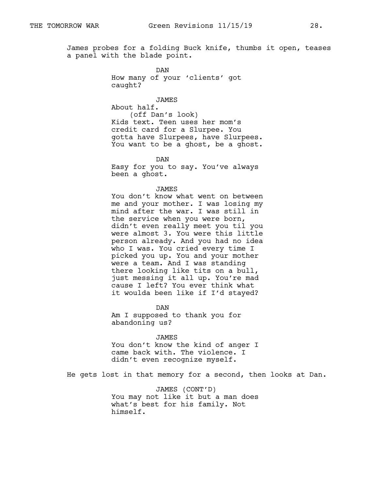James probes for a folding Buck knife, thumbs it open, teases a panel with the blade point.

> DAN How many of your 'clients' got caught?

JAMES About half. (off Dan's look) Kids text. Teen uses her mom's credit card for a Slurpee. You gotta have Slurpees, have Slurpees. You want to be a ghost, be a ghost.

DAN Easy for you to say. You've always been a ghost.

#### JAMES

You don't know what went on between me and your mother. I was losing my mind after the war. I was still in the service when you were born, didn't even really meet you til you were almost 3. You were this little person already. And you had no idea who I was. You cried every time I picked you up. You and your mother were a team. And I was standing there looking like tits on a bull, just messing it all up. You're mad cause I left? You ever think what it woulda been like if I'd stayed?

DAN Am I supposed to thank you for abandoning us?

JAMES

You don't know the kind of anger I came back with. The violence. I didn't even recognize myself.

He gets lost in that memory for a second, then looks at Dan.

JAMES (CONT'D) You may not like it but a man does what's best for his family. Not himself.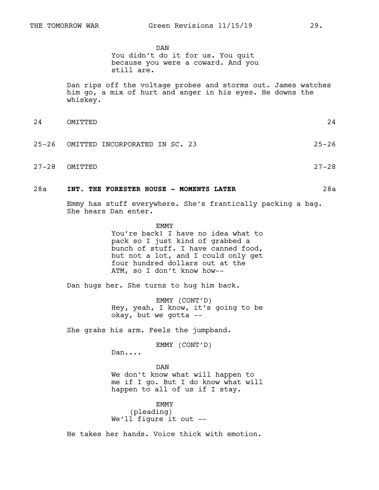DAN You didn't do it for us. You quit because you were a coward. And you still are.

Dan rips off the voltage probes and storms out. James watches him go, a mix of hurt and anger in his eyes. He downs the whiskey.

- 24 OMITTED 24 25-26 OMITTED INCORPORATED IN SC. 23 25-26
- 27-28 OMITTED 27-28

### 28a **INT. THE FORESTER HOUSE - MOMENTS LATER** 28a

Emmy has stuff everywhere. She's frantically packing a bag. She hears Dan enter.

> **EMMY** You're back! I have no idea what to pack so I just kind of grabbed a bunch of stuff. I have canned food, but not a lot, and I could only get four hundred dollars out at the ATM, so I don't know how--

Dan hugs her. She turns to hug him back.

EMMY (CONT'D) Hey, yeah, I know, it's going to be okay, but we gotta --

She grabs his arm. Feels the jumpband.

EMMY (CONT'D)

Dan....

DAN We don't know what will happen to me if I go. But I do know what will happen to all of us if I stay.

EMMY (pleading) We'll figure it out --

He takes her hands. Voice thick with emotion.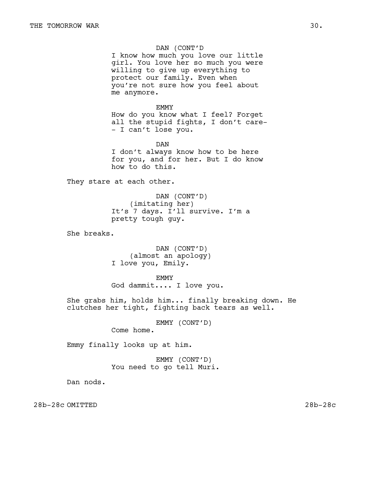# DAN (CONT'D

I know how much you love our little girl. You love her so much you were willing to give up everything to protect our family. Even when you're not sure how you feel about me anymore.

#### EMMY

How do you know what I feel? Forget all the stupid fights, I don't care- - I can't lose you.

DAN I don't always know how to be here for you, and for her. But I do know how to do this.

They stare at each other.

DAN (CONT'D) (imitating her) It's 7 days. I'll survive. I'm a pretty tough guy.

She breaks.

DAN (CONT'D) (almost an apology) I love you, Emily.

EMMY God dammit.... I love you.

She grabs him, holds him... finally breaking down. He clutches her tight, fighting back tears as well.

EMMY (CONT'D)

Come home.

Emmy finally looks up at him.

EMMY (CONT'D) You need to go tell Muri.

Dan nods.

28b-28c OMITTED 28b-28c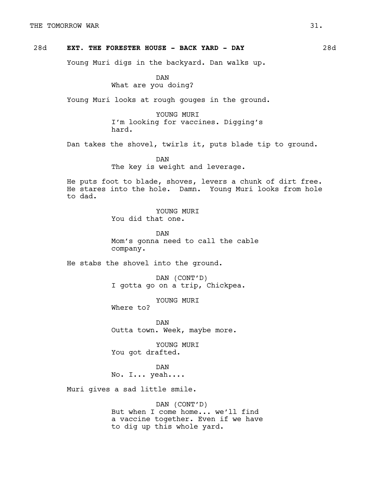### 28d **EXT. THE FORESTER HOUSE - BACK YARD - DAY** 28d

Young Muri digs in the backyard. Dan walks up.

DAN What are you doing?

Young Muri looks at rough gouges in the ground.

YOUNG MURI I'm looking for vaccines. Digging's hard.

Dan takes the shovel, twirls it, puts blade tip to ground.

DAN The key is weight and leverage.

He puts foot to blade, shoves, levers a chunk of dirt free. He stares into the hole. Damn. Young Muri looks from hole to dad.

> YOUNG MURI You did that one.

DAN Mom's gonna need to call the cable company.

He stabs the shovel into the ground.

DAN (CONT'D) I gotta go on a trip, Chickpea.

YOUNG MURI

Where to?

DAN Outta town. Week, maybe more.

YOUNG MURI You got drafted.

DAN No. I... yeah....

Muri gives a sad little smile.

DAN (CONT'D) But when I come home... we'll find a vaccine together. Even if we have to dig up this whole yard.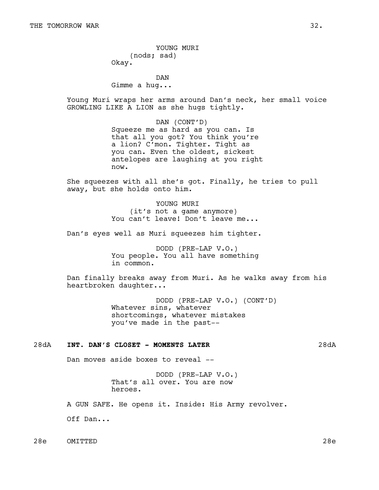YOUNG MURI (nods; sad) Okay.

DAN Gimme a hug...

Young Muri wraps her arms around Dan's neck, her small voice GROWLING LIKE A LION as she hugs tightly.

> DAN (CONT'D) Squeeze me as hard as you can. Is that all you got? You think you're a lion? C'mon. Tighter. Tight as you can. Even the oldest, sickest antelopes are laughing at you right now.

She squeezes with all she's got. Finally, he tries to pull away, but she holds onto him.

> YOUNG MURI (it's not a game anymore) You can't leave! Don't leave me...

Dan's eyes well as Muri squeezes him tighter.

DODD (PRE-LAP V.O.) You people. You all have something in common.

Dan finally breaks away from Muri. As he walks away from his heartbroken daughter...

> DODD (PRE-LAP V.O.) (CONT'D) Whatever sins, whatever shortcomings, whatever mistakes you've made in the past--

#### 28dA **INT. DAN'S CLOSET - MOMENTS LATER** 28dA

Dan moves aside boxes to reveal --

DODD (PRE-LAP V.O.) That's all over. You are now heroes.

A GUN SAFE. He opens it. Inside: His Army revolver.

Off Dan...

28e OMITTED 28e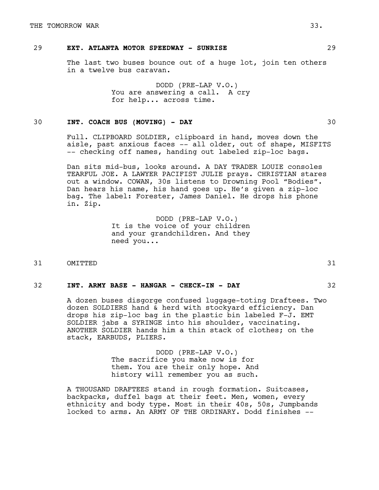# 29 **EXT. ATLANTA MOTOR SPEEDWAY - SUNRISE** 29

The last two buses bounce out of a huge lot, join ten others in a twelve bus caravan.

> DODD (PRE-LAP V.O.) You are answering a call. A cry for help... across time.

# 30 **INT. COACH BUS (MOVING) - DAY** 30

Full. CLIPBOARD SOLDIER, clipboard in hand, moves down the aisle, past anxious faces -- all older, out of shape, MISFITS -- checking off names, handing out labeled zip-loc bags.

Dan sits mid-bus, looks around. A DAY TRADER LOUIE consoles TEARFUL JOE. A LAWYER PACIFIST JULIE prays. CHRISTIAN stares out a window. COWAN, 30s listens to Drowning Pool "Bodies". Dan hears his name, his hand goes up. He's given a zip-loc bag. The label: Forester, James Daniel. He drops his phone in. Zip.

> DODD (PRE-LAP V.O.) It is the voice of your children and your grandchildren. And they need you...

31 OMITTED 31

### 32 **INT. ARMY BASE - HANGAR - CHECK-IN - DAY** 32

A dozen buses disgorge confused luggage-toting Draftees. Two dozen SOLDIERS hand & herd with stockyard efficiency. Dan drops his zip-loc bag in the plastic bin labeled F-J. EMT SOLDIER jabs a SYRINGE into his shoulder, vaccinating. ANOTHER SOLDIER hands him a thin stack of clothes; on the stack, EARBUDS, PLIERS.

> DODD (PRE-LAP V.O.) The sacrifice you make now is for them. You are their only hope. And history will remember you as such.

A THOUSAND DRAFTEES stand in rough formation. Suitcases, backpacks, duffel bags at their feet. Men, women, every ethnicity and body type. Most in their 40s, 50s, Jumpbands locked to arms. An ARMY OF THE ORDINARY. Dodd finishes --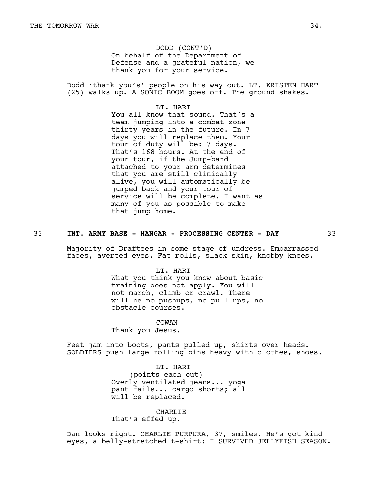DODD (CONT'D) On behalf of the Department of Defense and a grateful nation, we thank you for your service.

Dodd 'thank you's' people on his way out. LT. KRISTEN HART (25) walks up. A SONIC BOOM goes off. The ground shakes.

> LT. HART You all know that sound. That's a team jumping into a combat zone thirty years in the future. In 7 days you will replace them. Your tour of duty will be: 7 days. That's 168 hours. At the end of your tour, if the Jump-band attached to your arm determines that you are still clinically alive, you will automatically be jumped back and your tour of service will be complete. I want as many of you as possible to make that jump home.

#### 33 **INT. ARMY BASE - HANGAR - PROCESSING CENTER - DAY** 33

Majority of Draftees in some stage of undress. Embarrassed faces, averted eyes. Fat rolls, slack skin, knobby knees.

> LT. HART What you think you know about basic training does not apply. You will not march, climb or crawl. There will be no pushups, no pull-ups, no obstacle courses.

COWAN Thank you Jesus.

Feet jam into boots, pants pulled up, shirts over heads. SOLDIERS push large rolling bins heavy with clothes, shoes.

> LT. HART (points each out) Overly ventilated jeans... yoga pant fails... cargo shorts; all will be replaced.

CHARLIE That's effed up.

Dan looks right. CHARLIE PURPURA, 37, smiles. He's got kind eyes, a belly-stretched t-shirt: I SURVIVED JELLYFISH SEASON.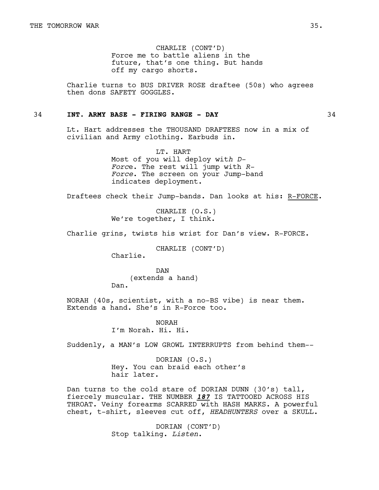CHARLIE (CONT'D) Force me to battle aliens in the future, that's one thing. But hands off my cargo shorts.

Charlie turns to BUS DRIVER ROSE draftee (50s) who agrees then dons SAFETY GOGGLES.

#### 34 **INT. ARMY BASE - FIRING RANGE - DAY** 34

Lt. Hart addresses the THOUSAND DRAFTEES now in a mix of civilian and Army clothing. Earbuds in.

> LT. HART Most of you will deploy wit*h D-Forc*e. The rest will jump with *R-Force*. The screen on your Jump-band indicates deployment.

Draftees check their Jump-bands. Dan looks at his: R-FORCE.

CHARLIE (O.S.) We're together, I think.

Charlie grins, twists his wrist for Dan's view. R-FORCE.

CHARLIE (CONT'D)

Charlie.

DAN (extends a hand) Dan.

NORAH (40s, scientist, with a no-BS vibe) is near them. Extends a hand. She's in R-Force too.

> NORAH I'm Norah. Hi. Hi.

Suddenly, a MAN's LOW GROWL INTERRUPTS from behind them--

DORIAN (O.S.) Hey. You can braid each other's hair later.

Dan turns to the cold stare of DORIAN DUNN (30's) tall, fiercely muscular. THE NUMBER *187* IS TATTOOED ACROSS HIS THROAT. Veiny forearms SCARRED with HASH MARKS. A powerful chest, t-shirt, sleeves cut off, *HEADHUNTERS* over a SKULL.

> DORIAN (CONT'D) Stop talking. *Listen*.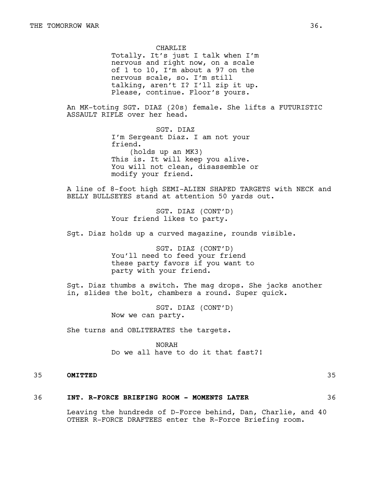CHARLIE Totally. It's just I talk when I'm nervous and right now, on a scale of 1 to 10, I'm about a 97 on the nervous scale, so. I'm still talking, aren't I? I'll zip it up. Please, continue. Floor's yours.

An MK-toting SGT. DIAZ (20s) female. She lifts a FUTURISTIC ASSAULT RIFLE over her head.

> SGT. DIAZ I'm Sergeant Diaz. I am not your friend. (holds up an MK3) This is. It will keep you alive. You will not clean, disassemble or modify your friend.

A line of 8-foot high SEMI-ALIEN SHAPED TARGETS with NECK and BELLY BULLSEYES stand at attention 50 yards out.

> SGT. DIAZ (CONT'D) Your friend likes to party.

Sgt. Diaz holds up a curved magazine, rounds visible.

SGT. DIAZ (CONT'D) You'll need to feed your friend these party favors if you want to party with your friend.

Sgt. Diaz thumbs a switch. The mag drops. She jacks another in, slides the bolt, chambers a round. Super quick.

> SGT. DIAZ (CONT'D) Now we can party.

She turns and OBLITERATES the targets.

NORAH Do we all have to do it that fast?!

# 35 **OMITTED** 35

#### 36 **INT. R-FORCE BRIEFING ROOM - MOMENTS LATER** 36

Leaving the hundreds of D-Force behind, Dan, Charlie, and 40 OTHER R-FORCE DRAFTEES enter the R-Force Briefing room.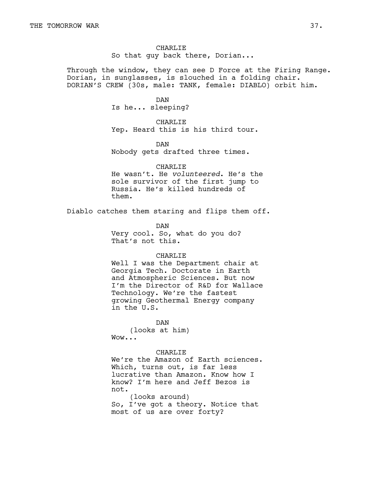CHARLIE So that guy back there, Dorian...

Through the window, they can see D Force at the Firing Range. Dorian, in sunglasses, is slouched in a folding chair. DORIAN'S CREW (30s, male: TANK, female: DIABLO) orbit him.

#### DAN

Is he... sleeping?

CHARLIE Yep. Heard this is his third tour.

DAN Nobody gets drafted three times.

CHARLIE He wasn't. He *volunteered*. He's the sole survivor of the first jump to Russia. He's killed hundreds of them.

Diablo catches them staring and flips them off.

DAN Very cool. So, what do you do? That's not this.

#### CHARLIE

Well I was the Department chair at Georgia Tech. Doctorate in Earth and Atmospheric Sciences. But now I'm the Director of R&D for Wallace Technology. We're the fastest growing Geothermal Energy company in the U.S.

DAN

(looks at him) Wow...

#### CHARLIE

We're the Amazon of Earth sciences. Which, turns out, is far less lucrative than Amazon. Know how I know? I'm here and Jeff Bezos is not.

(looks around) So, I've got a theory. Notice that most of us are over forty?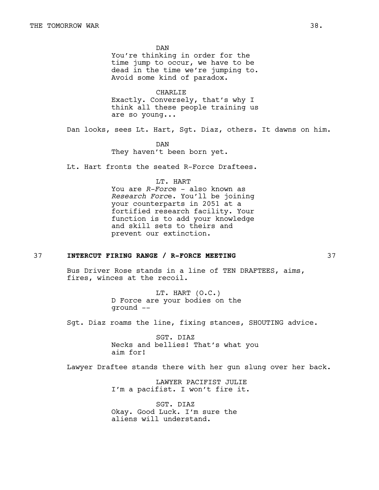DAN You're thinking in order for the time jump to occur, we have to be dead in the time we're jumping to. Avoid some kind of paradox.

CHARLIE Exactly. Conversely, that's why I think all these people training us are so young...

Dan looks, sees Lt. Hart, Sgt. Diaz, others. It dawns on him.

DAN They haven't been born yet.

Lt. Hart fronts the seated R-Force Draftees.

#### LT. HART

You are *R-Forc*e - also known as *Research Forc*e. You'll be joining your counterparts in 2051 at a fortified research facility. Your function is to add your knowledge and skill sets to theirs and prevent our extinction.

# 37 **INTERCUT FIRING RANGE / R-FORCE MEETING** 37

Bus Driver Rose stands in a line of TEN DRAFTEES, aims, fires, winces at the recoil.

> LT. HART (O.C.) D Force are your bodies on the ground --

Sgt. Diaz roams the line, fixing stances, SHOUTING advice.

SGT. DIAZ Necks and bellies! That's what you aim for!

Lawyer Draftee stands there with her gun slung over her back.

LAWYER PACIFIST JULIE I'm a pacifist. I won't fire it.

SGT. DIAZ Okay. Good Luck. I'm sure the aliens will understand.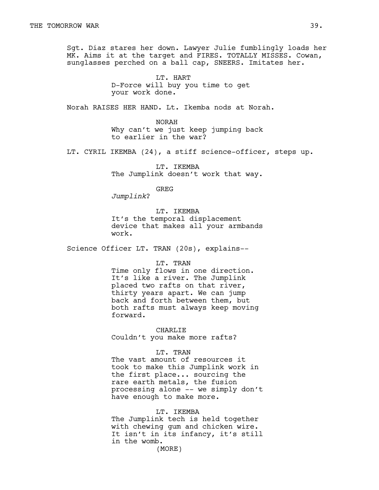Sgt. Diaz stares her down. Lawyer Julie fumblingly loads her MK. Aims it at the target and FIRES. TOTALLY MISSES. Cowan, sunglasses perched on a ball cap, SNEERS. Imitates her.

> LT. HART D-Force will buy you time to get your work done.

Norah RAISES HER HAND. Lt. Ikemba nods at Norah.

NORAH Why can't we just keep jumping back to earlier in the war?

LT. CYRIL IKEMBA (24), a stiff science-officer, steps up.

LT. IKEMBA The Jumplink doesn't work that way.

GREG

*Jumplink*?

LT. IKEMBA It's the temporal displacement device that makes all your armbands work.

Science Officer LT. TRAN (20s), explains--

LT. TRAN

Time only flows in one direction. It's like a river. The Jumplink placed two rafts on that river, thirty years apart. We can jump back and forth between them, but both rafts must always keep moving forward.

CHARLIE Couldn't you make more rafts?

#### LT. TRAN

The vast amount of resources it took to make this Jumplink work in the first place... sourcing the rare earth metals, the fusion processing alone -- we simply don't have enough to make more.

#### LT. IKEMBA

The Jumplink tech is held together with chewing gum and chicken wire. It isn't in its infancy, it's still in the womb. (MORE)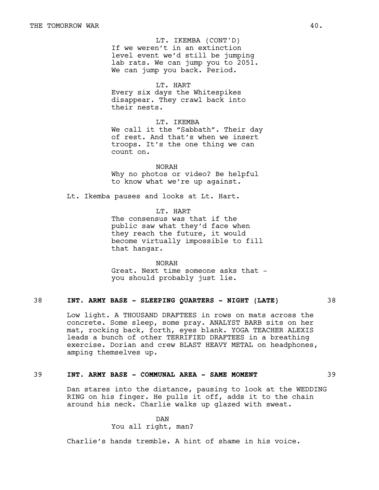If we weren't in an extinction level event we'd still be jumping lab rats. We can jump you to 2051. We can jump you back. Period. LT. IKEMBA (CONT'D)

LT. HART

Every six days the Whitespikes disappear. They crawl back into their nests.

LT. IKEMBA We call it the "Sabbath". Their day of rest. And that's when we insert troops. It's the one thing we can count on.

NORAH Why no photos or video? Be helpful to know what we're up against.

Lt. Ikemba pauses and looks at Lt. Hart.

LT. HART The consensus was that if the public saw what they'd face when

they reach the future, it would become virtually impossible to fill that hangar.

NORAH Great. Next time someone asks that you should probably just lie.

# 38 **INT. ARMY BASE - SLEEPING QUARTERS - NIGHT (LATE)** 38

Low light. A THOUSAND DRAFTEES in rows on mats across the concrete. Some sleep, some pray. ANALYST BARB sits on her mat, rocking back, forth, eyes blank. YOGA TEACHER ALEXIS leads a bunch of other TERRIFIED DRAFTEES in a breathing exercise. Dorian and crew BLAST HEAVY METAL on headphones, amping themselves up.

# 39 **INT. ARMY BASE - COMMUNAL AREA - SAME MOMENT** 39

Dan stares into the distance, pausing to look at the WEDDING RING on his finger. He pulls it off, adds it to the chain around his neck. Charlie walks up glazed with sweat.

> DAN You all right, man?

Charlie's hands tremble. A hint of shame in his voice.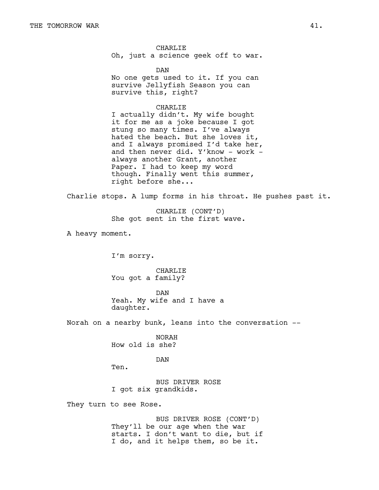CHARLIE Oh, just a science geek off to war.

DAN No one gets used to it. If you can survive Jellyfish Season you can survive this, right?

#### CHARLIE

I actually didn't. My wife bought it for me as a joke because I got stung so many times. I've always hated the beach. But she loves it, and I always promised I'd take her, and then never did. Y'know - work always another Grant, another Paper. I had to keep my word though. Finally went this summer, right before she...

Charlie stops. A lump forms in his throat. He pushes past it.

CHARLIE (CONT'D) She got sent in the first wave.

A heavy moment.

I'm sorry.

CHARLIE You got a family?

DAN Yeah. My wife and I have a daughter.

Norah on a nearby bunk, leans into the conversation --

NORAH How old is she?

#### DAN

Ten.

BUS DRIVER ROSE I got six grandkids.

They turn to see Rose.

BUS DRIVER ROSE (CONT'D) They'll be our age when the war starts. I don't want to die, but if I do, and it helps them, so be it.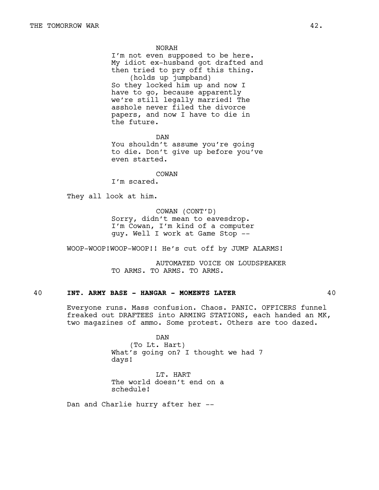NORAH

I'm not even supposed to be here. My idiot ex-husband got drafted and then tried to pry off this thing. (holds up jumpband) So they locked him up and now I have to go, because apparently we're still legally married! The asshole never filed the divorce papers, and now I have to die in the future.

DAN You shouldn't assume you're going to die. Don't give up before you've even started.

COWAN

I'm scared.

They all look at him.

COWAN (CONT'D) Sorry, didn't mean to eavesdrop. I'm Cowan, I'm kind of a computer guy. Well I work at Game Stop --

WOOP-WOOP!WOOP-WOOP!! He's cut off by JUMP ALARMS!

AUTOMATED VOICE ON LOUDSPEAKER TO ARMS. TO ARMS. TO ARMS.

# 40 **INT. ARMY BASE - HANGAR - MOMENTS LATER** 40

Everyone runs. Mass confusion. Chaos. PANIC. OFFICERS funnel freaked out DRAFTEES into ARMING STATIONS, each handed an MK, two magazines of ammo. Some protest. Others are too dazed.

> DAN (To Lt. Hart) What's going on? I thought we had 7 days!

LT. HART The world doesn't end on a schedule!

Dan and Charlie hurry after her --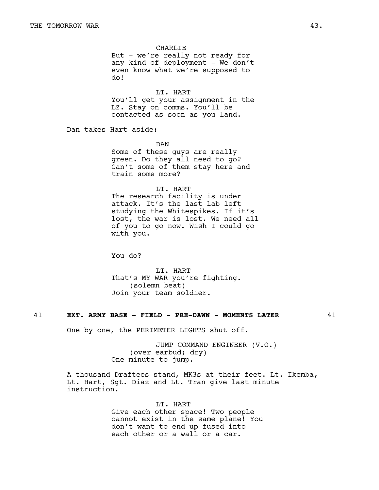CHARLIE But - we're really not ready for any kind of deployment - We don't even know what we're supposed to do!

LT. HART You'll get your assignment in the LZ. Stay on comms. You'll be contacted as soon as you land.

Dan takes Hart aside:

DAN

Some of these guys are really green. Do they all need to go? Can't some of them stay here and train some more?

LT. HART

The research facility is under attack. It's the last lab left studying the Whitespikes. If it's lost, the war is lost. We need all of you to go now. Wish I could go with you.

You do?

LT. HART That's MY WAR you're fighting. (solemn beat) Join your team soldier.

#### 41 **EXT. ARMY BASE - FIELD - PRE-DAWN - MOMENTS LATER** 41

One by one, the PERIMETER LIGHTS shut off.

JUMP COMMAND ENGINEER (V.O.) (over earbud; dry) One minute to jump.

A thousand Draftees stand, MK3s at their feet. Lt. Ikemba, Lt. Hart, Sgt. Diaz and Lt. Tran give last minute instruction.

> LT. HART Give each other space! Two people cannot exist in the same plane! You don't want to end up fused into each other or a wall or a car.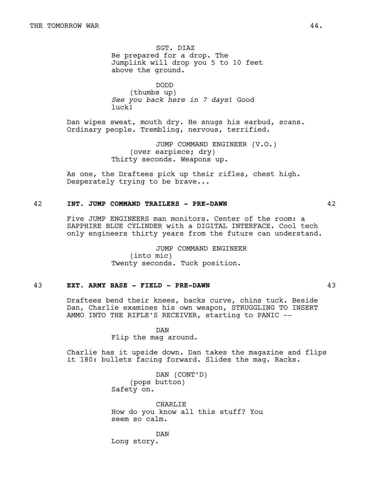SGT. DIAZ Be prepared for a drop. The Jumplink will drop you 5 to 10 feet above the ground.

DODD (thumbs up) *See you back here in 7 days*! Good luck!

Dan wipes sweat, mouth dry. He snugs his earbud, scans. Ordinary people. Trembling, nervous, terrified.

> JUMP COMMAND ENGINEER (V.O.) (over earpiece; dry) Thirty seconds. Weapons up.

As one, the Draftees pick up their rifles, chest high. Desperately trying to be brave...

#### 42 **INT. JUMP COMMAND TRAILERS - PRE-DAWN** 42

Five JUMP ENGINEERS man monitors. Center of the room: a SAPPHIRE BLUE CYLINDER with a DIGITAL INTERFACE. Cool tech only engineers thirty years from the future can understand.

> JUMP COMMAND ENGINEER (into mic) Twenty seconds. Tuck position.

# 43 **EXT. ARMY BASE - FIELD - PRE-DAWN** 43

Draftees bend their knees, backs curve, chins tuck. Beside Dan, Charlie examines his own weapon, STRUGGLING TO INSERT AMMO INTO THE RIFLE'S RECEIVER, starting to PANIC --

> DAN Flip the mag around.

Charlie has it upside down. Dan takes the magazine and flips it 180: bullets facing forward. Slides the mag. Racks.

> DAN (CONT'D) (pops button) Safety on.

CHARLIE How do you know all this stuff? You seem so calm.

DAN Long story.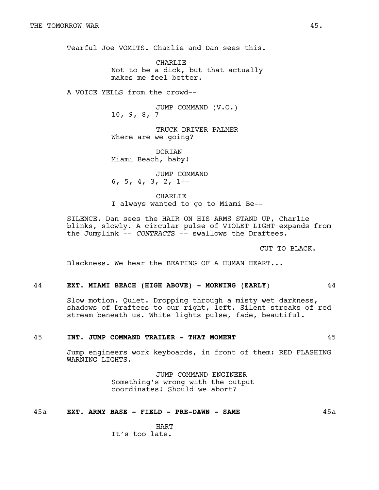Tearful Joe VOMITS. Charlie and Dan sees this.

CHARLIE Not to be a dick, but that actually makes me feel better.

A VOICE YELLS from the crowd--

JUMP COMMAND (V.O.) 10, 9, 8, 7--

TRUCK DRIVER PALMER Where are we going?

DORIAN Miami Beach, baby!

JUMP COMMAND 6, 5, 4, 3, 2, 1--

CHARLIE I always wanted to go to Miami Be--

SILENCE. Dan sees the HAIR ON HIS ARMS STAND UP, Charlie blinks, slowly. A circular pulse of VIOLET LIGHT expands from the Jumplink -- *CONTRACT*S -- swallows the Draftees.

CUT TO BLACK.

Blackness. We hear the BEATING OF A HUMAN HEART...

# 44 **EXT. MIAMI BEACH (HIGH ABOVE) - MORNING (EARLY**) 44

Slow motion. Quiet. Dropping through a misty wet darkness, shadows of Draftees to our right, left. Silent streaks of red stream beneath us. White lights pulse, fade, beautiful.

#### 45 **INT. JUMP COMMAND TRAILER - THAT MOMENT** 45

Jump engineers work keyboards, in front of them: RED FLASHING WARNING LIGHTS.

> JUMP COMMAND ENGINEER Something's wrong with the output coordinates! Should we abort?

# 45a **EXT. ARMY BASE - FIELD - PRE-DAWN - SAME** 45a

HART It's too late.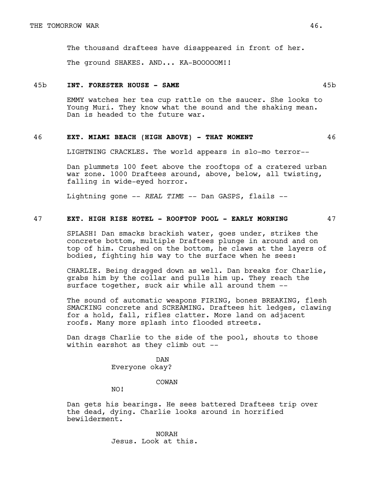The thousand draftees have disappeared in front of her.

The ground SHAKES. AND... KA-BOOOOOM!!

#### 45b **INT. FORESTER HOUSE - SAME** 45b

EMMY watches her tea cup rattle on the saucer. She looks to Young Muri. They know what the sound and the shaking mean. Dan is headed to the future war.

#### 46 **EXT. MIAMI BEACH (HIGH ABOVE) - THAT MOMENT** 46

LIGHTNING CRACKLES. The world appears in slo-mo terror--

Dan plummets 100 feet above the rooftops of a cratered urban war zone. 1000 Draftees around, above, below, all twisting, falling in wide-eyed horror.

Lightning gone -- *REAL TIM*E -- Dan GASPS, flails --

# 47 **EXT. HIGH RISE HOTEL - ROOFTOP POOL - EARLY MORNING** 47

SPLASH! Dan smacks brackish water, goes under, strikes the concrete bottom, multiple Draftees plunge in around and on top of him. Crushed on the bottom, he claws at the layers of bodies, fighting his way to the surface when he sees:

CHARLIE. Being dragged down as well. Dan breaks for Charlie, grabs him by the collar and pulls him up. They reach the surface together, suck air while all around them --

The sound of automatic weapons FIRING, bones BREAKING, flesh SMACKING concrete and SCREAMING. Draftees hit ledges, clawing for a hold, fall, rifles clatter. More land on adjacent roofs. Many more splash into flooded streets.

Dan drags Charlie to the side of the pool, shouts to those within earshot as they climb out --

> DAN Everyone okay?

> > COWAN

NO!

Dan gets his bearings. He sees battered Draftees trip over the dead, dying. Charlie looks around in horrified bewilderment.

> NORAH Jesus. Look at this.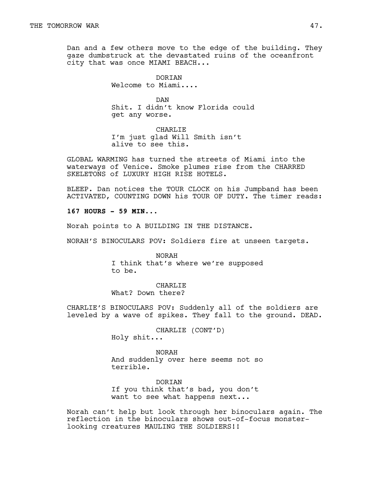Dan and a few others move to the edge of the building. They gaze dumbstruck at the devastated ruins of the oceanfront city that was once MIAMI BEACH...

> DORIAN Welcome to Miami....

DAN Shit. I didn't know Florida could get any worse.

CHARLIE I'm just glad Will Smith isn't alive to see this.

GLOBAL WARMING has turned the streets of Miami into the waterways of Venice. Smoke plumes rise from the CHARRED SKELETONS of LUXURY HIGH RISE HOTELS.

BLEEP. Dan notices the TOUR CLOCK on his Jumpband has been ACTIVATED, COUNTING DOWN his TOUR OF DUTY. The timer reads:

**167 HOURS - 59 MIN...**

Norah points to A BUILDING IN THE DISTANCE.

NORAH'S BINOCULARS POV: Soldiers fire at unseen targets.

NORAH I think that's where we're supposed to be.

CHARLIE What? Down there?

CHARLIE'S BINOCULARS POV: Suddenly all of the soldiers are leveled by a wave of spikes. They fall to the ground. DEAD.

> CHARLIE (CONT'D) Holy shit...

NORAH And suddenly over here seems not so terrible.

DORIAN If you think that's bad, you don't want to see what happens next...

Norah can't help but look through her binoculars again. The reflection in the binoculars shows out-of-focus monsterlooking creatures MAULING THE SOLDIERS!!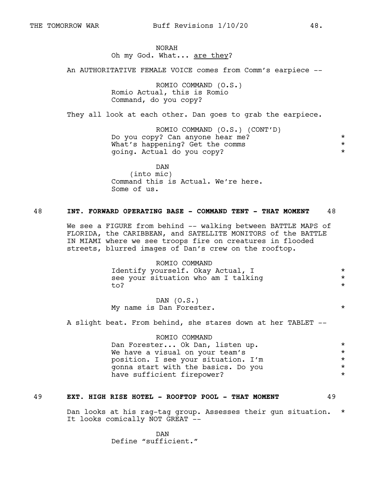#### NORAH Oh my God. What... are they?

An AUTHORITATIVE FEMALE VOICE comes from Comm's earpiece --

ROMIO COMMAND (O.S.) Romio Actual, this is Romio Command, do you copy?

They all look at each other. Dan goes to grab the earpiece.

ROMIO COMMAND (O.S.) (CONT'D) Do you copy? Can anyone hear me? \* What's happening? Get the comms \* \* \* \* going. Actual do you copy? \*

DAN (into mic) Command this is Actual. We're here. Some of us.

#### 48 **INT. FORWARD OPERATING BASE - COMMAND TENT - THAT MOMENT** 48

We see a FIGURE from behind -- walking between BATTLE MAPS of FLORIDA, the CARIBBEAN, and SATELLITE MONITORS of the BATTLE IN MIAMI where we see troops fire on creatures in flooded streets, blurred images of Dan's crew on the rooftop.

> ROMIO COMMAND Identify yourself. Okay Actual, I \* see your situation who am I talking \* to?

> DAN  $(0.S.)$ My name is Dan Forester.  $\star$

A slight beat. From behind, she stares down at her TABLET --

ROMIO COMMAND Dan Forester... Ok Dan, listen up. \* \* \* \* We have a visual on your team's  $\star$ position. I see your situation. I'm  $*$ <br>gonna start with the basics. Do you  $*$ gonna start with the basics. Do you \* have sufficient firepower?  $\star$ 

#### 49 **EXT. HIGH RISE HOTEL - ROOFTOP POOL - THAT MOMENT** 49

Dan looks at his rag-tag group. Assesses their gun situation. \* It looks comically NOT GREAT --

> DAN Define "sufficient."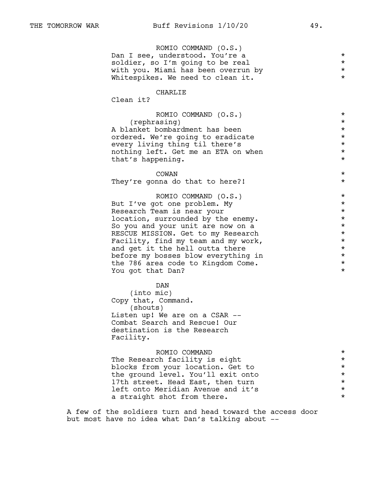| ROMIO COMMAND (O.S.)                |         |
|-------------------------------------|---------|
| Dan I see, understood. You're a     | $\star$ |
| soldier, so I'm going to be real    | $\star$ |
| with you. Miami has been overrun by | $\star$ |
| Whitespikes. We need to clean it.   | $\star$ |
|                                     |         |

# CHARLIE

Clean it?

| ROMIO COMMAND (O.S.)                | $\star$<br>$\star$ |
|-------------------------------------|--------------------|
| (rephrasing)                        |                    |
| A blanket bombardment has been      | $\star$            |
| ordered. We're going to eradicate   | $\star$            |
| every living thing til there's      | $\star$            |
| nothing left. Get me an ETA on when | $\star$            |
| that's happening.                   | $\star$            |
|                                     |                    |
| COWAN                               | $\star$            |
| They're gonna do that to here?!     | $\star$            |
|                                     |                    |
| ROMIO COMMAND (O.S.)                | $\star$            |
| But I've got one problem. My        | $\star$            |
| Research Team is near your          | $\star$            |
| location, surrounded by the enemy.  | $\star$            |
| So you and your unit are now on a   | $^\star$           |
| RESCUE MISSION. Get to my Research  | $\star$            |
| Facility, find my team and my work, | $\star$            |
| and get it the hell outta there     | $\star$            |
|                                     | $^\star$           |
| before my bosses blow everything in |                    |

the 786 area code to Kingdom Come.  $\star$ <br>You got that Dan? You got that Dan?

#### DAN

(into mic) Copy that, Command. (shouts) Listen up! We are on a CSAR -- Combat Search and Rescue! Our destination is the Research Facility.

| ROMIO COMMAND                      | $\star$ |
|------------------------------------|---------|
| The Research facility is eight     | $\star$ |
| blocks from your location. Get to  | $\star$ |
| the ground level. You'll exit onto | $\star$ |
| 17th street. Head East, then turn  | $\star$ |
| left onto Meridian Avenue and it's | $\star$ |
| a straight shot from there.        | $\star$ |
|                                    |         |

A few of the soldiers turn and head toward the access door but most have no idea what Dan's talking about --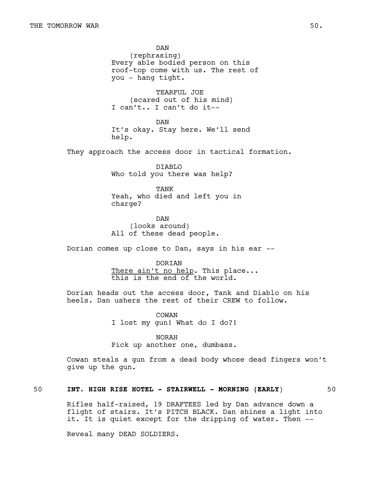DAN (rephrasing) Every able bodied person on this roof-top come with us. The rest of you - hang tight.

TEARFUL JOE (scared out of his mind) I can't.. I can't do it--

DAN It's okay. Stay here. We'll send help.

They approach the access door in tactical formation.

DIABLO Who told you there was help?

TANK Yeah, who died and left you in charge?

DAN (looks around) All of these dead people.

Dorian comes up close to Dan, says in his ear --

**DORTAN** 

There ain't no help. This place... this is the end of the world.

Dorian heads out the access door, Tank and Diablo on his heels. Dan ushers the rest of their CREW to follow.

> COWAN I lost my gun! What do I do?!

NORAH Pick up another one, dumbass.

Cowan steals a gun from a dead body whose dead fingers won't give up the gun.

# 50 **INT. HIGH RISE HOTEL - STAIRWELL - MORNING (EARLY**) 50

Rifles half-raised, 19 DRAFTEES led by Dan advance down a flight of stairs. It's PITCH BLACK. Dan shines a light into it. It is quiet except for the dripping of water. Then --

Reveal many DEAD SOLDIERS.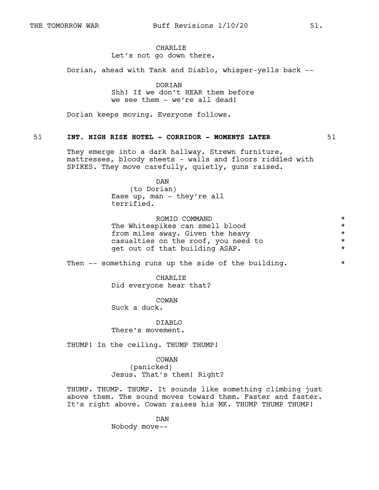#### CHARLIE Let's not go down there.

Dorian, ahead with Tank and Diablo, whisper-yells back --

DORIAN Shh! If we don't HEAR them before we see them - we're all dead!

Dorian keeps moving. Everyone follows.

#### 51 **INT. HIGH RISE HOTEL - CORRIDOR - MOMENTS LATER** 51

They emerge into a dark hallway. Strewn furniture, mattresses, bloody sheets - walls and floors riddled with SPIKES. They move carefully, quietly, guns raised.

DAN

(to Dorian) Ease up, man - they're all terrified.

ROMIO COMMAND  $\star$ The Whitespikes can smell blood \* from miles away. Given the heavy  $\star$ casualties on the roof, you need to  $*$ <br>  $\begin{array}{ccc}\n\text{set out of that building ASAP.} \\
\end{array}$ get out of that building ASAP.

Then  $--$  something runs up the side of the building.  $*$ 

CHARLIE Did everyone hear that?

COWAN

Suck a duck.

DIABLO There's movement.

THUMP! In the ceiling. THUMP THUMP!

COWAN

(panicked) Jesus. That's them! Right?

THUMP. THUMP. THUMP. It sounds like something climbing just above them. The sound moves toward them. Faster and faster. It's right above. Cowan raises his MK. THUMP THUMP THUMP!

> DAN Nobody move--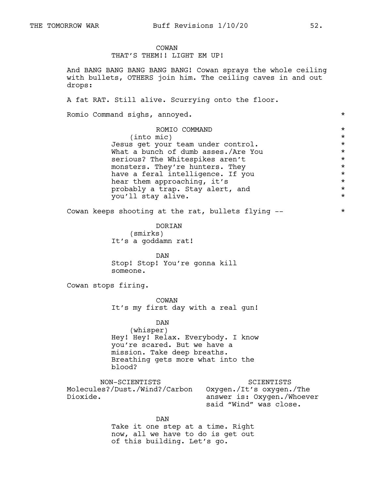# COWAN

# THAT'S THEM!! LIGHT EM UP!

And BANG BANG BANG BANG BANG! Cowan sprays the whole ceiling with bullets, OTHERS join him. The ceiling caves in and out drops:

A fat RAT. Still alive. Scurrying onto the floor.

Romio Command sighs, annoyed.  $\star$ 

| ROMIO COMMAND                       | $\star$ |
|-------------------------------------|---------|
| $(into$ mic)                        | $\star$ |
| Jesus get your team under control.  | $\star$ |
| What a bunch of dumb asses./Are You | $\star$ |
| serious? The Whitespikes aren't     | $\star$ |
| monsters. They're hunters. They     | $\star$ |
| have a feral intelligence. If you   | $\star$ |
| hear them approaching, it's         | $\star$ |
| probably a trap. Stay alert, and    | $\star$ |
| you'll stay alive.                  | $\star$ |
|                                     |         |

Cowan keeps shooting at the rat, bullets flying --  $*$ 

DORIAN (smirks) It's a goddamn rat!

DAN Stop! Stop! You're gonna kill someone.

Cowan stops firing.

COWAN It's my first day with a real gun!

DAN (whisper) Hey! Hey! Relax. Everybody. I know you're scared. But we have a mission. Take deep breaths. Breathing gets more what into the blood?

NON-SCIENTISTS Molecules?/Dust./Wind?/Carbon Oxygen./It's oxygen./The Dioxide. SCIENTISTS answer is: Oxygen./Whoever said "Wind" was close.

> DAN Take it one step at a time. Right now, all we have to do is get out of this building. Let's go.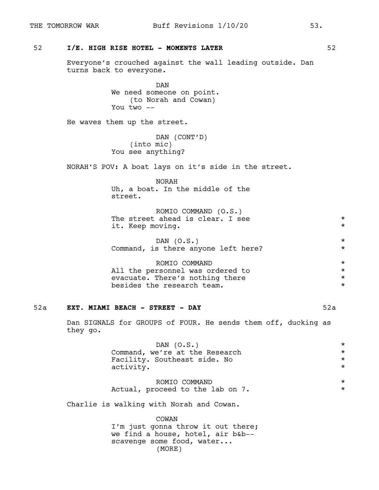# 52 **I/E. HIGH RISE HOTEL - MOMENTS LATER** 52

Everyone's crouched against the wall leading outside. Dan turns back to everyone.

> DAN We need someone on point. (to Norah and Cowan) You two --

He waves them up the street.

DAN (CONT'D) (into mic) You see anything?

NORAH'S POV: A boat lays on it's side in the street.

NORAH Uh, a boat. In the middle of the street.

| ROMIO COMMAND (O.S.)             |  |
|----------------------------------|--|
| The street ahead is clear. I see |  |
| it. Keep moving.                 |  |

| DAN $(0.S.)$                        |  |  |  |  |  |  |  |
|-------------------------------------|--|--|--|--|--|--|--|
| Command, is there anyone left here? |  |  |  |  |  |  |  |

ROMIO COMMAND \* All the personnel was ordered to evacuate. There's nothing there  $*$ <br>besides the research team besides the research team.

#### 52a **EXT. MIAMI BEACH - STREET - DAY** 52a

Dan SIGNALS for GROUPS of FOUR. He sends them off, ducking as they go.

| DAN $(0.S.)$                   | $\star$ |
|--------------------------------|---------|
| Command, we're at the Research | $\star$ |
| Facility. Southeast side. No   | $\star$ |
| activity.                      | $\star$ |
|                                |         |
| ROMIO COMMAND                  | $\star$ |

|                                  | ---------------------- |  |
|----------------------------------|------------------------|--|
| Actual, proceed to the lab on 7. |                        |  |

Charlie is walking with Norah and Cowan.

COWAN I'm just gonna throw it out there; we find a house, hotel, air b&b- scavenge some food, water... (MORE)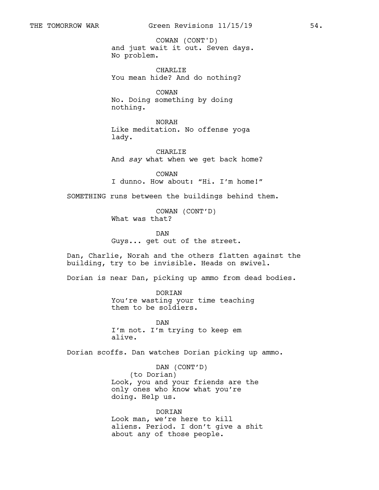and just wait it out. Seven days. No problem. COWAN (CONT'D)

CHARLIE You mean hide? And do nothing?

COWAN No. Doing something by doing nothing.

NORAH Like meditation. No offense yoga lady.

CHARLIE And *say* what when we get back home?

COWAN I dunno. How about: "Hi. I'm home!"

SOMETHING runs between the buildings behind them.

COWAN (CONT'D) What was that?

DAN Guys... get out of the street.

Dan, Charlie, Norah and the others flatten against the building, try to be invisible. Heads on swivel.

Dorian is near Dan, picking up ammo from dead bodies.

DORIAN You're wasting your time teaching them to be soldiers.

**DAN** I'm not. I'm trying to keep em alive.

Dorian scoffs. Dan watches Dorian picking up ammo.

DAN (CONT'D) (to Dorian) Look, you and your friends are the only ones who know what you're doing. Help us.

DORIAN Look man, we're here to kill aliens. Period. I don't give a shit about any of those people.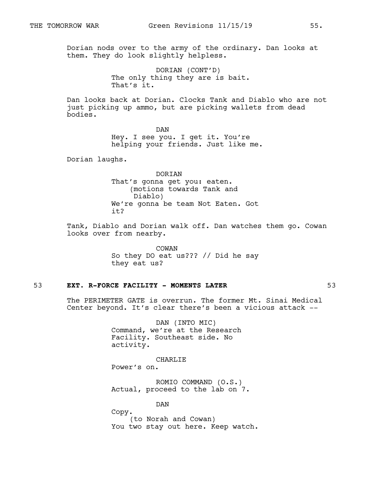Dorian nods over to the army of the ordinary. Dan looks at them. They do look slightly helpless.

> DORIAN (CONT'D) The only thing they are is bait. That's it.

Dan looks back at Dorian. Clocks Tank and Diablo who are not just picking up ammo, but are picking wallets from dead bodies.

> DAN Hey. I see you. I get it. You're helping your friends. Just like me.

Dorian laughs.

DORIAN That's gonna get you: eaten. (motions towards Tank and Diablo) We're gonna be team Not Eaten. Got it?

Tank, Diablo and Dorian walk off. Dan watches them go. Cowan looks over from nearby.

> COWAN So they DO eat us??? // Did he say they eat us?

#### 53 **EXT. R-FORCE FACILITY - MOMENTS LATER** 53

The PERIMETER GATE is overrun. The former Mt. Sinai Medical Center beyond. It's clear there's been a vicious attack --

> DAN (INTO MIC) Command, we're at the Research Facility. Southeast side. No activity.

> > CHARLIE

Power's on.

ROMIO COMMAND (O.S.) Actual, proceed to the lab on 7.

DAN

Copy.

(to Norah and Cowan) You two stay out here. Keep watch.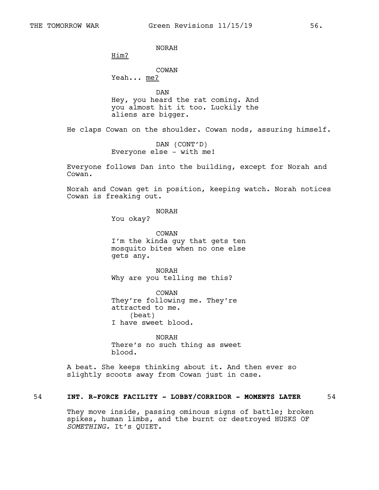NORAH

Him?

COWAN

Yeah... me?

DAN Hey, you heard the rat coming. And you almost hit it too. Luckily the aliens are bigger.

He claps Cowan on the shoulder. Cowan nods, assuring himself.

DAN (CONT'D) Everyone else - with me!

Everyone follows Dan into the building, except for Norah and Cowan.

Norah and Cowan get in position, keeping watch. Norah notices Cowan is freaking out.

NORAH

You okay?

COWAN I'm the kinda guy that gets ten mosquito bites when no one else gets any.

NORAH Why are you telling me this?

COWAN They're following me. They're attracted to me. (beat) I have sweet blood.

NORAH There's no such thing as sweet blood.

A beat. She keeps thinking about it. And then ever so slightly scoots away from Cowan just in case.

# 54 **INT. R-FORCE FACILITY - LOBBY/CORRIDOR - MOMENTS LATER** 54

They move inside, passing ominous signs of battle; broken spikes, human limbs, and the burnt or destroyed HUSKS OF *SOMETHING.* It's QUIET.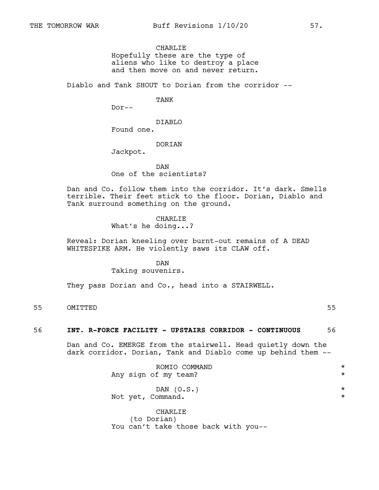# CHARLIE

Hopefully these are the type of aliens who like to destroy a place and then move on and never return.

Diablo and Tank SHOUT to Dorian from the corridor --

TANK

Dor--

DIABLO Found one.

**DORTAN** 

Jackpot.

DAN One of the scientists?

Dan and Co. follow them into the corridor. It's dark. Smells terrible. Their feet stick to the floor. Dorian, Diablo and Tank surround something on the ground.

> CHARLIE What's he doing...?

Reveal: Dorian kneeling over burnt-out remains of A DEAD WHITESPIKE ARM. He violently saws its CLAW off.

#### DAN

Taking souvenirs.

They pass Dorian and Co., head into a STAIRWELL.

55 OMITTED 55

# 56 **INT. R-FORCE FACILITY - UPSTAIRS CORRIDOR - CONTINUOUS** 56

Dan and Co. EMERGE from the stairwell. Head quietly down the dark corridor. Dorian, Tank and Diablo come up behind them --

| ROMIO COMMAND                        | $\star$ |
|--------------------------------------|---------|
| Any sign of my team?                 | $\star$ |
| DAN $(0.S.)$                         | $\star$ |
| Not yet, Command.                    | $\star$ |
| CHARLIE                              |         |
| (to Dorian)                          |         |
| You can't take those back with you-- |         |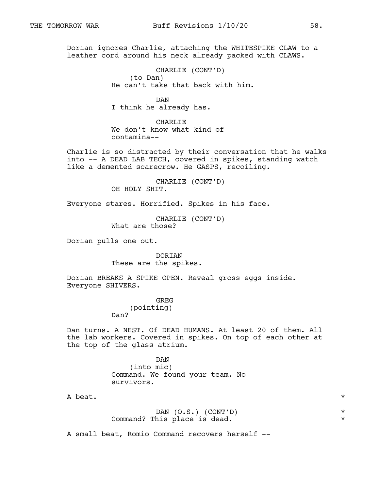Dorian ignores Charlie, attaching the WHITESPIKE CLAW to a leather cord around his neck already packed with CLAWS.

> CHARLIE (CONT'D) (to Dan) He can't take that back with him.

> > DAN

I think he already has.

CHARLIE We don't know what kind of contamina--

Charlie is so distracted by their conversation that he walks into -- A DEAD LAB TECH, covered in spikes, standing watch like a demented scarecrow. He GASPS, recoiling.

> CHARLIE (CONT'D) OH HOLY SHIT.

Everyone stares. Horrified. Spikes in his face.

CHARLIE (CONT'D) What are those?

Dorian pulls one out.

DORIAN These are the spikes.

Dorian BREAKS A SPIKE OPEN. Reveal gross eggs inside. Everyone SHIVERS.

> GREG (pointing) Dan?

Dan turns. A NEST. Of DEAD HUMANS. At least 20 of them. All the lab workers. Covered in spikes. On top of each other at the top of the glass atrium.

> DAN (into mic) Command. We found your team. No survivors.

A beat.  $\star$ 

|                              |  | DAN $(O.S.)$ $(CONT'D)$ |  |
|------------------------------|--|-------------------------|--|
| Command? This place is dead. |  |                         |  |

A small beat, Romio Command recovers herself --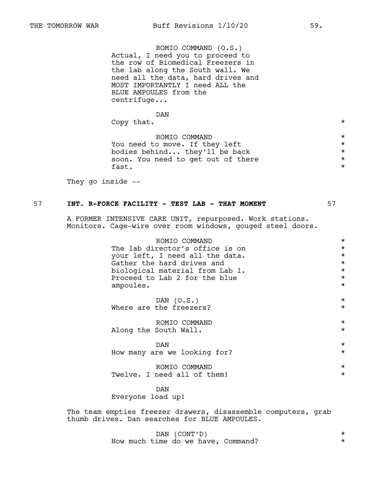ROMIO COMMAND (O.S.) Actual, I need you to proceed to the row of Biomedical Freezers in the lab along the South wall. We need all the data, hard drives and MOST IMPORTANTLY I need ALL the BLUE AMPOULES from the centrifuge...

| DAN                                |  |
|------------------------------------|--|
| Copy that.                         |  |
| ROMTO COMMAND                      |  |
| You need to move. If they left     |  |
| bodies behind they'll be back      |  |
| soon. You need to get out of there |  |

fast.  $\star$ 

They go inside --

# 57 **INT. R-FORCE FACILITY - TEST LAB - THAT MOMENT** 57

A FORMER INTENSIVE CARE UNIT, repurposed. Work stations. Monitors. Cage-wire over room windows, gouged steel doors.

> ROMIO COMMAND \* The lab director's office is on  $\star$ <br>your left. I need all the data. your left, I need all the data.<br>Gather the hard drives and \* \* \* \* \* \* \* Gather the hard drives and  $\star$ <br>biological material from Lab 1. biological material from Lab 1. \* Proceed to Lab 2 for the blue  $*$ <br>ampoules ampoules.

> $DAN (O.S.)$  \* Where are the freezers?  $\qquad \qquad \star$

> ROMIO COMMAND \* Along the South Wall.  $\star$

> $DAN$   $*$ How many are we looking for? \*

|                             | ROMTO COMMAND |  |  |  |
|-----------------------------|---------------|--|--|--|
| Twelve. I need all of them! |               |  |  |  |

DAN Everyone load up!

The team empties freezer drawers, disassemble computers, grab thumb drives. Dan searches for BLUE AMPOULES.

> DAN (CONT'D) \* How much time do we have, Command?  $*$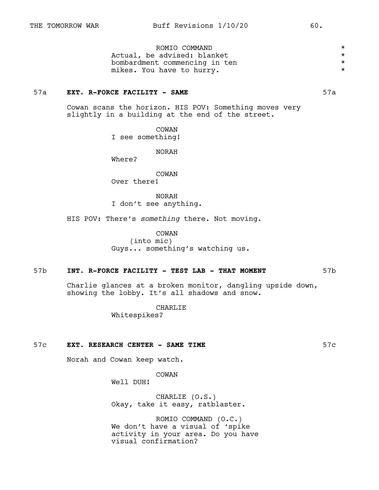ROMIO COMMAND \* Actual, be advised: blanket bombardment commencing in ten  $*$ mikes. You have to hurry.  $\star$ 

#### 57a **EXT. R-FORCE FACILITY - SAME** 57a

Cowan scans the horizon. HIS POV: Something moves very slightly in a building at the end of the street.

> COWAN I see something!

> > NORAH

Where?

COWAN

Over there!

NORAH I don't see anything.

HIS POV: There's *something* there. Not moving.

COWAN (into mic) Guys... something's watching us.

#### 57b **INT. R-FORCE FACILITY - TEST LAB - THAT MOMENT** 57b

Charlie glances at a broken monitor, dangling upside down, showing the lobby. It's all shadows and snow.

> CHARLIE Whitespikes?

#### 57c **EXT. RESEARCH CENTER - SAME TIME** 57c

Norah and Cowan keep watch.

COWAN

Well DUH!

CHARLIE (O.S.) Okay, take it easy, ratblaster.

ROMIO COMMAND (O.C.) We don't have a visual of 'spike activity in your area. Do you have visual confirmation?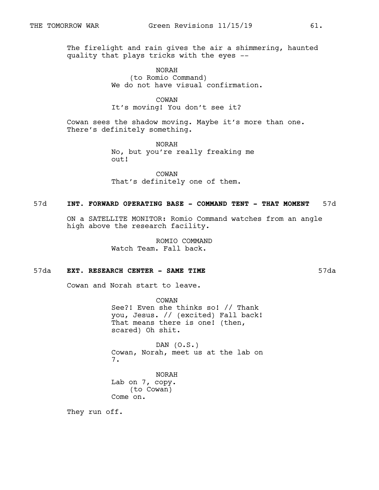The firelight and rain gives the air a shimmering, haunted quality that plays tricks with the eyes --

> NORAH (to Romio Command) We do not have visual confirmation.

#### COWAN It's moving! You don't see it?

Cowan sees the shadow moving. Maybe it's more than one. There's definitely something.

> NORAH No, but you're really freaking me out!

COWAN That's definitely one of them.

# 57d **INT. FORWARD OPERATING BASE - COMMAND TENT - THAT MOMENT** 57d

ON a SATELLITE MONITOR: Romio Command watches from an angle high above the research facility.

> ROMIO COMMAND Watch Team. Fall back.

# 57da **EXT. RESEARCH CENTER - SAME TIME** 57da

Cowan and Norah start to leave.

COWAN See?! Even she thinks so! // Thank you, Jesus. // (excited) Fall back! That means there is one! (then, scared) Oh shit.

DAN (O.S.) Cowan, Norah, meet us at the lab on 7.

NORAH Lab on 7, copy. (to Cowan) Come on.

They run off.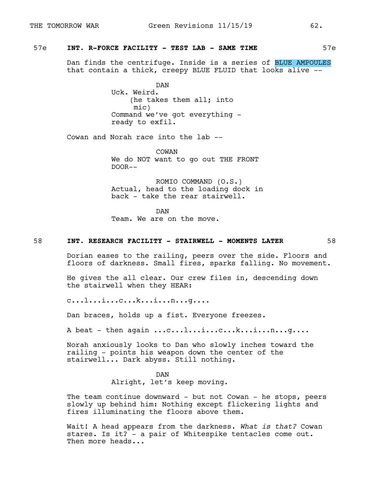# 57e **INT. R-FORCE FACILITY - TEST LAB - SAME TIME** 57e

Dan finds the centrifuge. Inside is a series of BLUE AMPOULES that contain a thick, creepy BLUE FLUID that looks alive --

> DAN Uck. Weird. (he takes them all; into mic) Command we've got everything ready to exfil.

Cowan and Norah race into the lab --

COWAN We do NOT want to go out THE FRONT DOOR--

ROMIO COMMAND (O.S.) Actual, head to the loading dock in back - take the rear stairwell.

DAN Team. We are on the move.

#### 58 **INT. RESEARCH FACILITY - STAIRWELL - MOMENTS LATER** 58

Dorian eases to the railing, peers over the side. Floors and floors of darkness. Small fires, sparks falling. No movement.

He gives the all clear. Our crew files in, descending down the stairwell when they HEAR:

c...l...i...c...k...i...n...g....

Dan braces, holds up a fist. Everyone freezes.

A beat - then again ...c...l...i...c...k...i...n...g....

Norah anxiously looks to Dan who slowly inches toward the railing - points his weapon down the center of the stairwell... Dark abyss. Still nothing.

#### DAN

Alright, let's keep moving.

The team continue downward - but not Cowan - he stops, peers slowly up behind him: Nothing except flickering lights and fires illuminating the floors above them.

Wait! A head appears from the darkness. *What is that?* Cowan stares. Is it? - a pair of Whitespike tentacles come out. Then more heads...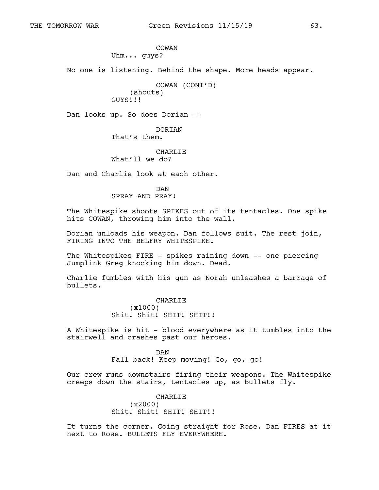COWAN Uhm... guys?

No one is listening. Behind the shape. More heads appear.

COWAN (CONT'D) (shouts) GUYS!!!

Dan looks up. So does Dorian --

#### DORIAN

That's them.

# CHARLIE

What'll we do?

Dan and Charlie look at each other.

#### DAN SPRAY AND PRAY!

The Whitespike shoots SPIKES out of its tentacles. One spike hits COWAN, throwing him into the wall.

Dorian unloads his weapon. Dan follows suit. The rest join, FIRING INTO THE BELFRY WHITESPIKE.

The Whitespikes FIRE - spikes raining down -- one piercing Jumplink Greg knocking him down. Dead.

Charlie fumbles with his gun as Norah unleashes a barrage of bullets.

> CHARLIE (x1000) Shit. Shit! SHIT! SHIT!!

A Whitespike is hit - blood everywhere as it tumbles into the stairwell and crashes past our heroes.

> DAN Fall back! Keep moving! Go, go, go!

Our crew runs downstairs firing their weapons. The Whitespike creeps down the stairs, tentacles up, as bullets fly.

# CHARLIE (x2000) Shit. Shit! SHIT! SHIT!!

It turns the corner. Going straight for Rose. Dan FIRES at it next to Rose. BULLETS FLY EVERYWHERE.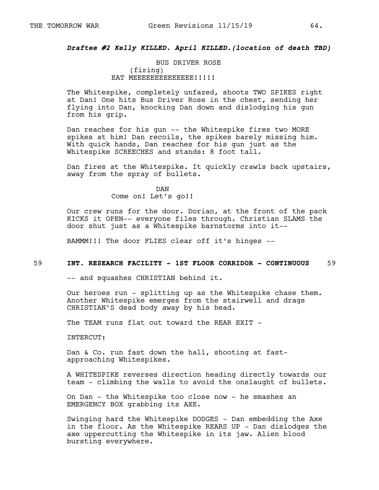# *Draftee #2 Kelly KILLED. April KILLED.(location of death TBD)*

BUS DRIVER ROSE (firing) EAT MEEEEEEEEEEEEE!!!!!

The Whitespike, completely unfazed, shoots TWO SPIKES right at Dan! One hits Bus Driver Rose in the chest, sending her flying into Dan, knocking Dan down and dislodging his gun from his grip.

Dan reaches for his gun -- the Whitespike fires two MORE spikes at him! Dan recoils, the spikes barely missing him. With quick hands, Dan reaches for his gun just as the Whitespike SCREECHES and stands: 8 foot tall.

Dan fires at the Whitespike. It quickly crawls back upstairs, away from the spray of bullets.

> DAN Come on! Let's go!!

Our crew runs for the door. Dorian, at the front of the pack KICKS it OPEN-- everyone files through. Christian SLAMS the door shut just as a Whitespike barnstorms into it--

BAMMM!!! The door FLIES clear off it's hinges --

#### 59 **INT. RESEARCH FACILITY - 1ST FLOOR CORRIDOR - CONTINUOUS** 59

-- and squashes CHRISTIAN behind it.

Our heroes run - splitting up as the Whitespike chase them. Another Whitespike emerges from the stairwell and drags CHRISTIAN'S dead body away by his head.

The TEAM runs flat out toward the REAR EXIT -

INTERCUT:

Dan & Co. run fast down the hall, shooting at fastapproaching Whitespikes.

A WHITESPIKE reverses direction heading directly towards our team - climbing the walls to avoid the onslaught of bullets.

On Dan - the Whitespike too close now - he smashes an EMERGENCY BOX grabbing its AXE.

Swinging hard the Whitespike DODGES - Dan embedding the Axe in the floor. As the Whitespike REARS UP - Dan dislodges the axe uppercutting the Whitespike in its jaw. Alien blood bursting everywhere.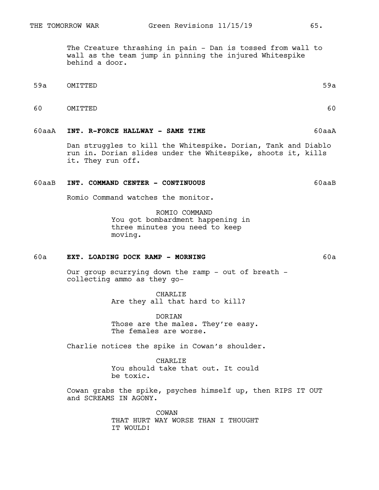The Creature thrashing in pain - Dan is tossed from wall to wall as the team jump in pinning the injured Whitespike behind a door.

- 59a OMITTED 59a
- 60 OMITTED 60

#### 60aaA **INT. R-FORCE HALLWAY - SAME TIME** 60aaA

Dan struggles to kill the Whitespike. Dorian, Tank and Diablo run in. Dorian slides under the Whitespike, shoots it, kills it. They run off.

#### 60aaB **INT. COMMAND CENTER - CONTINUOUS** 60aaB

Romio Command watches the monitor.

ROMIO COMMAND You got bombardment happening in three minutes you need to keep moving.

# 60a **EXT. LOADING DOCK RAMP - MORNING** 60a

Our group scurrying down the ramp - out of breath collecting ammo as they go-

> CHARLIE Are they all that hard to kill?

DORIAN Those are the males. They're easy. The females are worse.

Charlie notices the spike in Cowan's shoulder.

CHARLIE You should take that out. It could be toxic.

Cowan grabs the spike, psyches himself up, then RIPS IT OUT and SCREAMS IN AGONY.

> COWAN THAT HURT WAY WORSE THAN I THOUGHT IT WOULD!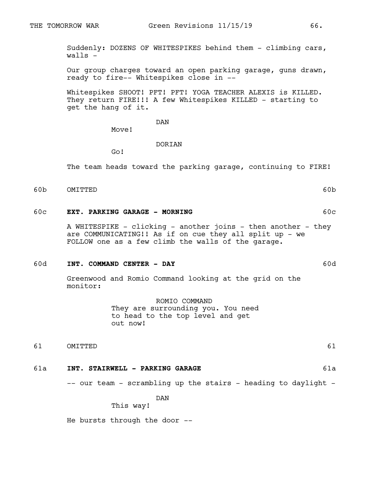Suddenly: DOZENS OF WHITESPIKES behind them - climbing cars, walls -

Our group charges toward an open parking garage, guns drawn, ready to fire-- Whitespikes close in --

Whitespikes SHOOT! PFT! PFT! YOGA TEACHER ALEXIS is KILLED. They return FIRE!!! A few Whitespikes KILLED - starting to get the hang of it.

DAN

Move!

#### **DORTAN**

Go!

The team heads toward the parking garage, continuing to FIRE!

60b OMITTED 60b

#### 60c **EXT. PARKING GARAGE - MORNING** 60c

A WHITESPIKE - clicking - another joins - then another - they are COMMUNICATING!! As if on cue they all split up - we FOLLOW one as a few climb the walls of the garage.

#### 60d **INT. COMMAND CENTER - DAY** 60d

Greenwood and Romio Command looking at the grid on the monitor:

> ROMIO COMMAND They are surrounding you. You need to head to the top level and get out now!

61 OMITTED 61

# 61a **INT. STAIRWELL - PARKING GARAGE** 61a

-- our team - scrambling up the stairs - heading to daylight -

DAN

# This way!

He bursts through the door --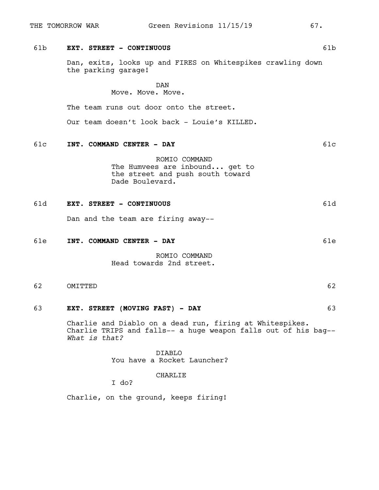# 61b **EXT. STREET - CONTINUOUS** 61b

Dan, exits, looks up and FIRES on Whitespikes crawling down the parking garage!

DAN

Move. Move. Move.

The team runs out door onto the street.

Our team doesn't look back - Louie's KILLED.

# 61c **INT. COMMAND CENTER - DAY** 61c

ROMIO COMMAND The Humvees are inbound... get to the street and push south toward Dade Boulevard.

# 61d **EXT. STREET - CONTINUOUS** 61d

Dan and the team are firing away--

#### 61e **INT. COMMAND CENTER - DAY** 61e

ROMIO COMMAND Head towards 2nd street.

62 OMITTED 62

# 63 **EXT. STREET (MOVING FAST) - DAY** 63

Charlie and Diablo on a dead run, firing at Whitespikes. Charlie TRIPS and falls-- a huge weapon falls out of his bag-- *What is that?*

> DIABLO You have a Rocket Launcher?

> > CHARLIE

I do?

Charlie, on the ground, keeps firing!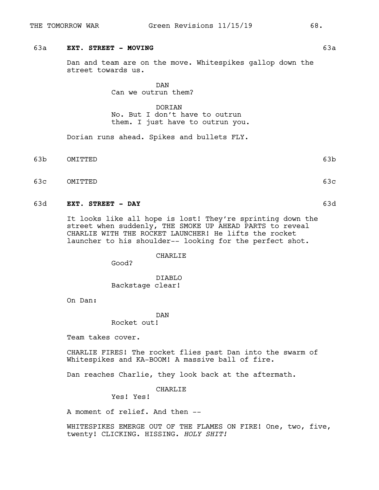# 63a **EXT. STREET - MOVING** 63a

Dan and team are on the move. Whitespikes gallop down the street towards us.

> DAN Can we outrun them?

DORIAN No. But I don't have to outrun them. I just have to outrun you.

Dorian runs ahead. Spikes and bullets FLY.

- 63b OMITTED 63b
- 63c OMITTED 63c

#### 63d **EXT. STREET - DAY** 63d

It looks like all hope is lost! They're sprinting down the street when suddenly, THE SMOKE UP AHEAD PARTS to reveal CHARLIE WITH THE ROCKET LAUNCHER! He lifts the rocket launcher to his shoulder-- looking for the perfect shot.

CHARLIE

Good?

DIABLO Backstage clear!

On Dan:

DAN

Rocket out!

Team takes cover.

CHARLIE FIRES! The rocket flies past Dan into the swarm of Whitespikes and KA-BOOM! A massive ball of fire.

Dan reaches Charlie, they look back at the aftermath.

CHARLIE

Yes! Yes!

A moment of relief. And then --

WHITESPIKES EMERGE OUT OF THE FLAMES ON FIRE! One, two, five, twenty! CLICKING. HISSING. *HOLY SHIT!*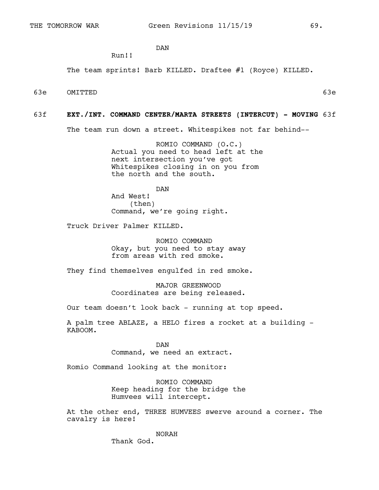DAN

Run!!

The team sprints! Barb KILLED. Draftee #1 (Royce) KILLED.

63e OMITTED 63e

#### 63f **EXT./INT. COMMAND CENTER/MARTA STREETS (INTERCUT) - MOVING** 63f

The team run down a street. Whitespikes not far behind--

ROMIO COMMAND (O.C.) Actual you need to head left at the next intersection you've got Whitespikes closing in on you from the north and the south.

DAN And West! (then) Command, we're going right.

Truck Driver Palmer KILLED.

ROMIO COMMAND Okay, but you need to stay away from areas with red smoke.

They find themselves engulfed in red smoke.

MAJOR GREENWOOD Coordinates are being released.

Our team doesn't look back - running at top speed.

A palm tree ABLAZE, a HELO fires a rocket at a building - KABOOM.

> DAN Command, we need an extract.

Romio Command looking at the monitor:

ROMIO COMMAND Keep heading for the bridge the Humvees will intercept.

At the other end, THREE HUMVEES swerve around a corner. The cavalry is here!

NORAH

Thank God.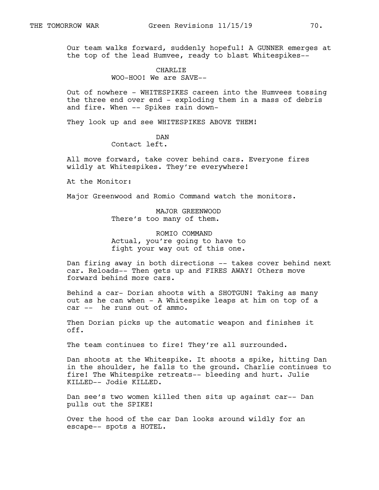Our team walks forward, suddenly hopeful! A GUNNER emerges at the top of the lead Humvee, ready to blast Whitespikes--

# CHARLIE

WOO-HOO! We are SAVE--

Out of nowhere - WHITESPIKES careen into the Humvees tossing the three end over end - exploding them in a mass of debris and fire. When -- Spikes rain down-

They look up and see WHITESPIKES ABOVE THEM!

DAN Contact left.

All move forward, take cover behind cars. Everyone fires wildly at Whitespikes. They're everywhere!

At the Monitor:

Major Greenwood and Romio Command watch the monitors.

MAJOR GREENWOOD There's too many of them.

ROMIO COMMAND Actual, you're going to have to fight your way out of this one.

Dan firing away in both directions -- takes cover behind next car. Reloads-- Then gets up and FIRES AWAY! Others move forward behind more cars.

Behind a car- Dorian shoots with a SHOTGUN! Taking as many out as he can when - A Whitespike leaps at him on top of  $\overline{a}$ car -- he runs out of ammo.

Then Dorian picks up the automatic weapon and finishes it off.

The team continues to fire! They're all surrounded.

Dan shoots at the Whitespike. It shoots a spike, hitting Dan in the shoulder, he falls to the ground. Charlie continues to fire! The Whitespike retreats-- bleeding and hurt. Julie KILLED-- Jodie KILLED.

Dan see's two women killed then sits up against car-- Dan pulls out the SPIKE!

Over the hood of the car Dan looks around wildly for an escape-- spots a HOTEL.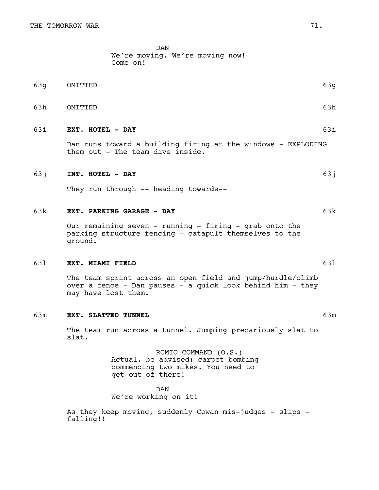DAN We're moving. We're moving now!

|          | We see moving. We see moving now. |  |  |
|----------|-----------------------------------|--|--|
| Come on! |                                   |  |  |
|          |                                   |  |  |
|          |                                   |  |  |

- 63g OMITTED 63g
- 63h OMITTED 63h

# 63i **EXT. HOTEL - DAY** 63i

Dan runs toward a building firing at the windows - EXPLODING them out - The team dive inside.

#### 63j **INT. HOTEL - DAY** 63j

They run through -- heading towards--

#### 63k **EXT. PARKING GARAGE - DAY** 63k

Our remaining seven - running - firing - grab onto the parking structure fencing - catapult themselves to the ground.

#### 63l **EXT. MIAMI FIELD** 63l

The team sprint across an open field and jump/hurdle/climb over a fence - Dan pauses - a quick look behind him - they may have lost them.

#### 63m **EXT. SLATTED TUNNEL** 63m

The team run across a tunnel. Jumping precariously slat to slat.

> ROMIO COMMAND (O.S.) Actual, be advised: carpet bombing commencing two mikes. You need to get out of there!

DAN We're working on it!

As they keep moving, suddenly Cowan mis-judges - slips falling!!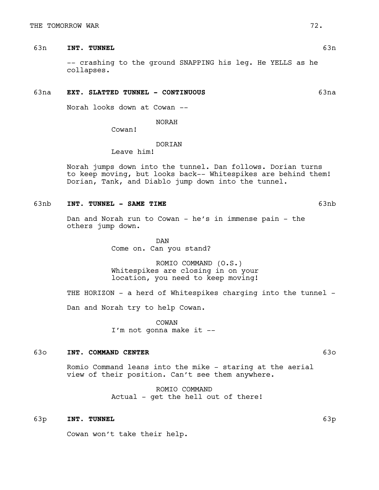# 63n **INT. TUNNEL** 63n

-- crashing to the ground SNAPPING his leg. He YELLS as he collapses.

## 63na **EXT. SLATTED TUNNEL - CONTINUOUS** 63na

Norah looks down at Cowan --

NORAH

Cowan!

## **DORTAN**

Leave him!

Norah jumps down into the tunnel. Dan follows. Dorian turns to keep moving, but looks back-- Whitespikes are behind them! Dorian, Tank, and Diablo jump down into the tunnel.

# 63nb **INT. TUNNEL - SAME TIME** 63nb

Dan and Norah run to Cowan - he's in immense pain - the others jump down.

> DAN Come on. Can you stand?

ROMIO COMMAND (O.S.) Whitespikes are closing in on your location, you need to keep moving!

THE HORIZON - a herd of Whitespikes charging into the tunnel -

Dan and Norah try to help Cowan.

COWAN I'm not gonna make it --

## 63o **INT. COMMAND CENTER** 63o

Romio Command leans into the mike - staring at the aerial view of their position. Can't see them anywhere.

> ROMIO COMMAND Actual - get the hell out of there!

# 63p **INT. TUNNEL** 63p

Cowan won't take their help.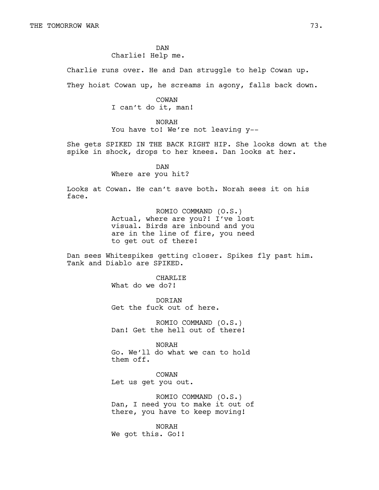DAN Charlie! Help me.

Charlie runs over. He and Dan struggle to help Cowan up.

They hoist Cowan up, he screams in agony, falls back down.

COWAN I can't do it, man!

NORAH You have to! We're not leaving y--

She gets SPIKED IN THE BACK RIGHT HIP. She looks down at the spike in shock, drops to her knees. Dan looks at her.

> DAN Where are you hit?

Looks at Cowan. He can't save both. Norah sees it on his face.

> ROMIO COMMAND (O.S.) Actual, where are you?! I've lost visual. Birds are inbound and you are in the line of fire, you need to get out of there!

Dan sees Whitespikes getting closer. Spikes fly past him. Tank and Diablo are SPIKED.

> CHARLIE What do we do?!

DORIAN Get the fuck out of here.

ROMIO COMMAND (O.S.) Dan! Get the hell out of there!

NORAH Go. We'll do what we can to hold them off.

COWAN Let us get you out.

ROMIO COMMAND (O.S.) Dan, I need you to make it out of there, you have to keep moving!

NORAH We got this. Go!!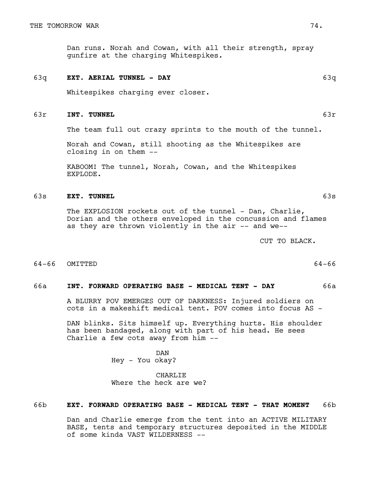Dan runs. Norah and Cowan, with all their strength, spray gunfire at the charging Whitespikes.

#### 63q **EXT. AERIAL TUNNEL - DAY** 63q

Whitespikes charging ever closer.

#### 63r **INT. TUNNEL** 63r

The team full out crazy sprints to the mouth of the tunnel.

Norah and Cowan, still shooting as the Whitespikes are closing in on them --

KABOOM! The tunnel, Norah, Cowan, and the Whitespikes EXPLODE.

#### 63s **EXT. TUNNEL** 63s

The EXPLOSION rockets out of the tunnel - Dan, Charlie, Dorian and the others enveloped in the concussion and flames as they are thrown violently in the air -- and we--

CUT TO BLACK.

64-66 OMITTED 64-66

# 66a **INT. FORWARD OPERATING BASE - MEDICAL TENT - DAY** 66a

A BLURRY POV EMERGES OUT OF DARKNESS: Injured soldiers on cots in a makeshift medical tent. POV comes into focus AS -

DAN blinks. Sits himself up. Everything hurts. His shoulder has been bandaged, along with part of his head. He sees Charlie a few cots away from him --

> DAN Hey - You okay?

CHARLIE Where the heck are we?

# 66b **EXT. FORWARD OPERATING BASE - MEDICAL TENT - THAT MOMENT** 66b

Dan and Charlie emerge from the tent into an ACTIVE MILITARY BASE, tents and temporary structures deposited in the MIDDLE of some kinda VAST WILDERNESS --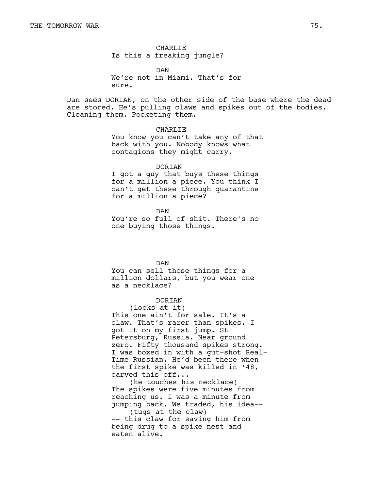CHARLIE Is this a freaking jungle?

DAN We're not in Miami. That's for sure.

Dan sees DORIAN, on the other side of the base where the dead are stored. He's pulling claws and spikes out of the bodies. Cleaning them. Pocketing them.

#### CHARLIE

You know you can't take any of that back with you. Nobody knows what contagions they might carry.

# DORIAN

I got a guy that buys these things for a million a piece. You think I can't get these through quarantine for a million a piece?

DAN

You're so full of shit. There's no one buying those things.

DAN

You can sell those things for a million dollars, but you wear one as a necklace?

#### DORIAN

(looks at it) This one ain't for sale. It's a claw. That's rarer than spikes. I got it on my first jump. St Petersburg, Russia. Near ground zero. Fifty thousand spikes strong. I was boxed in with a gut-shot Real-Time Russian. He'd been there when the first spike was killed in '48, carved this off...

(he touches his necklace) The spikes were five minutes from reaching us. I was a minute from jumping back. We traded, his idea--

(tugs at the claw) -- this claw for saving him from being drug to a spike nest and eaten alive.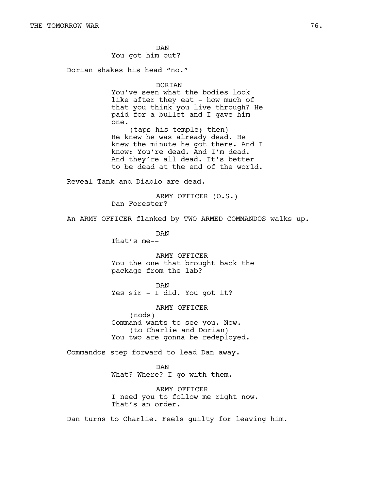DAN You got him out?

Dorian shakes his head "no."

#### DORIAN

You've seen what the bodies look like after they eat - how much of that you think you live through? He paid for a bullet and I gave him one. (taps his temple; then)

He knew he was already dead. He knew the minute he got there. And I know: You're dead. And I'm dead. And they're all dead. It's better to be dead at the end of the world.

Reveal Tank and Diablo are dead.

ARMY OFFICER (O.S.) Dan Forester?

An ARMY OFFICER flanked by TWO ARMED COMMANDOS walks up.

DAN That's me--

ARMY OFFICER You the one that brought back the package from the lab?

DAN Yes sir - I did. You got it?

ARMY OFFICER (nods) Command wants to see you. Now. (to Charlie and Dorian) You two are gonna be redeployed.

Commandos step forward to lead Dan away.

DAN What? Where? I go with them.

ARMY OFFICER I need you to follow me right now. That's an order.

Dan turns to Charlie. Feels guilty for leaving him.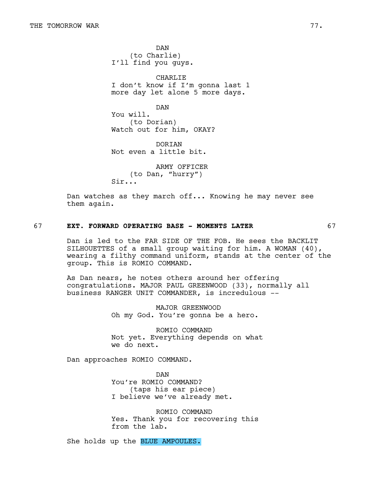DAN (to Charlie) I'll find you guys.

CHARLIE I don't know if I'm gonna last 1 more day let alone 5 more days.

DAN You will. (to Dorian) Watch out for him, OKAY?

**DORTAN** Not even a little bit.

ARMY OFFICER (to Dan, "hurry") Sir...

Dan watches as they march off... Knowing he may never see them again.

# 67 **EXT. FORWARD OPERATING BASE - MOMENTS LATER** 67

Dan is led to the FAR SIDE OF THE FOB. He sees the BACKLIT SILHOUETTES of a small group waiting for him. A WOMAN (40), wearing a filthy command uniform, stands at the center of the group. This is ROMIO COMMAND.

As Dan nears, he notes others around her offering congratulations. MAJOR PAUL GREENWOOD (33), normally all business RANGER UNIT COMMANDER, is incredulous --

> MAJOR GREENWOOD Oh my God. You're gonna be a hero.

ROMIO COMMAND Not yet. Everything depends on what we do next.

Dan approaches ROMIO COMMAND.

DAN You're ROMIO COMMAND? (taps his ear piece) I believe we've already met.

ROMIO COMMAND Yes. Thank you for recovering this from the lab.

She holds up the BLUE AMPOULES.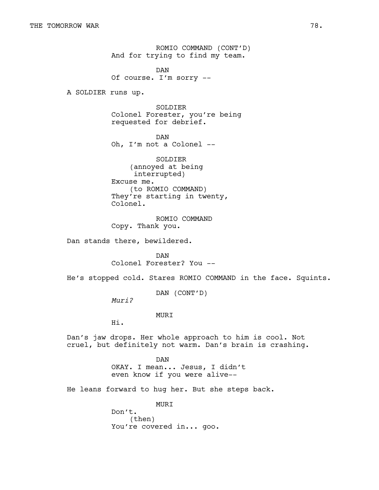ROMIO COMMAND (CONT'D) And for trying to find my team.

DAN Of course. I'm sorry --

A SOLDIER runs up.

SOLDIER Colonel Forester, you're being requested for debrief.

DAN Oh, I'm not a Colonel --

SOLDIER (annoyed at being interrupted) Excuse me. (to ROMIO COMMAND) They're starting in twenty, Colonel.

ROMIO COMMAND Copy. Thank you.

Dan stands there, bewildered.

DAN Colonel Forester? You --

He's stopped cold. Stares ROMIO COMMAND in the face. Squints.

DAN (CONT'D)

*Muri?*

MURI

Hi.

Dan's jaw drops. Her whole approach to him is cool. Not cruel, but definitely not warm. Dan's brain is crashing.

> DAN OKAY. I mean... Jesus, I didn't even know if you were alive--

He leans forward to hug her. But she steps back.

MURI Don't. (then) You're covered in... goo.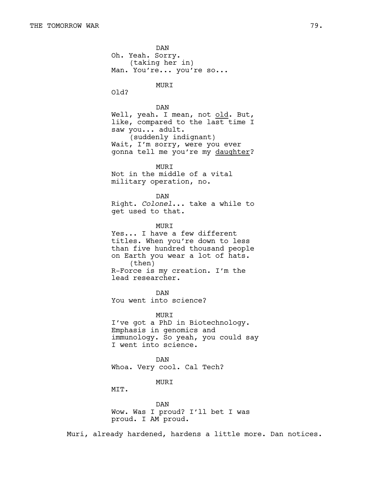DAN Oh. Yeah. Sorry. (taking her in) Man. You're... you're so... MURI Old? DAN Well, yeah. I mean, not old. But, like, compared to the last time I saw you... adult. (suddenly indignant) Wait, I'm sorry, were you ever gonna tell me you're my daughter? MURI Not in the middle of a vital military operation, no. DAN Right. *Colonel*... take a while to get used to that. **MURT** Yes... I have a few different titles. When you're down to less than five hundred thousand people on Earth you wear a lot of hats. (then) R-Force is my creation. I'm the lead researcher. DAN You went into science? MURI I've got a PhD in Biotechnology. Emphasis in genomics and immunology. So yeah, you could say I went into science. DAN Whoa. Very cool. Cal Tech? MURI MTT. DAN

Wow. Was I proud? I'll bet I was proud. I AM proud.

Muri, already hardened, hardens a little more. Dan notices.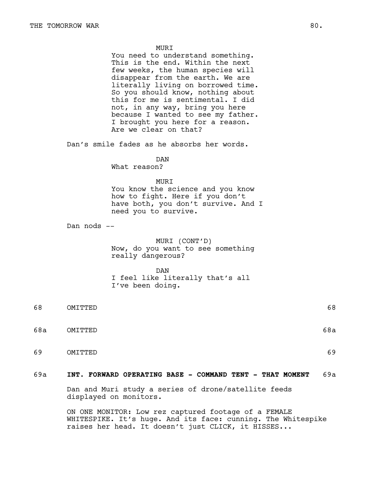#### **MURT**

You need to understand something. This is the end. Within the next few weeks, the human species will disappear from the earth. We are literally living on borrowed time. So you should know, nothing about this for me is sentimental. I did not, in any way, bring you here because I wanted to see my father. I brought you here for a reason. Are we clear on that?

Dan's smile fades as he absorbs her words.

DAN

What reason?

#### MURI

You know the science and you know how to fight. Here if you don't have both, you don't survive. And I need you to survive.

Dan nods --

# MURI (CONT'D) Now, do you want to see something really dangerous?

#### DAN

I feel like literally that's all I've been doing.

68 OMITTED 68 68a OMITTED 68a 69 OMITTED 69

# 69a **INT. FORWARD OPERATING BASE - COMMAND TENT - THAT MOMENT** 69a

Dan and Muri study a series of drone/satellite feeds displayed on monitors.

ON ONE MONITOR: Low rez captured footage of a FEMALE WHITESPIKE. It's huge. And its face: cunning. The Whitespike raises her head. It doesn't just CLICK, it HISSES...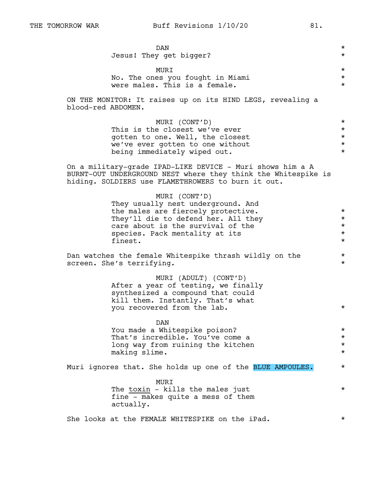ON THE MONITOR: It raises up on its HIND LEGS, revealing a blood-red ABDOMEN.

| MURI (CONT'D)                    | $\star$ |
|----------------------------------|---------|
| This is the closest we've ever   | $\star$ |
| gotten to one. Well, the closest | $\star$ |
| we've ever gotten to one without | $\star$ |
| being immediately wiped out.     | $\star$ |

On a military-grade IPAD-LIKE DEVICE - Muri shows him a A BURNT-OUT UNDERGROUND NEST where they think the Whitespike is hiding. SOLDIERS use FLAMETHROWERS to burn it out.

| MURI (CONT'D)<br>They usually nest underground. And<br>the males are fiercely protective.<br>They'll die to defend her. All they<br>care about is the survival of the<br>species. Pack mentality at its<br>finest. | $\star$<br>$\star$<br>$\star$<br>$\star$<br>$\star$ |
|--------------------------------------------------------------------------------------------------------------------------------------------------------------------------------------------------------------------|-----------------------------------------------------|
| Dan watches the female Whitespike thrash wildly on the<br>screen. She's terrifying.                                                                                                                                | $\star$<br>$\star$                                  |
| MURI (ADULT) (CONT'D)<br>After a year of testing, we finally<br>synthesized a compound that could<br>kill them. Instantly. That's what<br>you recovered from the lab.                                              | $\star$                                             |
| <b>DAN</b><br>You made a Whitespike poison?<br>That's incredible. You've come a<br>long way from ruining the kitchen<br>making slime.                                                                              | $\star$<br>$\star$<br>$\star$<br>$\star$            |
| Muri ignores that. She holds up one of the BLUE AMPOULES.                                                                                                                                                          | $\star$                                             |
| MURI<br>The toxin - kills the males just<br>fine - makes quite a mess of them<br>actually.                                                                                                                         | $\star$                                             |
| She looks at the FEMALE WHITESPIKE on the iPad.                                                                                                                                                                    | $^\star$                                            |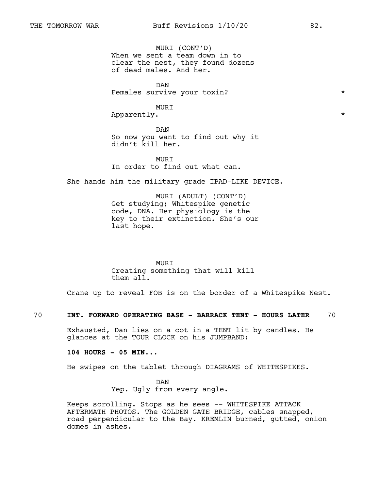MURI (CONT'D) When we sent a team down in to clear the nest, they found dozens of dead males. And her.

DAN Females survive your toxin?  $*$ 

MURI

Apparently.  $\star$ 

DAN So now you want to find out why it didn't kill her.

**MURT** In order to find out what can.

She hands him the military grade IPAD-LIKE DEVICE.

MURI (ADULT) (CONT'D) Get studying; Whitespike genetic code, DNA. Her physiology is the key to their extinction. She's our last hope.

MURI Creating something that will kill them all.

Crane up to reveal FOB is on the border of a Whitespike Nest.

70 **INT. FORWARD OPERATING BASE - BARRACK TENT - HOURS LATER** 70

Exhausted, Dan lies on a cot in a TENT lit by candles. He glances at the TOUR CLOCK on his JUMPBAND:

**104 HOURS - 05 MIN..**.

He swipes on the tablet through DIAGRAMS of WHITESPIKES.

DAN Yep. Ugly from every angle.

Keeps scrolling. Stops as he sees -- WHITESPIKE ATTACK AFTERMATH PHOTOS. The GOLDEN GATE BRIDGE, cables snapped, road perpendicular to the Bay. KREMLIN burned, gutted, onion domes in ashes.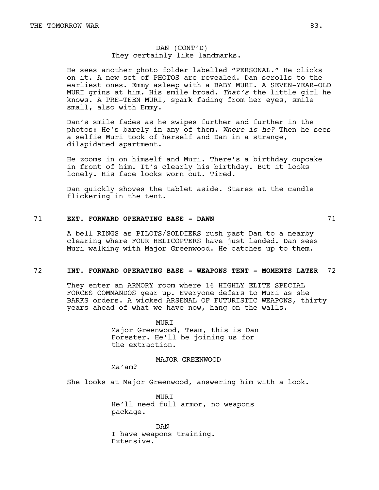# DAN (CONT'D) They certainly like landmarks.

He sees another photo folder labelled "PERSONAL." He clicks on it. A new set of PHOTOS are revealed. Dan scrolls to the earliest ones. Emmy asleep with a BABY MURI. A SEVEN-YEAR-OLD MURI grins at him. His smile broad. *That's* the little girl he knows. A PRE-TEEN MURI, spark fading from her eyes, smile small, also with Emmy.

Dan's smile fades as he swipes further and further in the photos: He's barely in any of them. *Where is he?* Then he sees a selfie Muri took of herself and Dan in a strange, dilapidated apartment.

He zooms in on himself and Muri. There's a birthday cupcake in front of him. It's clearly his birthday. But it looks lonely. His face looks worn out. Tired.

Dan quickly shoves the tablet aside. Stares at the candle flickering in the tent.

# 71 **EXT. FORWARD OPERATING BASE - DAWN** 71

A bell RINGS as PILOTS/SOLDIERS rush past Dan to a nearby clearing where FOUR HELICOPTERS have just landed. Dan sees Muri walking with Major Greenwood. He catches up to them.

#### 72 **INT. FORWARD OPERATING BASE - WEAPONS TENT - MOMENTS LATER** 72

They enter an ARMORY room where 16 HIGHLY ELITE SPECIAL FORCES COMMANDOS gear up. Everyone defers to Muri as she BARKS orders. A wicked ARSENAL OF FUTURISTIC WEAPONS, thirty years ahead of what we have now, hang on the walls.

> MURI Major Greenwood, Team, this is Dan Forester. He'll be joining us for the extraction.

> > MAJOR GREENWOOD

Ma'am?

She looks at Major Greenwood, answering him with a look.

MURI He'll need full armor, no weapons package.

DAN I have weapons training. Extensive.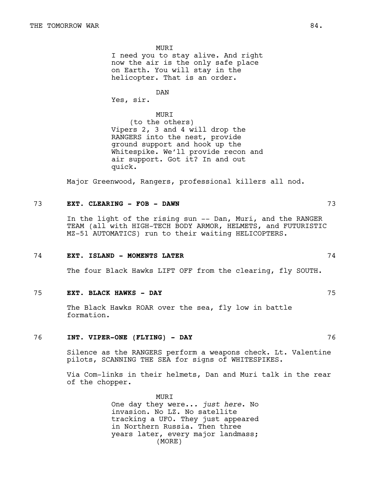MURI I need you to stay alive. And right now the air is the only safe place on Earth. You will stay in the helicopter. That is an order.

DAN

Yes, sir.

MURI (to the others) Vipers 2, 3 and 4 will drop the RANGERS into the nest, provide ground support and hook up the Whitespike. We'll provide recon and air support. Got it? In and out quick.

Major Greenwood, Rangers, professional killers all nod.

# 73 **EXT. CLEARING - FOB - DAWN** 73

In the light of the rising sun -- Dan, Muri, and the RANGER TEAM (all with HIGH-TECH BODY ARMOR, HELMETS, and FUTURISTIC MZ-51 AUTOMATICS) run to their waiting HELICOPTERS.

### 74 **EXT. ISLAND - MOMENTS LATER** 74

The four Black Hawks LIFT OFF from the clearing, fly SOUTH.

### 75 **EXT. BLACK HAWKS - DAY** 75

The Black Hawks ROAR over the sea, fly low in battle formation.

## 76 **INT. VIPER-ONE (FLYING) - DAY** 76

Silence as the RANGERS perform a weapons check. Lt. Valentine pilots, SCANNING THE SEA for signs of WHITESPIKES.

Via Com-links in their helmets, Dan and Muri talk in the rear of the chopper.

> MURI One day they were..*. just here*. No invasion. No LZ. No satellite tracking a UFO. They just appeared in Northern Russia. Then three years later, every major landmass; (MORE)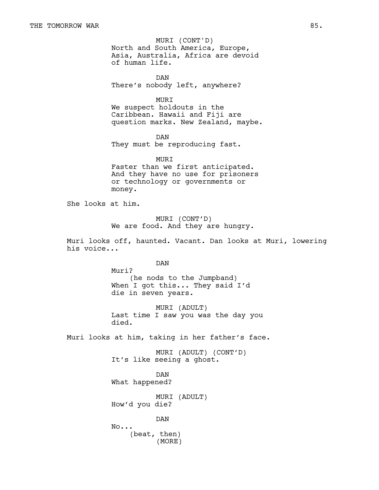North and South America, Europe, Asia, Australia, Africa are devoid of human life. MURI (CONT'D)

DAN There's nobody left, anywhere?

MURI

We suspect holdouts in the Caribbean. Hawaii and Fiji are question marks. New Zealand, maybe.

DAN They must be reproducing fast.

MURI Faster than we first anticipated. And they have no use for prisoners or technology or governments or money.

She looks at him.

MURI (CONT'D) We are food. And they are hungry.

Muri looks off, haunted. Vacant. Dan looks at Muri, lowering his voice...

DAN

Muri? (he nods to the Jumpband) When I got this... They said I'd die in seven years.

MURI (ADULT) Last time I saw you was the day you died.

Muri looks at him, taking in her father's face.

MURI (ADULT) (CONT'D) It's like seeing a ghost.

DAN What happened?

MURI (ADULT) How'd you die?

DAN

No... (beat, then) (MORE)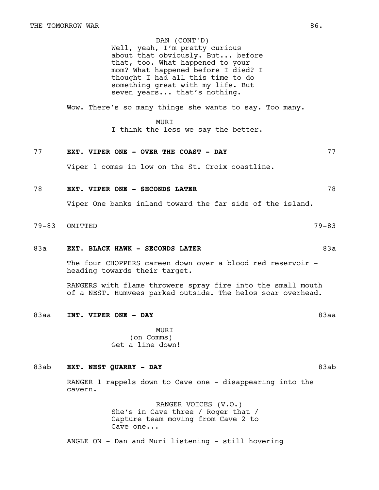# DAN (CONT'D)

Well, yeah, I'm pretty curious about that obviously. But... before that, too. What happened to your mom? What happened before I died? I thought I had all this time to do something great with my life. But seven years... that's nothing.

Wow. There's so many things she wants to say. Too many.

# MURI

I think the less we say the better.

# 77 **EXT. VIPER ONE - OVER THE COAST - DAY** 77

Viper 1 comes in low on the St. Croix coastline.

# 78 **EXT. VIPER ONE - SECONDS LATER** 78

Viper One banks inland toward the far side of the island.

## 79-83 OMITTED 79-83

## 83a **EXT. BLACK HAWK - SECONDS LATER** 83a

The four CHOPPERS careen down over a blood red reservoir heading towards their target.

RANGERS with flame throwers spray fire into the small mouth of a NEST. Humvees parked outside. The helos soar overhead.

83aa **INT. VIPER ONE - DAY** 83aa

MURI (on Comms) Get a line down!

## 83ab **EXT. NEST QUARRY - DAY** 83ab

RANGER 1 rappels down to Cave one - disappearing into the cavern.

> RANGER VOICES (V.O.) She's in Cave three / Roger that / Capture team moving from Cave 2 to Cave one...

ANGLE ON - Dan and Muri listening - still hovering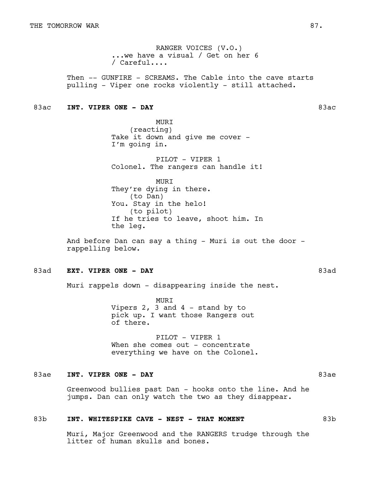RANGER VOICES (V.O.) ...we have a visual / Get on her 6 / Careful....

Then -- GUNFIRE - SCREAMS. The Cable into the cave starts pulling - Viper one rocks violently - still attached.

# 83ac **INT. VIPER ONE - DAY** 83ac

MURI (reacting) Take it down and give me cover -I'm going in.

PILOT - VIPER 1 Colonel. The rangers can handle it!

MURI They're dying in there. (to Dan) You. Stay in the helo! (to pilot) If he tries to leave, shoot him. In the leg.

And before Dan can say a thing - Muri is out the door rappelling below.

# 83ad **EXT. VIPER ONE - DAY** 83ad

Muri rappels down - disappearing inside the nest.

MURI Vipers 2, 3 and 4 - stand by to pick up. I want those Rangers out of there.

PILOT - VIPER 1 When she comes out - concentrate everything we have on the Colonel.

# 83ae **INT. VIPER ONE - DAY** 83ae

Greenwood bullies past Dan - hooks onto the line. And he jumps. Dan can only watch the two as they disappear.

## 83b **INT. WHITESPIKE CAVE - NEST - THAT MOMENT** 83b

Muri, Major Greenwood and the RANGERS trudge through the litter of human skulls and bones.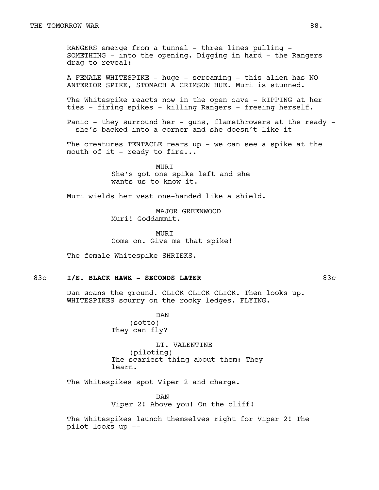RANGERS emerge from a tunnel - three lines pulling -SOMETHING - into the opening. Digging in hard - the Rangers drag to reveal:

A FEMALE WHITESPIKE - huge - screaming - this alien has NO ANTERIOR SPIKE, STOMACH A CRIMSON HUE. Muri is stunned.

The Whitespike reacts now in the open cave - RIPPING at her ties - firing spikes - killing Rangers - freeing herself.

Panic - they surround her - guns, flamethrowers at the ready -- she's backed into a corner and she doesn't like it--

The creatures TENTACLE rears up - we can see a spike at the mouth of it - ready to fire...

> MURI She's got one spike left and she wants us to know it.

Muri wields her vest one-handed like a shield.

MAJOR GREENWOOD Muri! Goddammit.

**MURT** Come on. Give me that spike!

The female Whitespike SHRIEKS.

### 83c I/E. BLACK HAWK - SECONDS LATER **83c** 83c

Dan scans the ground. CLICK CLICK CLICK. Then looks up. WHITESPIKES scurry on the rocky ledges. FLYING.

> DAN (sotto) They can fly?

LT. VALENTINE (piloting) The scariest thing about them: They learn.

The Whitespikes spot Viper 2 and charge.

DAN Viper 2! Above you! On the cliff!

The Whitespikes launch themselves right for Viper 2! The pilot looks up --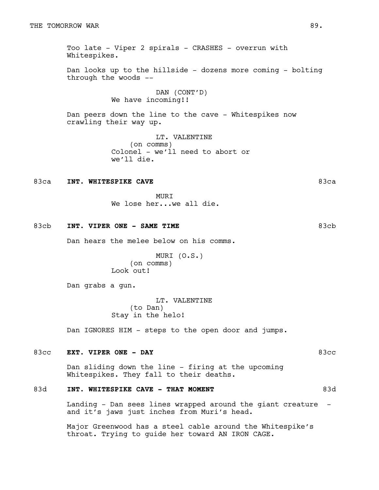Too late - Viper 2 spirals - CRASHES - overrun with Whitespikes.

Dan looks up to the hillside - dozens more coming - bolting through the woods --

> DAN (CONT'D) We have incoming!!

Dan peers down the line to the cave - Whitespikes now crawling their way up.

> LT. VALENTINE (on comms) Colonel - we'll need to abort or we'll die.

## 83ca **INT. WHITESPIKE CAVE 83ca**

**MURT** We lose her...we all die.

## 83cb **INT. VIPER ONE - SAME TIME 83cb** 83cb

Dan hears the melee below on his comms.

MURI (O.S.) (on comms) Look out!

Dan grabs a gun.

LT. VALENTINE (to Dan) Stay in the helo!

Dan IGNORES HIM - steps to the open door and jumps.

# 83cc **EXT. VIPER ONE - DAY** 83cc

Dan sliding down the line - firing at the upcoming Whitespikes. They fall to their deaths.

# 83d **INT. WHITESPIKE CAVE - THAT MOMENT** 83d

Landing - Dan sees lines wrapped around the giant creature and it's jaws just inches from Muri's head.

Major Greenwood has a steel cable around the Whitespike's throat. Trying to guide her toward AN IRON CAGE.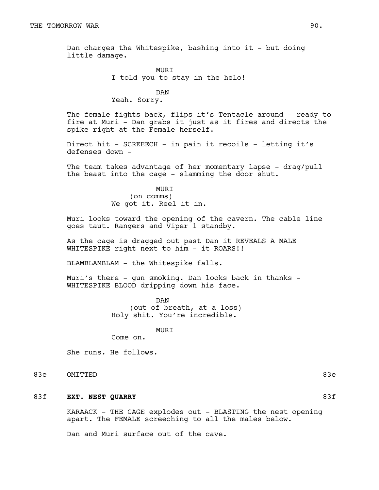Dan charges the Whitespike, bashing into it - but doing little damage.

> MURI I told you to stay in the helo!

DAN Yeah. Sorry.

The female fights back, flips it's Tentacle around - ready to fire at Muri - Dan grabs it just as it fires and directs the spike right at the Female herself.

Direct hit - SCREEECH - in pain it recoils - letting it's defenses down -

The team takes advantage of her momentary lapse - drag/pull the beast into the cage - slamming the door shut.

> MURI (on comms) We got it. Reel it in.

Muri looks toward the opening of the cavern. The cable line goes taut. Rangers and Viper 1 standby.

As the cage is dragged out past Dan it REVEALS A MALE WHITESPIKE right next to him - it ROARS!!

BLAMBLAMBLAM - the Whitespike falls.

Muri's there - gun smoking. Dan looks back in thanks - WHITESPIKE BLOOD dripping down his face.

> DAN (out of breath, at a loss) Holy shit. You're incredible.

> > MURI

Come on.

She runs. He follows.

83e OMITTED

# 83f **EXT. NEST QUARRY** 83f

KARAACK - THE CAGE explodes out - BLASTING the nest opening apart. The FEMALE screeching to all the males below.

Dan and Muri surface out of the cave.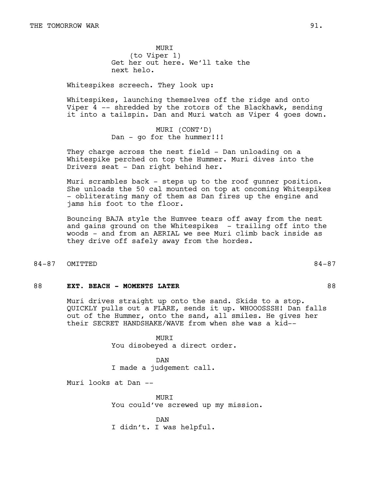**MURT** (to Viper 1) Get her out here. We'll take the next helo.

Whitespikes screech. They look up:

Whitespikes, launching themselves off the ridge and onto Viper 4 -- shredded by the rotors of the Blackhawk, sending it into a tailspin. Dan and Muri watch as Viper 4 goes down.

> MURI (CONT'D) Dan - go for the hummer!!!

They charge across the nest field - Dan unloading on a Whitespike perched on top the Hummer. Muri dives into the Drivers seat - Dan right behind her.

Muri scrambles back - steps up to the roof gunner position. She unloads the 50 cal mounted on top at oncoming Whitespikes - obliterating many of them as Dan fires up the engine and jams his foot to the floor.

Bouncing BAJA style the Humvee tears off away from the nest and gains ground on the Whitespikes - trailing off into the woods - and from an AERIAL we see Muri climb back inside as they drive off safely away from the hordes.

#### 84-87 OMITTED 84-87

#### 88 **EXT. BEACH - MOMENTS LATER** 88

Muri drives straight up onto the sand. Skids to a stop. QUICKLY pulls out a FLARE, sends it up. WHOOOSSSH! Dan falls out of the Hummer, onto the sand, all smiles. He gives her their SECRET HANDSHAKE/WAVE from when she was a kid--

> MURI You disobeyed a direct order.

DAN I made a judgement call.

Muri looks at Dan --

MURI You could've screwed up my mission.

DAN I didn't. I was helpful.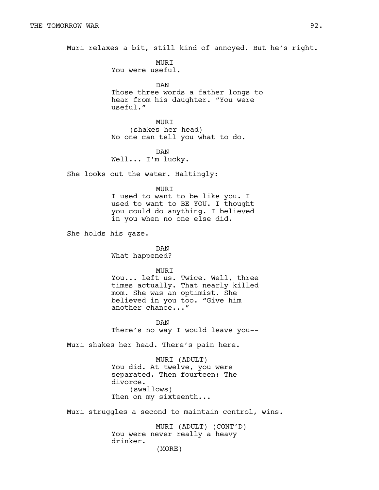Muri relaxes a bit, still kind of annoyed. But he's right.

**MURT** You were useful.

DAN Those three words a father longs to hear from his daughter. "You were useful."

MURI (shakes her head) No one can tell you what to do.

DAN Well... I'm lucky.

She looks out the water. Haltingly:

MURI

I used to want to be like you. I used to want to BE YOU. I thought you could do anything. I believed in you when no one else did.

She holds his gaze.

DAN What happened?

MURI

You... left us. Twice. Well, three times actually. That nearly killed mom. She was an optimist. She believed in you too. "Give him another chance..."

DAN There's no way I would leave you--

Muri shakes her head. There's pain here.

MURI (ADULT) You did. At twelve, you were separated. Then fourteen: The divorce. (swallows) Then on my sixteenth...

Muri struggles a second to maintain control, wins.

MURI (ADULT) (CONT'D) You were never really a heavy drinker.

(MORE)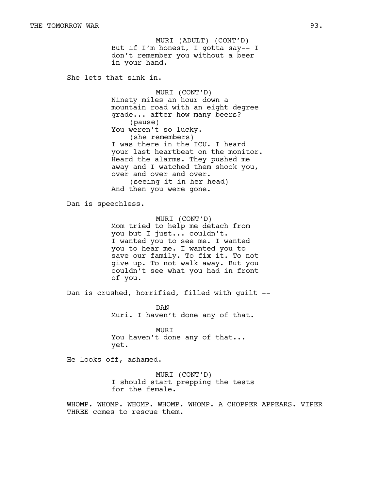But if I'm honest, I gotta say-- I don't remember you without a beer in your hand. MURI (ADULT) (CONT'D)

She lets that sink in.

MURI (CONT'D) Ninety miles an hour down a mountain road with an eight degree grade... after how many beers? (pause) You weren't so lucky. (she remembers) I was there in the ICU. I heard your last heartbeat on the monitor. Heard the alarms. They pushed me away and I watched them shock you, over and over and over. (seeing it in her head) And then you were gone.

Dan is speechless.

MURI (CONT'D) Mom tried to help me detach from you but I just... couldn't. I wanted you to see me. I wanted you to hear me. I wanted you to save our family. To fix it. To not give up. To not walk away. But you couldn't see what you had in front of you.

Dan is crushed, horrified, filled with guilt --

DAN Muri. I haven't done any of that.

MURI You haven't done any of that... yet.

He looks off, ashamed.

MURI (CONT'D) I should start prepping the tests for the female.

WHOMP. WHOMP. WHOMP. WHOMP. WHOMP. A CHOPPER APPEARS. VIPER THREE comes to rescue them.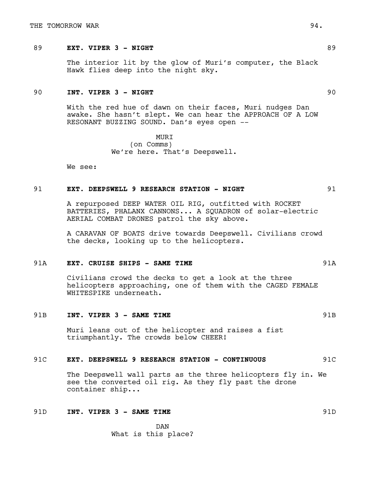# 89 **EXT. VIPER 3 - NIGHT** 89

The interior lit by the glow of Muri's computer, the Black Hawk flies deep into the night sky.

# 90 **INT. VIPER 3 - NIGHT** 90

With the red hue of dawn on their faces, Muri nudges Dan awake. She hasn't slept. We can hear the APPROACH OF A LOW RESONANT BUZZING SOUND. Dan's eyes open --

> MURI (on Comms) We're here. That's Deepswell.

We see:

### 91 **EXT. DEEPSWELL 9 RESEARCH STATION - NIGHT** 91

A repurposed DEEP WATER OIL RIG, outfitted with ROCKET BATTERIES, PHALANX CANNONS... A SQUADRON of solar-electric AERIAL COMBAT DRONES patrol the sky above.

A CARAVAN OF BOATS drive towards Deepswell. Civilians crowd the decks, looking up to the helicopters.

#### 91A **EXT. CRUISE SHIPS - SAME TIME** 91A

Civilians crowd the decks to get a look at the three helicopters approaching, one of them with the CAGED FEMALE WHITESPIKE underneath.

#### 91B **INT. VIPER 3 - SAME TIME EXAMERENT SERVICES**

Muri leans out of the helicopter and raises a fist triumphantly. The crowds below CHEER!

#### 91C **EXT. DEEPSWELL 9 RESEARCH STATION - CONTINUOUS** 91C

The Deepswell wall parts as the three helicopters fly in. We see the converted oil rig. As they fly past the drone container ship...

# 91D **INT. VIPER 3 - SAME TIME** 91D

DAN What is this place?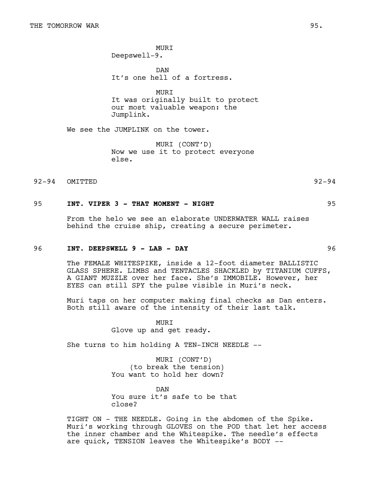**MURT** Deepswell-9.

DAN It's one hell of a fortress.

MURI It was originally built to protect our most valuable weapon: the Jumplink.

We see the JUMPLINK on the tower.

MURI (CONT'D) Now we use it to protect everyone else.

92-94 OMITTED 92-94

# 95 **INT. VIPER 3 - THAT MOMENT - NIGHT** 95

From the helo we see an elaborate UNDERWATER WALL raises behind the cruise ship, creating a secure perimeter.

# 96 **INT. DEEPSWELL 9 - LAB - DAY** 96

The FEMALE WHITESPIKE, inside a 12-foot diameter BALLISTIC GLASS SPHERE. LIMBS and TENTACLES SHACKLED by TITANIUM CUFFS, A GIANT MUZZLE over her face. She's IMMOBILE. However, her EYES can still SPY the pulse visible in Muri's neck.

Muri taps on her computer making final checks as Dan enters. Both still aware of the intensity of their last talk.

> MURI Glove up and get ready.

She turns to him holding A TEN-INCH NEEDLE --

MURI (CONT'D) (to break the tension) You want to hold her down?

DAN You sure it's safe to be that close?

TIGHT ON - THE NEEDLE. Going in the abdomen of the Spike. Muri's working through GLOVES on the POD that let her access the inner chamber and the Whitespike. The needle's effects are quick, TENSION leaves the Whitespike's BODY --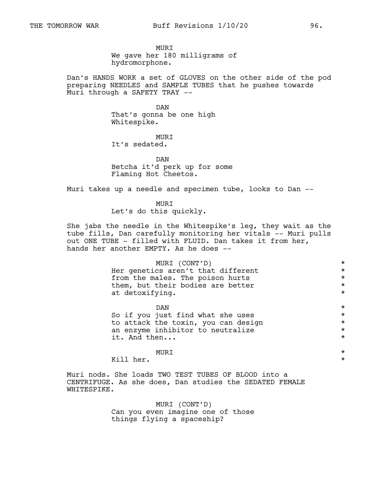MURI We gave her 180 milligrams of hydromorphone.

Dan's HANDS WORK a set of GLOVES on the other side of the pod preparing NEEDLES and SAMPLE TUBES that he pushes towards Muri through a SAFETY TRAY --

> DAN That's gonna be one high Whitespike.

MURI It's sedated.

DAN Betcha it'd perk up for some Flaming Hot Cheetos.

Muri takes up a needle and specimen tube, looks to Dan --

MURI Let's do this quickly.

She jabs the needle in the Whitespike's leg, they wait as the tube fills, Dan carefully monitoring her vitals -- Muri pulls out ONE TUBE - filled with FLUID. Dan takes it from her, hands her another EMPTY. As he does --

| MURI (CONT'D)                       | $\star$  |
|-------------------------------------|----------|
| Her genetics aren't that different  | $\star$  |
| from the males. The poison hurts    | $\star$  |
| them, but their bodies are better   | $\star$  |
| at detoxifying.                     | $\star$  |
| DAN                                 | $\star$  |
| So if you just find what she uses   | $\star$  |
| to attack the toxin, you can design | $\star$  |
| an enzyme inhibitor to neutralize   | $\star$  |
| it. And then                        | $\star$  |
|                                     |          |
|                                     | $^\star$ |

Kill her.  $\star$ 

Muri nods. She loads TWO TEST TUBES OF BLOOD into a CENTRIFUGE. As she does, Dan studies the SEDATED FEMALE WHITESPIKE.

> MURI (CONT'D) Can you even imagine one of those things flying a spaceship?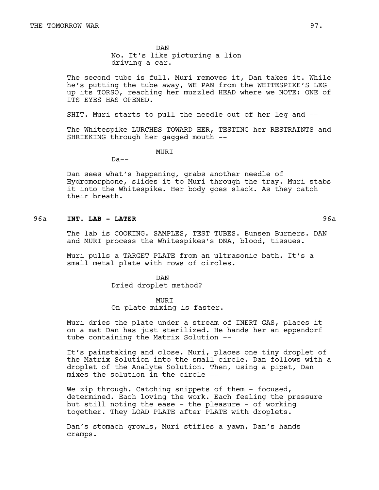DAN No. It's like picturing a lion driving a car.

The second tube is full. Muri removes it, Dan takes it. While he's putting the tube away, WE PAN from the WHITESPIKE'S LEG up its TORSO, reaching her muzzled HEAD where we NOTE: ONE of ITS EYES HAS OPENED.

SHIT. Muri starts to pull the needle out of her leg and --

The Whitespike LURCHES TOWARD HER, TESTING her RESTRAINTS and SHRIEKING through her gagged mouth --

**MURT** 

 $Da--$ 

Dan sees what's happening, grabs another needle of Hydromorphone, slides it to Muri through the tray. Muri stabs it into the Whitespike. Her body goes slack. As they catch their breath.

# 96a **INT. LAB - LATER** 96a

The lab is COOKING. SAMPLES, TEST TUBES. Bunsen Burners. DAN and MURI process the Whitespikes's DNA, blood, tissues.

Muri pulls a TARGET PLATE from an ultrasonic bath. It's a small metal plate with rows of circles.

> DAN Dried droplet method?

MURI On plate mixing is faster.

Muri dries the plate under a stream of INERT GAS, places it on a mat Dan has just sterilized. He hands her an eppendorf tube containing the Matrix Solution --

It's painstaking and close. Muri, places one tiny droplet of the Matrix Solution into the small circle. Dan follows with a droplet of the Analyte Solution. Then, using a pipet, Dan mixes the solution in the circle --

We zip through. Catching snippets of them - focused, determined. Each loving the work. Each feeling the pressure but still noting the ease - the pleasure - of working together. They LOAD PLATE after PLATE with droplets.

Dan's stomach growls, Muri stifles a yawn, Dan's hands cramps.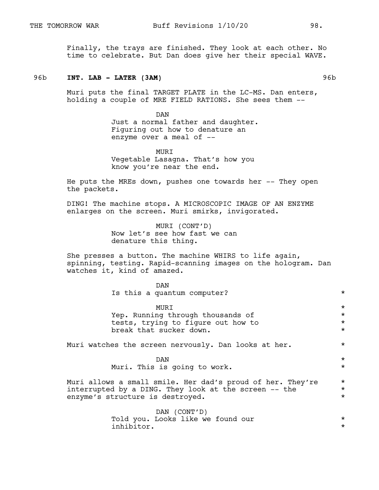Finally, the trays are finished. They look at each other. No time to celebrate. But Dan does give her their special WAVE.

#### 96b **INT. LAB - LATER (3AM)** 96b

Muri puts the final TARGET PLATE in the LC-MS. Dan enters, holding a couple of MRE FIELD RATIONS. She sees them --

> DAN Just a normal father and daughter. Figuring out how to denature an enzyme over a meal of --

MURI Vegetable Lasagna. That's how you know you're near the end.

He puts the MREs down, pushes one towards her -- They open the packets.

DING! The machine stops. A MICROSCOPIC IMAGE OF AN ENZYME enlarges on the screen. Muri smirks, invigorated.

> MURI (CONT'D) Now let's see how fast we can denature this thing.

She presses a button. The machine WHIRS to life again, spinning, testing. Rapid-scanning images on the hologram. Dan watches it, kind of amazed.

| DAN                                                        |         |
|------------------------------------------------------------|---------|
| Is this a quantum computer?                                | $\star$ |
| MURI                                                       | $\star$ |
| Yep. Running through thousands of                          | $\star$ |
| tests, trying to figure out how to                         | $\star$ |
| break that sucker down.                                    | $\star$ |
| Muri watches the screen nervously. Dan looks at her.       | $\star$ |
| DAN                                                        | $\star$ |
| Muri. This is going to work.                               | $\star$ |
| Muri allows a small smile. Her dad's proud of her. They're | $\star$ |
| interrupted by a DING. They look at the screen -- the      | $\star$ |
| enzyme's structure is destroyed.                           | $\star$ |
| DAN (CONT'D)                                               |         |
| Told you. Looks like we found our                          | $\star$ |
| inhibitor.                                                 | $\star$ |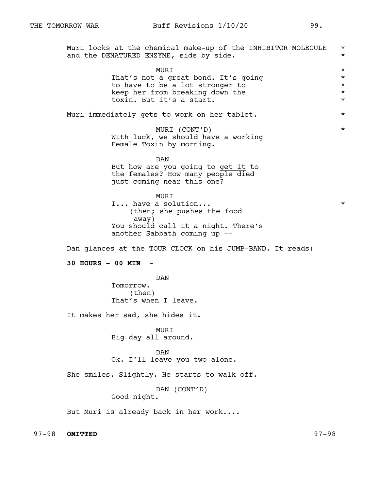Muri looks at the chemical make-up of the INHIBITOR MOLECULE \* and the DENATURED ENZYME, side by side.  $*$ MURI \* That's not a great bond. It's going<br>to have to be a lot stronger to  $\star$ to have to be a lot stronger to  $*$ <br>keep her from breaking down the  $*$ keep her from breaking down the \* toxin. But it's a start. \* Muri immediately gets to work on her tablet.  $*$ MURI (CONT'D) \* With luck, we should have a working Female Toxin by morning. DAN But how are you going to get it to the females? How many people died just coming near this one? MURI I... have a solution...  $\star$ (then; she pushes the food away) You should call it a night. There's another Sabbath coming up -- Dan glances at the TOUR CLOCK on his JUMP-BAND. It reads: **30 HOURS - 00 MIN** - DAN Tomorrow. (then) That's when I leave. It makes her sad, she hides it. MURI Big day all around. DAN Ok. I'll leave you two alone. She smiles. Slightly. He starts to walk off. DAN (CONT'D) Good night. But Muri is already back in her work....

97-98 **OMITTED** 97-98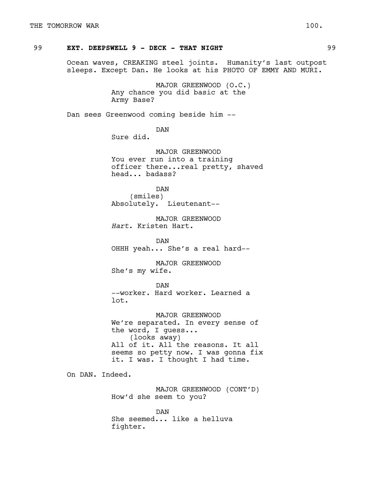# 99 **EXT. DEEPSWELL 9 - DECK - THAT NIGHT** 1999

Ocean waves, CREAKING steel joints. Humanity's last outpost sleeps. Except Dan. He looks at his PHOTO OF EMMY AND MURI.

> MAJOR GREENWOOD (O.C.) Any chance you did basic at the Army Base?

Dan sees Greenwood coming beside him --

DAN Sure did.

MAJOR GREENWOOD You ever run into a training officer there...real pretty, shaved head... badass?

DAN (smiles) Absolutely. Lieutenant--

MAJOR GREENWOOD *Hart*. Kristen Hart.

DAN OHHH yeah... She's a real hard--

MAJOR GREENWOOD She's my wife.

DAN --worker. Hard worker. Learned a lot.

MAJOR GREENWOOD We're separated. In every sense of the word, I guess... (looks away) All of it. All the reasons. It all seems so petty now. I was gonna fix it. I was. I thought I had time.

On DAN. Indeed.

MAJOR GREENWOOD (CONT'D) How'd she seem to you?

DAN She seemed... like a helluva fighter.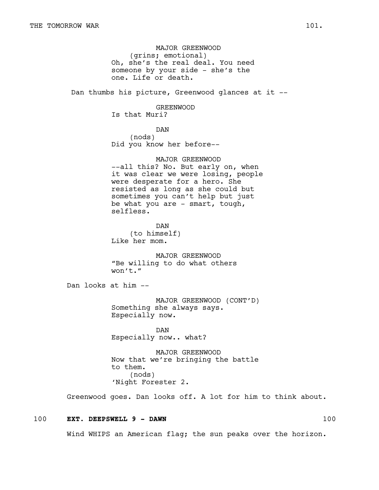MAJOR GREENWOOD (grins; emotional) Oh, she's the real deal. You need someone by your side - she's the one. Life or death.

Dan thumbs his picture, Greenwood glances at it --

GREENWOOD Is that Muri?

DAN (nods) Did you know her before--

MAJOR GREENWOOD --all this? No. But early on, when it was clear we were losing, people were desperate for a hero. She resisted as long as she could but sometimes you can't help but just be what you are - smart, tough, selfless.

DAN (to himself) Like her mom.

MAJOR GREENWOOD "Be willing to do what others won't."

Dan looks at him --

MAJOR GREENWOOD (CONT'D) Something she always says. Especially now.

DAN Especially now.. what?

MAJOR GREENWOOD Now that we're bringing the battle to them. (nods) 'Night Forester 2.

Greenwood goes. Dan looks off. A lot for him to think about.

# 100 **EXT. DEEPSWELL 9 - DAWN** 100

Wind WHIPS an American flag; the sun peaks over the horizon.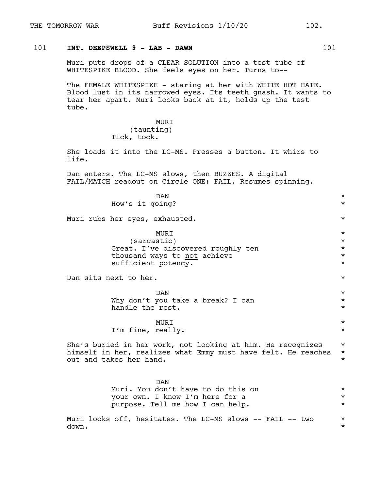# 101 **INT. DEEPSWELL 9 - LAB - DAWN** 101

Muri puts drops of a CLEAR SOLUTION into a test tube of WHITESPIKE BLOOD. She feels eyes on her. Turns to--

The FEMALE WHITESPIKE - staring at her with WHITE HOT HATE. Blood lust in its narrowed eyes. Its teeth gnash. It wants to tear her apart. Muri looks back at it, holds up the test tube.

> MURI (taunting) Tick, tock.

She loads it into the LC-MS. Presses a button. It whirs to life.

Dan enters. The LC-MS slows, then BUZZES. A digital FAIL/MATCH readout on Circle ONE: FAIL. Resumes spinning.

 $DAN$   $\star$ How's it going? \* Muri rubs her eyes, exhausted. \* MURI \* (sarcastic) \* Great. I've discovered roughly ten \* thousand ways to not achieve \* sufficient potency.  $\star$ Dan sits next to her.  $\star$  $\mathbb{D}\text{AN}$   $\qquad$   $\qquad$   $\qquad$   $\qquad$   $\qquad$   $\qquad$   $\qquad$   $\qquad$   $\qquad$   $\qquad$   $\qquad$   $\qquad$   $\qquad$   $\qquad$   $\qquad$   $\qquad$   $\qquad$   $\qquad$   $\qquad$   $\qquad$   $\qquad$   $\qquad$   $\qquad$   $\qquad$   $\qquad$   $\qquad$   $\qquad$   $\qquad$   $\qquad$   $\qquad$   $\qquad$   $\qquad$   $\qquad$   $\qquad$   $\qquad$ Why don't you take a break? I can \* handle the rest.  $\star$ MURI \* I'm fine, really.  $*$ She's buried in her work, not looking at him. He recognizes \* himself in her, realizes what Emmy must have felt. He reaches \* out and takes her hand.  $\star$ DAN Muri. You don't have to do this on  $*$ your own. I know I'm here for a  $*$ purpose. Tell me how I can help. \* Muri looks off, hesitates. The LC-MS slows --  $FAIL$  -- two  $*$ down.  $\star$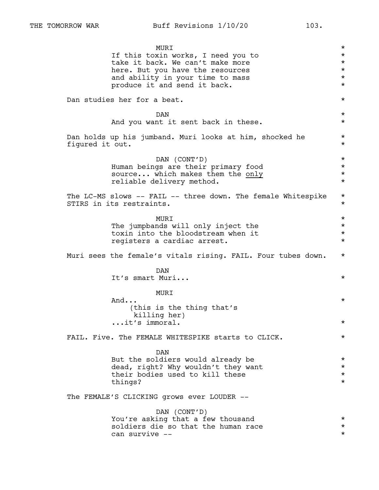MURI \* If this toxin works, I need you to \* take it back. We can't make more  $*$ here. But you have the resources  $*$ and ability in your time to mass  $*$ produce it and send it back.  $*$ Dan studies her for a beat.  $\star$  $DAN$   $\star$ And you want it sent back in these.  $*$ Dan holds up his jumband. Muri looks at him, shocked he  $*$ figured it out.  $\star$ DAN (CONT'D) \* Human beings are their primary food  $*$ <br>source... which makes them the only  $*$ source... which makes them the only \* reliable delivery method. \* The LC-MS slows -- FAIL -- three down. The female Whitespike \* STIRS in its restraints. MURI \* The jumpbands will only inject the  $*$ toxin into the bloodstream when it  $*$ registers a cardiac arrest. \* Muri sees the female's vitals rising. FAIL. Four tubes down. \* DAN It's smart Muri... \* MURI  $\mathsf{And} \ldots$  \* (this is the thing that's killing her) ...it's immoral. \* FAIL. Five. The FEMALE WHITESPIKE starts to CLICK.  $*$ DAN But the soldiers would already be \* dead, right? Why wouldn't they want their bodies used to kill these  $*$ things? \* The FEMALE'S CLICKING grows ever LOUDER -- DAN (CONT'D) You're asking that a few thousand  $*$ soldiers die so that the human race  $*$ can survive -- \*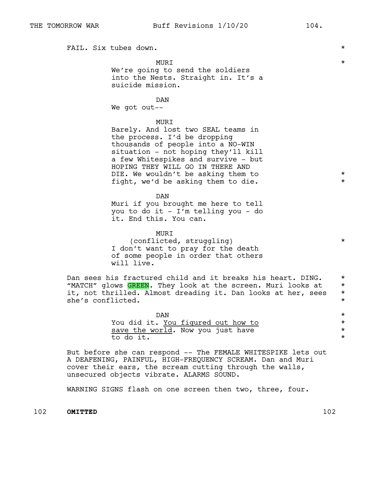FAIL. Six tubes down.  $\star$ 

MURI \*

We're going to send the soldiers into the Nests. Straight in. It's a suicide mission.

## DAN

We got out--

# MURI

Barely. And lost two SEAL teams in the process. I'd be dropping thousands of people into a NO-WIN situation - not hoping they'll kill a few Whitespikes and survive - but HOPING THEY WILL GO IN THERE AND DIE. We wouldn't be asking them to  $*$ fight, we'd be asking them to die.  $*$ 

DAN Muri if you brought me here to tell you to do it - I'm telling you - do it. End this. You can.

MURI (conflicted, struggling) \* I don't want to pray for the death of some people in order that others will live.

Dan sees his fractured child and it breaks his heart. DING. \* "MATCH" glows GREEN. They look at the screen. Muri looks at \* it, not thrilled. Almost dreading it. Dan looks at her, sees \* she's conflicted.

| DAN                                |  |
|------------------------------------|--|
| You did it. You figured out how to |  |
| save the world. Now you just have  |  |
| to do it.                          |  |

But before she can respond -- The FEMALE WHITESPIKE lets out A DEAFENING, PAINFUL, HIGH-FREQUENCY SCREAM. Dan and Muri cover their ears, the scream cutting through the walls, unsecured objects vibrate. ALARMS SOUND.

WARNING SIGNS flash on one screen then two, three, four.

102 **OMITTED** 102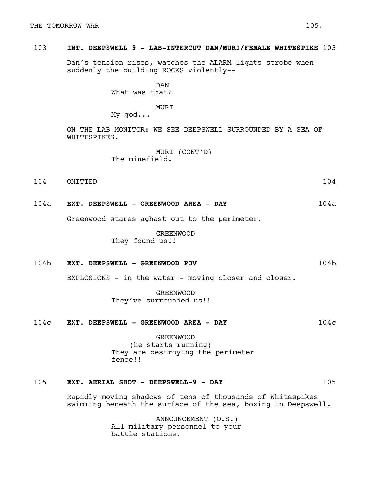# 103 **INT. DEEPSWELL 9 - LAB-INTERCUT DAN/MURI/FEMALE WHITESPIKE** 103

Dan's tension rises, watches the ALARM lights strobe when suddenly the building ROCKS violently--

> DAN What was that?

## MURI

My god...

ON THE LAB MONITOR: WE SEE DEEPSWELL SURROUNDED BY A SEA OF WHITESPIKES.

> MURI (CONT'D) The minefield.

- 104 OMITTED 104
- 104a **EXT. DEEPSWELL GREENWOOD AREA DAY** 104a

Greenwood stares aghast out to the perimeter.

GREENWOOD They found us!!

# 104b **EXT. DEEPSWELL - GREENWOOD POV** 104b

EXPLOSIONS - in the water - moving closer and closer.

GREENWOOD They've surrounded us!!

# 104c **EXT. DEEPSWELL - GREENWOOD AREA - DAY** 104c

GREENWOOD (he starts running) They are destroying the perimeter fence!!

# 105 **EXT. AERIAL SHOT - DEEPSWELL-9 - DAY** 105

Rapidly moving shadows of tens of thousands of Whitespikes swimming beneath the surface of the sea, boxing in Deepswell.

> ANNOUNCEMENT (O.S.) All military personnel to your battle stations.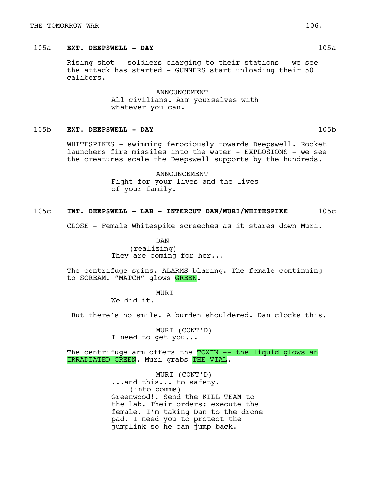#### THE TOMORROW WAR  $106.$

# 105a **EXT. DEEPSWELL - DAY** 105a

Rising shot - soldiers charging to their stations - we see the attack has started - GUNNERS start unloading their 50 calibers.

> ANNOUNCEMENT All civilians. Arm yourselves with whatever you can.

# 105b **EXT. DEEPSWELL - DAY** 105b

WHITESPIKES - swimming ferociously towards Deepswell. Rocket launchers fire missiles into the water - EXPLOSIONS - we see the creatures scale the Deepswell supports by the hundreds.

> ANNOUNCEMENT Fight for your lives and the lives of your family.

## 105c **INT. DEEPSWELL - LAB - INTERCUT DAN/MURI/WHITESPIKE** 105c

CLOSE - Female Whitespike screeches as it stares down Muri.

DAN (realizing) They are coming for her...

The centrifuge spins. ALARMS blaring. The female continuing to SCREAM. "MATCH" glows GREEN.

MURI

We did it.

But there's no smile. A burden shouldered. Dan clocks this.

MURI (CONT'D) I need to get you...

The centrifuge arm offers the TOXIN -- the liquid glows an IRRADIATED GREEN. Muri grabs THE VIAL.

> MURI (CONT'D) ...and this... to safety. (into comms) Greenwood!! Send the KILL TEAM to the lab. Their orders: execute the female. I'm taking Dan to the drone pad. I need you to protect the jumplink so he can jump back.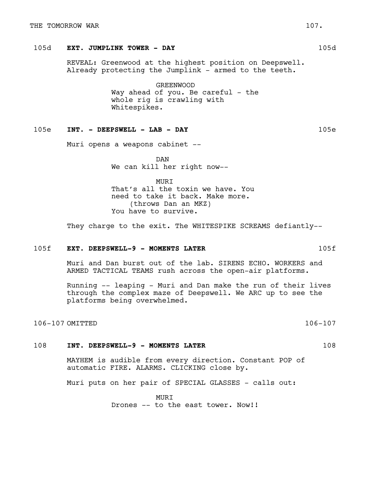# 105d **EXT. JUMPLINK TOWER - DAY** 105d

REVEAL: Greenwood at the highest position on Deepswell. Already protecting the Jumplink - armed to the teeth.

> GREENWOOD Way ahead of you. Be careful - the whole rig is crawling with Whitespikes.

## 105e **INT. - DEEPSWELL - LAB - DAY** 105e

Muri opens a weapons cabinet --

DAN We can kill her right now--

MURI That's all the toxin we have. You need to take it back. Make more. (throws Dan an MKZ) You have to survive.

They charge to the exit. The WHITESPIKE SCREAMS defiantly--

# 105f **EXT. DEEPSWELL-9 - MOMENTS LATER** 105f

Muri and Dan burst out of the lab. SIRENS ECHO. WORKERS and ARMED TACTICAL TEAMS rush across the open-air platforms.

Running -- leaping - Muri and Dan make the run of their lives through the complex maze of Deepswell. We ARC up to see the platforms being overwhelmed.

106-107 OMITTED 106-107

# 108 **INT. DEEPSWELL-9 - MOMENTS LATER** 108

MAYHEM is audible from every direction. Constant POP of automatic FIRE. ALARMS. CLICKING close by.

Muri puts on her pair of SPECIAL GLASSES - calls out:

**MURT** Drones -- to the east tower. Now!!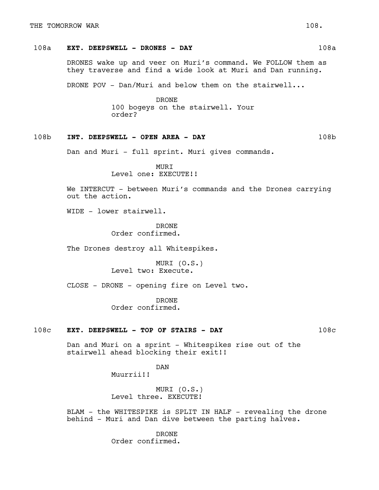# 108a **EXT. DEEPSWELL - DRONES - DAY** 108a

DRONES wake up and veer on Muri's command. We FOLLOW them as they traverse and find a wide look at Muri and Dan running.

DRONE POV - Dan/Muri and below them on the stairwell...

DRONE 100 bogeys on the stairwell. Your order?

## 108b **INT. DEEPSWELL - OPEN AREA - DAY** 108b

Dan and Muri - full sprint. Muri gives commands.

MURI Level one: EXECUTE!!

We INTERCUT - between Muri's commands and the Drones carrying out the action.

WIDE - lower stairwell.

DRONE Order confirmed.

The Drones destroy all Whitespikes.

MURI (O.S.) Level two: Execute.

CLOSE - DRONE - opening fire on Level two.

DRONE Order confirmed.

# 108c **EXT. DEEPSWELL - TOP OF STAIRS - DAY** 108c

Dan and Muri on a sprint - Whitespikes rise out of the stairwell ahead blocking their exit!!

DAN

Muurrii!!

MURI (O.S.) Level three. EXECUTE!

BLAM - the WHITESPIKE is SPLIT IN HALF - revealing the drone behind - Muri and Dan dive between the parting halves.

> DRONE Order confirmed.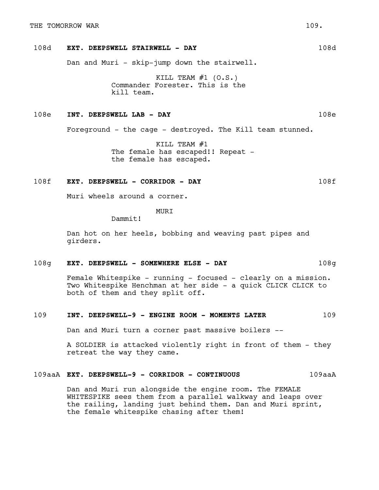# 108d **EXT. DEEPSWELL STAIRWELL - DAY** 108d

Dan and Muri - skip-jump down the stairwell.

KILL TEAM  $#1$  (O.S.) Commander Forester. This is the kill team.

## 108e **INT. DEEPSWELL LAB - DAY** 108e

Foreground - the cage - destroyed. The Kill team stunned.

KILL TEAM #1 The female has escaped!! Repeat the female has escaped.

#### 108f **EXT. DEEPSWELL - CORRIDOR - DAY** 108f

Muri wheels around a corner.

MURI

Dammit!

Dan hot on her heels, bobbing and weaving past pipes and girders.

#### 108g **EXT. DEEPSWELL - SOMEWHERE ELSE - DAY** 108g

Female Whitespike - running - focused - clearly on a mission. Two Whitespike Henchman at her side - a quick CLICK CLICK to both of them and they split off.

## 109 **INT. DEEPSWELL-9 - ENGINE ROOM - MOMENTS LATER** 109

Dan and Muri turn a corner past massive boilers --

A SOLDIER is attacked violently right in front of them - they retreat the way they came.

## 109aaA **EXT. DEEPSWELL-9 - CORRIDOR - CONTINUOUS** 109aaA

Dan and Muri run alongside the engine room. The FEMALE WHITESPIKE sees them from a parallel walkway and leaps over the railing, landing just behind them. Dan and Muri sprint, the female whitespike chasing after them!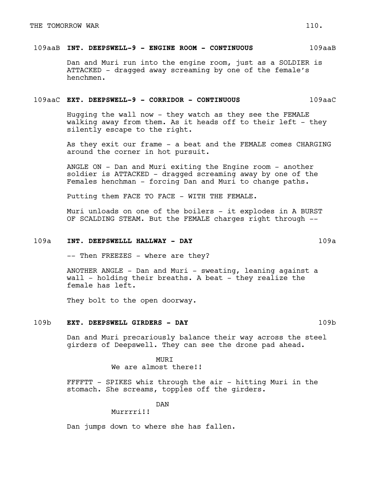## 109aaB **INT. DEEPSWELL-9 - ENGINE ROOM - CONTINUOUS** 109aaB

Dan and Muri run into the engine room, just as a SOLDIER is ATTACKED - dragged away screaming by one of the female's henchmen.

#### 109aaC **EXT. DEEPSWELL-9 - CORRIDOR - CONTINUOUS** 109aaC

Hugging the wall now - they watch as they see the FEMALE walking away from them. As it heads off to their left - they silently escape to the right.

As they exit our frame - a beat and the FEMALE comes CHARGING around the corner in hot pursuit.

ANGLE ON - Dan and Muri exiting the Engine room - another soldier is ATTACKED - dragged screaming away by one of the Females henchman - forcing Dan and Muri to change paths.

Putting them FACE TO FACE - WITH THE FEMALE.

Muri unloads on one of the boilers - it explodes in A BURST OF SCALDING STEAM. But the FEMALE charges right through --

#### 109a **INT. DEEPSWELLL HALLWAY - DAY** 109a

-- Then FREEZES - where are they?

ANOTHER ANGLE - Dan and Muri - sweating, leaning against a wall - holding their breaths. A beat - they realize the female has left.

They bolt to the open doorway.

#### 109b **EXT. DEEPSWELL GIRDERS - DAY** 109b

Dan and Muri precariously balance their way across the steel girders of Deepswell. They can see the drone pad ahead.

> **MURT** We are almost there!!

FFFFTT - SPIKES whiz through the air - hitting Muri in the stomach. She screams, topples off the girders.

DAN

Murrrri!!

Dan jumps down to where she has fallen.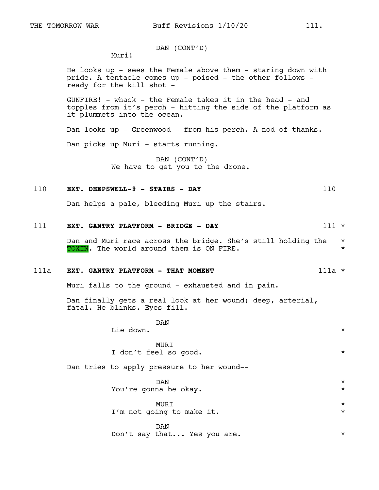# DAN (CONT'D)

Muri!

He looks up - sees the Female above them - staring down with pride. A tentacle comes up - poised - the other follows ready for the kill shot -

GUNFIRE! - whack - the Female takes it in the head - and topples from it's perch - hitting the side of the platform as it plummets into the ocean.

Dan looks up - Greenwood - from his perch. A nod of thanks.

Dan picks up Muri - starts running.

DAN (CONT'D) We have to get you to the drone.

# 110 **EXT. DEEPSWELL-9 - STAIRS - DAY** 110

Dan helps a pale, bleeding Muri up the stairs.

# 111 **EXT. GANTRY PLATFORM - BRIDGE - DAY** 111 \*

Dan and Muri race across the bridge. She's still holding the \* TOXIN. The world around them is ON FIRE.  $\star$ 

## 111a **EXT. GANTRY PLATFORM - THAT MOMENT** 111a \*

Muri falls to the ground - exhausted and in pain.

Dan finally gets a real look at her wound; deep, arterial, fatal. He blinks. Eyes fill.

> DAN Lie down.  $\star$

| <b>MURT</b> |  |  |  |  |                       |  |  |  |
|-------------|--|--|--|--|-----------------------|--|--|--|
|             |  |  |  |  | I don't feel so good. |  |  |  |

Dan tries to apply pressure to her wound--

 $\mathbb{D}\text{AN}$   $\qquad$   $\qquad$   $\qquad$   $\qquad$   $\qquad$   $\qquad$   $\qquad$   $\qquad$   $\qquad$   $\qquad$   $\qquad$   $\qquad$   $\qquad$   $\qquad$   $\qquad$   $\qquad$   $\qquad$   $\qquad$   $\qquad$   $\qquad$   $\qquad$   $\qquad$   $\qquad$   $\qquad$   $\qquad$   $\qquad$   $\qquad$   $\qquad$   $\qquad$   $\qquad$   $\qquad$   $\qquad$   $\qquad$   $\qquad$   $\qquad$ You're gonna be okay. \*

MURI \* I'm not going to make it.  $\star$ 

DAN Don't say that... Yes you are.  $*$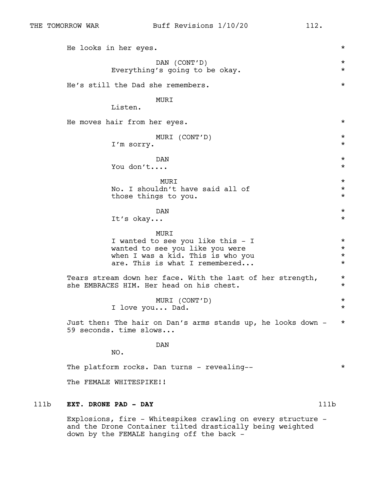|      | He looks in her eyes.                                                                                                                               |      | $^\star$                                     |
|------|-----------------------------------------------------------------------------------------------------------------------------------------------------|------|----------------------------------------------|
|      | DAN (CONT'D)<br>Everything's going to be okay.                                                                                                      |      | $^\star$<br>$^\star$                         |
|      | He's still the Dad she remembers.                                                                                                                   |      | $^\star$                                     |
|      | MURI<br>Listen.                                                                                                                                     |      |                                              |
|      | He moves hair from her eyes.                                                                                                                        |      | $^\star$                                     |
|      | MURI (CONT'D)<br>I'm sorry.                                                                                                                         |      | $^\star$<br>$^\star$                         |
|      | DAN<br>You don't                                                                                                                                    |      | $^\star$<br>$^\star$                         |
|      | MURI<br>No. I shouldn't have said all of<br>those things to you.                                                                                    |      | $^\star$<br>$^\star$<br>$^\star$             |
|      | <b>DAN</b><br>It's okay                                                                                                                             |      | $^\star$<br>$^\star$                         |
|      | MURI<br>I wanted to see you like this - I<br>wanted to see you like you were<br>when I was a kid. This is who you<br>are. This is what I remembered |      | $^\star$<br>$^\star$<br>$^\star$<br>$^\star$ |
|      | Tears stream down her face. With the last of her strength,<br>she EMBRACES HIM. Her head on his chest.                                              |      | $^\star$<br>$^\star$                         |
|      | MURI (CONT'D)<br>I love you Dad.                                                                                                                    |      | $^\star$<br>$^\star$                         |
|      | Just then: The hair on Dan's arms stands up, he looks down -<br>59 seconds. time slows                                                              |      | $^\star$                                     |
|      | <b>DAN</b><br>NO.                                                                                                                                   |      |                                              |
|      | The platform rocks. Dan turns - revealing--                                                                                                         |      | $^\star$                                     |
|      | The FEMALE WHITESPIKE!!                                                                                                                             |      |                                              |
| 111b | EXT. DRONE PAD - DAY                                                                                                                                | 111b |                                              |

Explosions, fire - Whitespikes crawling on every structure and the Drone Container tilted drastically being weighted down by the FEMALE hanging off the back -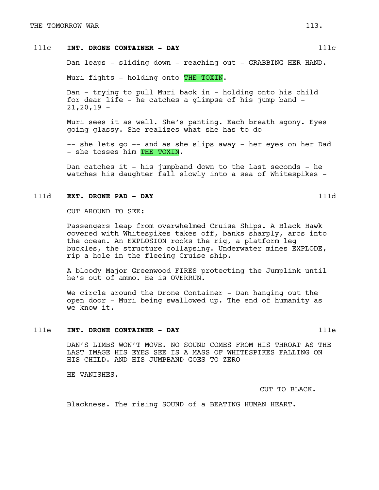# 111c **INT. DRONE CONTAINER - DAY** 111c

Dan leaps - sliding down - reaching out - GRABBING HER HAND.

Muri fights - holding onto THE TOXIN.

Dan - trying to pull Muri back in - holding onto his child for dear life - he catches a glimpse of his jump band -  $21,20,19 -$ 

Muri sees it as well. She's panting. Each breath agony. Eyes going glassy. She realizes what she has to do--

-- she lets go -- and as she slips away - her eyes on her Dad - she tosses him THE TOXIN.

Dan catches it - his jumpband down to the last seconds - he watches his daughter fall slowly into a sea of Whitespikes -

## 111d **EXT. DRONE PAD - DAY** 111d

CUT AROUND TO SEE:

Passengers leap from overwhelmed Cruise Ships. A Black Hawk covered with Whitespikes takes off, banks sharply, arcs into the ocean. An EXPLOSION rocks the rig, a platform leg buckles, the structure collapsing. Underwater mines EXPLODE, rip a hole in the fleeing Cruise ship.

A bloody Major Greenwood FIRES protecting the Jumplink until he's out of ammo. He is OVERRUN.

We circle around the Drone Container - Dan hanging out the open door - Muri being swallowed up. The end of humanity as we know it.

#### 111e **INT. DRONE CONTAINER - DAY** 111e

DAN'S LIMBS WON'T MOVE. NO SOUND COMES FROM HIS THROAT AS THE LAST IMAGE HIS EYES SEE IS A MASS OF WHITESPIKES FALLING ON HIS CHILD. AND HIS JUMPBAND GOES TO ZERO--

HE VANISHES.

CUT TO BLACK.

Blackness. The rising SOUND of a BEATING HUMAN HEART.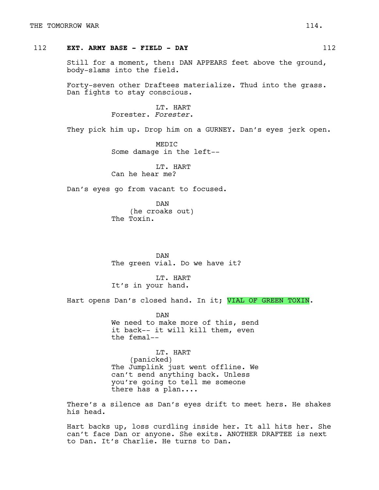# 112 **EXT. ARMY BASE - FIELD - DAY** 112

Still for a moment, then: DAN APPEARS feet above the ground, body-slams into the field.

Forty-seven other Draftees materialize. Thud into the grass. Dan fights to stay conscious.

> LT. HART Forester. *Forester*.

They pick him up. Drop him on a GURNEY. Dan's eyes jerk open.

MEDIC Some damage in the left--

LT. HART Can he hear me?

Dan's eyes go from vacant to focused.

DAN (he croaks out) The Toxin.

DAN The green vial. Do we have it?

LT. HART It's in your hand.

Hart opens Dan's closed hand. In it; VIAL OF GREEN TOXIN.

DAN We need to make more of this, send it back-- it will kill them, even the femal--

LT. HART (panicked) The Jumplink just went offline. We can't send anything back. Unless you're going to tell me someone there has a plan....

There's a silence as Dan's eyes drift to meet hers. He shakes his head.

Hart backs up, loss curdling inside her. It all hits her. She can't face Dan or anyone. She exits. ANOTHER DRAFTEE is next to Dan. It's Charlie. He turns to Dan.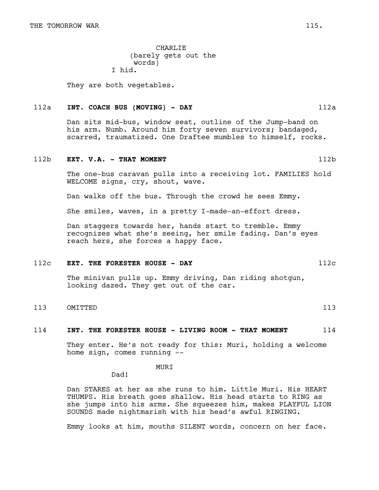CHARLIE (barely gets out the words) I hid.

They are both vegetables.

#### 112a **INT. COACH BUS (MOVING) - DAY** 112a

Dan sits mid-bus, window seat, outline of the Jump-band on his arm. Numb. Around him forty seven survivors; bandaged, scarred, traumatized. One Draftee mumbles to himself, rocks.

#### 112b **EXT. V.A. - THAT MOMENT** 112b

The one-bus caravan pulls into a receiving lot. FAMILIES hold WELCOME signs, cry, shout, wave.

Dan walks off the bus. Through the crowd he sees Emmy.

She smiles, waves, in a pretty I-made-an-effort dress.

Dan staggers towards her, hands start to tremble. Emmy recognizes what she's seeing, her smile fading. Dan's eyes reach hers, she forces a happy face.

#### 112c **EXT. THE FORESTER HOUSE - DAY** 112c

The minivan pulls up. Emmy driving, Dan riding shotgun, looking dazed. They get out of the car.

# 113 OMITTED 113

#### 114 **INT. THE FORESTER HOUSE - LIVING ROOM - THAT MOMENT** 114

They enter. He's not ready for this: Muri, holding a welcome home sign, comes running --

#### MURI

Dad!

Dan STARES at her as she runs to him. Little Muri. His HEART THUMPS. His breath goes shallow. His head starts to RING as she jumps into his arms. She squeezes him, makes PLAYFUL LION SOUNDS made nightmarish with his head's awful RINGING.

Emmy looks at him, mouths SILENT words, concern on her face.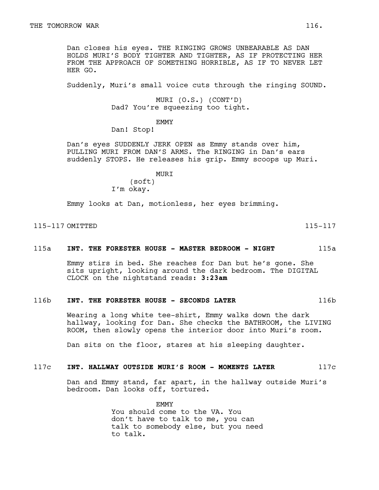Dan closes his eyes. THE RINGING GROWS UNBEARABLE AS DAN HOLDS MURI'S BODY TIGHTER AND TIGHTER, AS IF PROTECTING HER FROM THE APPROACH OF SOMETHING HORRIBLE, AS IF TO NEVER LET HER GO.

Suddenly, Muri's small voice cuts through the ringing SOUND.

MURI (O.S.) (CONT'D) Dad? You're squeezing too tight.

EMMY

Dan! Stop!

Dan's eyes SUDDENLY JERK OPEN as Emmy stands over him, PULLING MURI FROM DAN'S ARMS. The RINGING in Dan's ears suddenly STOPS. He releases his grip. Emmy scoops up Muri.

# MURI

(soft) I'm okay.

Emmy looks at Dan, motionless, her eyes brimming.

115-117 OMITTED 115-117

#### 115a **INT. THE FORESTER HOUSE - MASTER BEDROOM - NIGHT** 115a

Emmy stirs in bed. She reaches for Dan but he's gone. She sits upright, looking around the dark bedroom. The DIGITAL CLOCK on the nightstand reads: **3:23am**

## 116b **INT. THE FORESTER HOUSE - SECONDS LATER** 116b

Wearing a long white tee-shirt, Emmy walks down the dark hallway, looking for Dan. She checks the BATHROOM, the LIVING ROOM, then slowly opens the interior door into Muri's room.

Dan sits on the floor, stares at his sleeping daughter.

## 117c **INT. HALLWAY OUTSIDE MURI'S ROOM - MOMENTS LATER** 117c

Dan and Emmy stand, far apart, in the hallway outside Muri's bedroom. Dan looks off, tortured.

> EMMY You should come to the VA. You don't have to talk to me, you can talk to somebody else, but you need to talk.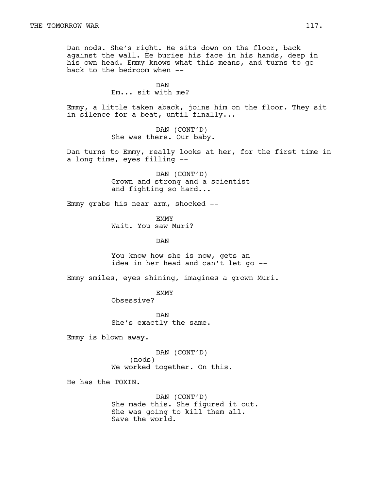Dan nods. She's right. He sits down on the floor, back against the wall. He buries his face in his hands, deep in his own head. Emmy knows what this means, and turns to go back to the bedroom when --

> DAN Em... sit with me?

Emmy, a little taken aback, joins him on the floor. They sit in silence for a beat, until finally...-

> DAN (CONT'D) She was there. Our baby.

Dan turns to Emmy, really looks at her, for the first time in a long time, eyes filling --

> DAN (CONT'D) Grown and strong and a scientist and fighting so hard...

Emmy grabs his near arm, shocked --

EMMY Wait. You saw Muri?

DAN

You know how she is now, gets an idea in her head and can't let go --

Emmy smiles, eyes shining, imagines a grown Muri.

EMMY Obsessive?

DAN She's exactly the same.

Emmy is blown away.

DAN (CONT'D) (nods) We worked together. On this.

He has the TOXIN.

DAN (CONT'D) She made this. She figured it out. She was going to kill them all. Save the world.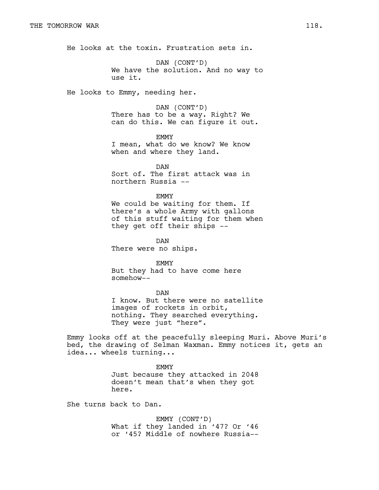He looks at the toxin. Frustration sets in.

DAN (CONT'D) We have the solution. And no way to use it.

He looks to Emmy, needing her.

DAN (CONT'D) There has to be a way. Right? We can do this. We can figure it out.

EMMY I mean, what do we know? We know when and where they land.

DAN Sort of. The first attack was in northern Russia --

EMMY We could be waiting for them. If there's a whole Army with gallons of this stuff waiting for them when they get off their ships --

DAN There were no ships.

EMMY But they had to have come here somehow--

DAN I know. But there were no satellite images of rockets in orbit, nothing. They searched everything. They were just "here".

Emmy looks off at the peacefully sleeping Muri. Above Muri's bed, the drawing of Selman Waxman. Emmy notices it, gets an idea... wheels turning...

> EMMY Just because they attacked in 2048 doesn't mean that's when they got here.

She turns back to Dan.

EMMY (CONT'D) What if they landed in '47? Or '46 or '45? Middle of nowhere Russia--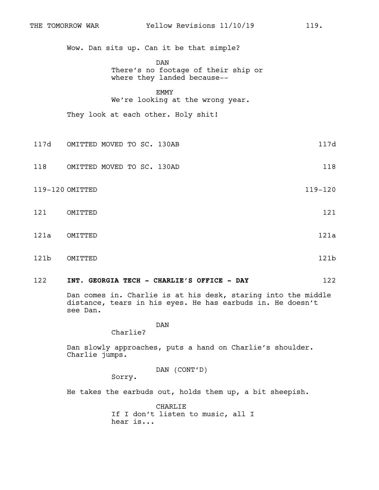Wow. Dan sits up. Can it be that simple?

DAN

There's no footage of their ship or where they landed because--

EMMY We're looking at the wrong year.

They look at each other. Holy shit!

- 117d OMITTED MOVED TO SC. 130AB 117d
- 118 OMITTED MOVED TO SC. 130AD 118
- 119-120 OMITTED 119-120
- 121 OMITTED 121
- 121a OMITTED 121a
- 121b OMITTED 121b
- 122 **INT. GEORGIA TECH CHARLIE'S OFFICE DAY** 122

Dan comes in. Charlie is at his desk, staring into the middle distance, tears in his eyes. He has earbuds in. He doesn't see Dan.

DAN

Charlie?

Dan slowly approaches, puts a hand on Charlie's shoulder. Charlie jumps.

DAN (CONT'D)

Sorry.

He takes the earbuds out, holds them up, a bit sheepish.

CHARLIE If I don't listen to music, all I hear is...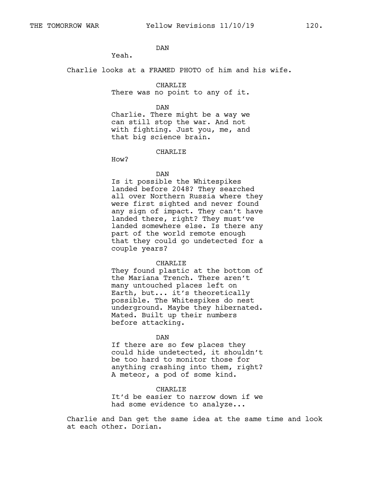# DAN

Yeah.

Charlie looks at a FRAMED PHOTO of him and his wife.

## CHARLIE

There was no point to any of it.

DAN

Charlie. There might be a way we can still stop the war. And not with fighting. Just you, me, and that big science brain.

CHARLIE

How?

#### DAN

Is it possible the Whitespikes landed before 2048? They searched all over Northern Russia where they were first sighted and never found any sign of impact. They can't have landed there, right? They must've landed somewhere else. Is there any part of the world remote enough that they could go undetected for a couple years?

#### CHARLIE

They found plastic at the bottom of the Mariana Trench. There aren't many untouched places left on Earth, but... it's theoretically possible. The Whitespikes do nest underground. Maybe they hibernated. Mated. Built up their numbers before attacking.

#### DAN

If there are so few places they could hide undetected, it shouldn't be too hard to monitor those for anything crashing into them, right? A meteor, a pod of some kind.

#### CHARLIE

It'd be easier to narrow down if we had some evidence to analyze...

Charlie and Dan get the same idea at the same time and look at each other. Dorian.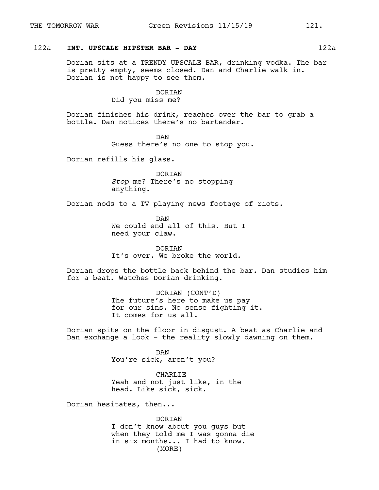# 122a **INT. UPSCALE HIPSTER BAR - DAY** 122a

Dorian sits at a TRENDY UPSCALE BAR, drinking vodka. The bar is pretty empty, seems closed. Dan and Charlie walk in. Dorian is not happy to see them.

## DORIAN

Did you miss me?

Dorian finishes his drink, reaches over the bar to grab a bottle. Dan notices there's no bartender.

> DAN Guess there's no one to stop you.

Dorian refills his glass.

DORIAN *Stop* me? There's no stopping anything.

Dorian nods to a TV playing news footage of riots.

DAN We could end all of this. But I need your claw.

DORIAN It's over. We broke the world.

Dorian drops the bottle back behind the bar. Dan studies him for a beat. Watches Dorian drinking.

> DORIAN (CONT'D) The future's here to make us pay for our sins. No sense fighting it. It comes for us all.

Dorian spits on the floor in disgust. A beat as Charlie and Dan exchange a look - the reality slowly dawning on them.

> DAN You're sick, aren't you?

CHARLIE Yeah and not just like, in the head. Like sick, sick.

Dorian hesitates, then...

DORIAN I don't know about you guys but when they told me I was gonna die in six months... I had to know. (MORE)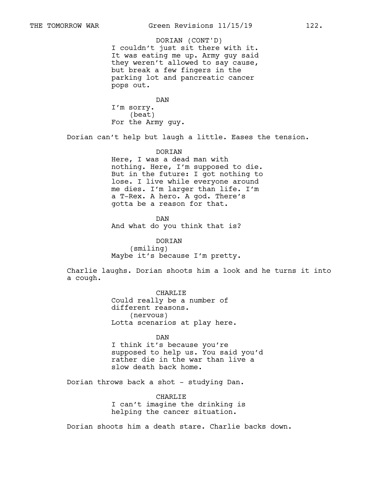I couldn't just sit there with it. It was eating me up. Army guy said they weren't allowed to say cause, but break a few fingers in the parking lot and pancreatic cancer pops out. DORIAN (CONT'D)

DAN I'm sorry. (beat) For the Army guy.

Dorian can't help but laugh a little. Eases the tension.

#### DORIAN

Here, I was a dead man with nothing. Here, I'm supposed to die. But in the future: I got nothing to lose. I live while everyone around me dies. I'm larger than life. I'm a T-Rex. A hero. A god. There's gotta be a reason for that.

DAN And what do you think that is?

DORIAN (smiling) Maybe it's because I'm pretty.

Charlie laughs. Dorian shoots him a look and he turns it into a cough.

> CHARLIE Could really be a number of different reasons. (nervous) Lotta scenarios at play here.

DAN I think it's because you're supposed to help us. You said you'd rather die in the war than live a slow death back home.

Dorian throws back a shot - studying Dan.

CHARLIE I can't imagine the drinking is helping the cancer situation.

Dorian shoots him a death stare. Charlie backs down.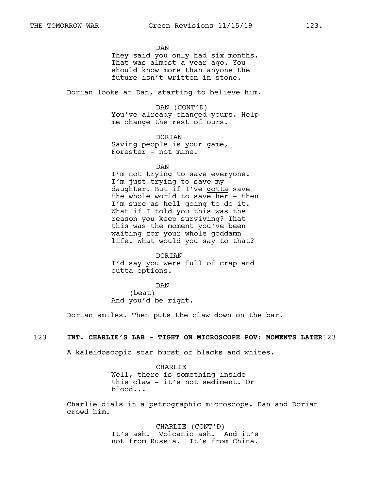DAN They said you only had six months. That was almost a year ago. You should know more than anyone the future isn't written in stone.

Dorian looks at Dan, starting to believe him.

DAN (CONT'D) You've already changed yours. Help me change the rest of ours.

DORIAN Saving people is your game, Forester - not mine.

DAN

I'm not trying to save everyone. I'm just trying to save my daughter. But if I've gotta save the whole world to save her - then I'm sure as hell going to do it. What if I told you this was the reason you keep surviving? That this was the moment you've been waiting for your whole goddamn life. What would you say to that?

DORIAN I'd say you were full of crap and outta options.

DAN (beat) And you'd be right.

Dorian smiles. Then puts the claw down on the bar.

# 123 **INT. CHARLIE'S LAB - TIGHT ON MICROSCOPE POV: MOMENTS LATER**123

A kaleidoscopic star burst of blacks and whites.

CHARLIE Well, there is something inside this claw - it's not sediment. Or blood...

Charlie dials in a petrographic microscope. Dan and Dorian crowd him.

> CHARLIE (CONT'D) It's ash. Volcanic ash. And it's not from Russia. It's from China.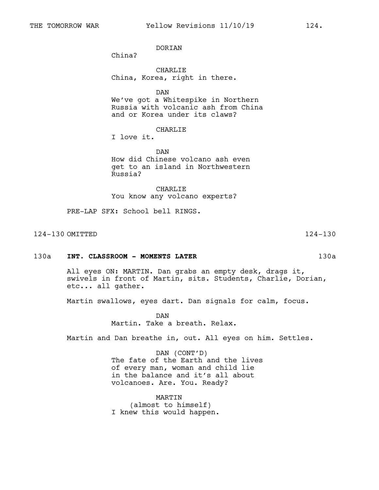DORIAN

China?

CHARLIE China, Korea, right in there.

DAN

We've got a Whitespike in Northern Russia with volcanic ash from China and or Korea under its claws?

CHARLIE

I love it.

DAN How did Chinese volcano ash even get to an island in Northwestern Russia?

CHARLIE You know any volcano experts?

PRE-LAP SFX: School bell RINGS.

124-130 OMITTED 124-130

#### 130a **INT. CLASSROOM - MOMENTS LATER** 130a

All eyes ON: MARTIN. Dan grabs an empty desk, drags it, swivels in front of Martin, sits. Students, Charlie, Dorian, etc... all gather.

Martin swallows, eyes dart. Dan signals for calm, focus.

DAN Martin. Take a breath. Relax.

Martin and Dan breathe in, out. All eyes on him. Settles.

DAN (CONT'D) The fate of the Earth and the lives of every man, woman and child lie in the balance and it's all about volcanoes. Are. You. Ready?

MARTIN (almost to himself) I knew this would happen.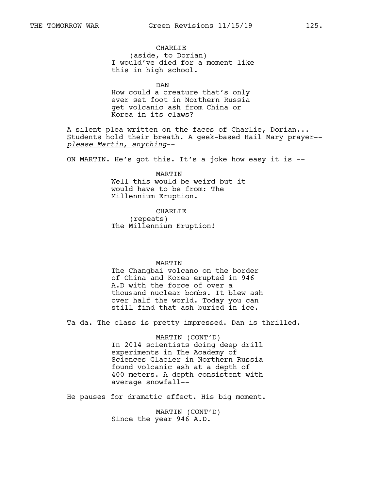CHARLIE (aside, to Dorian) I would've died for a moment like this in high school.

DAN How could a creature that's only ever set foot in Northern Russia get volcanic ash from China or Korea in its claws?

A silent plea written on the faces of Charlie, Dorian... Students hold their breath. A geek-based Hail Mary prayer- *please Martin, anything*--

ON MARTIN. He's got this. It's a joke how easy it is --

MARTIN Well this would be weird but it would have to be from: The Millennium Eruption.

CHARLIE (repeats) The Millennium Eruption!

#### MARTIN

The Changbai volcano on the border of China and Korea erupted in 946 A.D with the force of over a thousand nuclear bombs. It blew ash over half the world. Today you can still find that ash buried in ice.

Ta da. The class is pretty impressed. Dan is thrilled.

MARTIN (CONT'D) In 2014 scientists doing deep drill experiments in The Academy of Sciences Glacier in Northern Russia found volcanic ash at a depth of 400 meters. A depth consistent with average snowfall--

He pauses for dramatic effect. His big moment.

MARTIN (CONT'D) Since the year 946 A.D.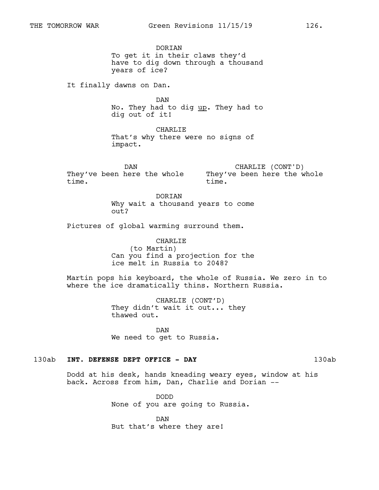DORIAN To get it in their claws they'd have to dig down through a thousand years of ice?

It finally dawns on Dan.

DAN No. They had to dig up. They had to dig out of it!

CHARLIE That's why there were no signs of impact.

DAN They've been here the whole They've been here the whole time.

CHARLIE (CONT'D) time.

**DORTAN** Why wait a thousand years to come out?

Pictures of global warming surround them.

CHARLIE (to Martin) Can you find a projection for the ice melt in Russia to 2048?

Martin pops his keyboard, the whole of Russia. We zero in to where the ice dramatically thins. Northern Russia.

> CHARLIE (CONT'D) They didn't wait it out... they thawed out.

DAN We need to get to Russia.

## 130ab **INT. DEFENSE DEPT OFFICE - DAY** 130ab

Dodd at his desk, hands kneading weary eyes, window at his back. Across from him, Dan, Charlie and Dorian --

> DODD None of you are going to Russia.

DAN But that's where they are!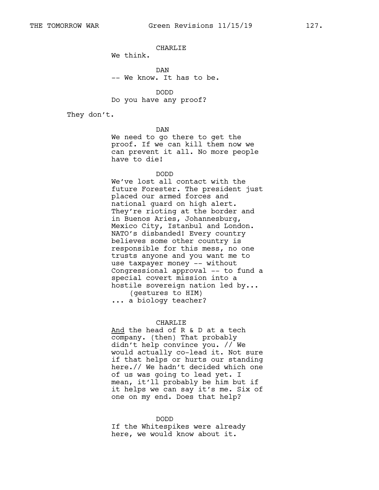## CHARLIE

We think.

DAN -- We know. It has to be.

DODD Do you have any proof?

They don't.

DAN

We need to go there to get the proof. If we can kill them now we can prevent it all. No more people have to die!

DODD

We've lost all contact with the future Forester. The president just placed our armed forces and national guard on high alert. They're rioting at the border and in Buenos Aries, Johannesburg, Mexico City, Istanbul and London. NATO's disbanded! Every country believes some other country is responsible for this mess, no one trusts anyone and you want me to use taxpayer money -- without Congressional approval -- to fund a special covert mission into a hostile sovereign nation led by... (gestures to HIM) ... a biology teacher?

## CHARLIE

And the head of R & D at a tech company. (then) That probably didn't help convince you. // We would actually co-lead it. Not sure if that helps or hurts our standing here.// We hadn't decided which one of us was going to lead yet. I mean, it'll probably be him but if it helps we can say it's me. Six of one on my end. Does that help?

#### DODD

If the Whitespikes were already here, we would know about it.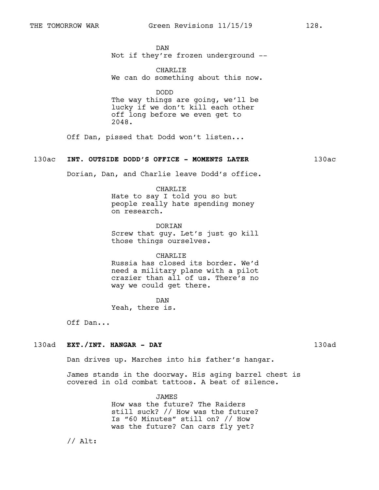DAN Not if they're frozen underground --

CHARLIE We can do something about this now.

DODD

The way things are going, we'll be lucky if we don't kill each other off long before we even get to 2048.

Off Dan, pissed that Dodd won't listen...

## 130ac **INT. OUTSIDE DODD'S OFFICE - MOMENTS LATER** 130ac

Dorian, Dan, and Charlie leave Dodd's office.

CHARLIE Hate to say I told you so but people really hate spending money on research.

**DORTAN** Screw that guy. Let's just go kill those things ourselves.

CHARLIE Russia has closed its border. We'd need a military plane with a pilot crazier than all of us. There's no way we could get there.

DAN Yeah, there is.

Off Dan...

## 130ad **EXT./INT. HANGAR - DAY** 130ad

Dan drives up. Marches into his father's hangar.

James stands in the doorway. His aging barrel chest is covered in old combat tattoos. A beat of silence.

> JAMES How was the future? The Raiders still suck? // How was the future? Is "60 Minutes" still on? // How was the future? Can cars fly yet?

// Alt: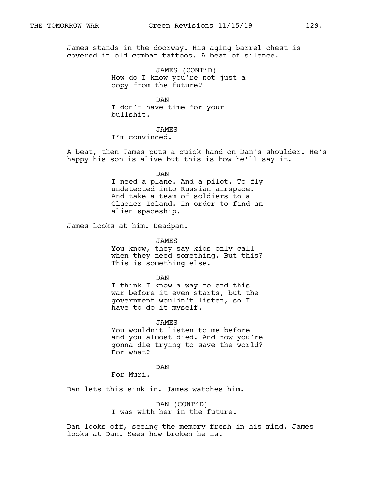James stands in the doorway. His aging barrel chest is covered in old combat tattoos. A beat of silence.

> JAMES (CONT'D) How do I know you're not just a copy from the future?

DAN I don't have time for your bullshit.

## JAMES

I'm convinced.

A beat, then James puts a quick hand on Dan's shoulder. He's happy his son is alive but this is how he'll say it.

DAN

I need a plane. And a pilot. To fly undetected into Russian airspace. And take a team of soldiers to a Glacier Island. In order to find an alien spaceship.

James looks at him. Deadpan.

JAMES You know, they say kids only call when they need something. But this? This is something else.

DAN

I think I know a way to end this war before it even starts, but the government wouldn't listen, so I have to do it myself.

JAMES You wouldn't listen to me before and you almost died. And now you're gonna die trying to save the world? For what?

DAN

For Muri.

Dan lets this sink in. James watches him.

DAN (CONT'D) I was with her in the future.

Dan looks off, seeing the memory fresh in his mind. James looks at Dan. Sees how broken he is.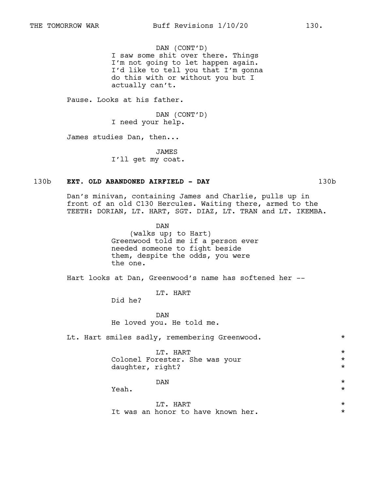DAN (CONT'D) I saw some shit over there. Things I'm not going to let happen again. I'd like to tell you that I'm gonna do this with or without you but I actually can't.

Pause. Looks at his father.

DAN (CONT'D) I need your help.

James studies Dan, then...

JAMES I'll get my coat.

#### 130b **EXT. OLD ABANDONED AIRFIELD - DAY** 130b

Dan's minivan, containing James and Charlie, pulls up in front of an old C130 Hercules. Waiting there, armed to the TEETH: DORIAN, LT. HART, SGT. DIAZ, LT. TRAN and LT. IKEMBA.

> DAN (walks up; to Hart) Greenwood told me if a person ever needed someone to fight beside them, despite the odds, you were the one.

Hart looks at Dan, Greenwood's name has softened her --

LT. HART

Did he?

DAN He loved you. He told me.

Lt. Hart smiles sadly, remembering Greenwood. \* \* \*

 $LT.$  HART  $\star$ Colonel Forester. She was your  $*$ <br>daughter right? daughter, right? \*

# $DAN$   $\star$

Yeah.  $\star$ 

| T.T. HART |  |  |                                    |  |  |  |  |  |  |
|-----------|--|--|------------------------------------|--|--|--|--|--|--|
|           |  |  | It was an honor to have known her. |  |  |  |  |  |  |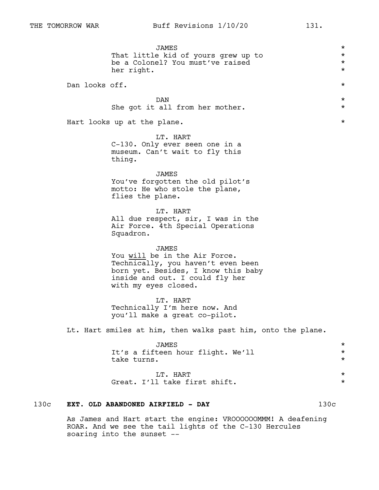| 130c |                | EXT. OLD ABANDONED AIRFIELD - DAY                                                                                                                                              | 130c |                                              |
|------|----------------|--------------------------------------------------------------------------------------------------------------------------------------------------------------------------------|------|----------------------------------------------|
|      |                | LT. HART<br>Great. I'll take first shift.                                                                                                                                      |      | $^\star$<br>$^\star$                         |
|      |                | <b>JAMES</b><br>It's a fifteen hour flight. We'll<br>take turns.                                                                                                               |      | $^\star$<br>$^\star$<br>$^\star$             |
|      |                | Lt. Hart smiles at him, then walks past him, onto the plane.                                                                                                                   |      |                                              |
|      |                | LT. HART<br>Technically I'm here now. And<br>you'll make a great co-pilot.                                                                                                     |      |                                              |
|      |                | JAMES<br>You will be in the Air Force.<br>Technically, you haven't even been<br>born yet. Besides, I know this baby<br>inside and out. I could fly her<br>with my eyes closed. |      |                                              |
|      |                | LT. HART<br>All due respect, sir, I was in the<br>Air Force. 4th Special Operations<br>Squadron.                                                                               |      |                                              |
|      |                | JAMES<br>You've forgotten the old pilot's<br>motto: He who stole the plane,<br>flies the plane.                                                                                |      |                                              |
|      |                | LT. HART<br>C-130. Only ever seen one in a<br>museum. Can't wait to fly this<br>thing.                                                                                         |      |                                              |
|      |                | Hart looks up at the plane.                                                                                                                                                    |      | $^\star$                                     |
|      |                | DAN<br>She got it all from her mother.                                                                                                                                         |      | $^\star$<br>$^\star$                         |
|      | Dan looks off. |                                                                                                                                                                                |      | $^\star$                                     |
|      |                | JAMES<br>That little kid of yours grew up to<br>be a Colonel? You must've raised<br>her right.                                                                                 |      | $^\star$<br>$^\star$<br>$^\star$<br>$^\star$ |

As James and Hart start the engine: VROOOOOOMMM! A deafening ROAR. And we see the tail lights of the C-130 Hercules soaring into the sunset --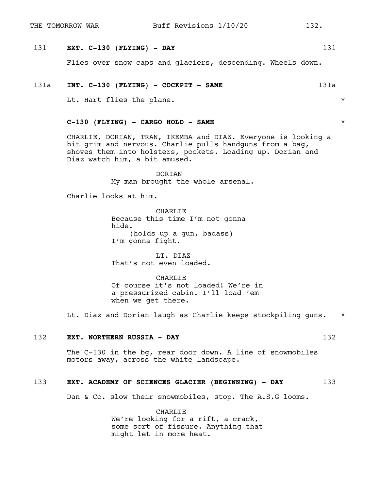# 131 **EXT. C-130 (FLYING) - DAY** 131

Flies over snow caps and glaciers, descending. Wheels down.

## 131a **INT. C-130 (FLYING) - COCKPIT - SAME** 131a

Lt. Hart flies the plane.  $\star$ 

# **C-130 (FLYING) - CARGO HOLD - SAME** \*

CHARLIE, DORIAN, TRAN, IKEMBA and DIAZ. Everyone is looking a bit grim and nervous. Charlie pulls handguns from a bag, shoves them into holsters, pockets. Loading up. Dorian and Diaz watch him, a bit amused.

> DORIAN My man brought the whole arsenal.

Charlie looks at him.

CHARLIE Because this time I'm not gonna hide. (holds up a gun, badass) I'm gonna fight.

LT. DIAZ That's not even loaded.

CHARLIE Of course it's not loaded! We're in a pressurized cabin. I'll load 'em when we get there.

Lt. Diaz and Dorian laugh as Charlie keeps stockpiling guns. \*

# 132 **EXT. NORTHERN RUSSIA - DAY** 132

The C-130 in the bg, rear door down. A line of snowmobiles motors away, across the white landscape.

## 133 **EXT. ACADEMY OF SCIENCES GLACIER (BEGINNING) - DAY** 133

Dan & Co. slow their snowmobiles, stop. The A.S.G looms.

CHARLIE We're looking for a rift, a crack, some sort of fissure. Anything that might let in more heat.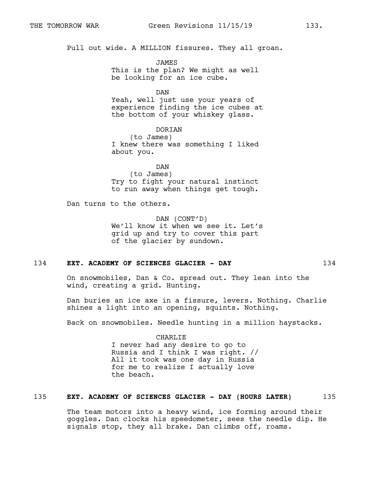Pull out wide. A MILLION fissures. They all groan.

JAMES This is the plan? We might as well be looking for an ice cube.

DAN Yeah, well just use your years of experience finding the ice cubes at the bottom of your whiskey glass.

DORIAN (to James) I knew there was something I liked about you.

DAN (to James) Try to fight your natural instinct to run away when things get tough.

Dan turns to the others.

DAN (CONT'D) We'll know it when we see it. Let's grid up and try to cover this part of the glacier by sundown.

#### 134 **EXT. ACADEMY OF SCIENCES GLACIER - DAY** 134

On snowmobiles, Dan & Co. spread out. They lean into the wind, creating a grid. Hunting.

Dan buries an ice axe in a fissure, levers. Nothing. Charlie shines a light into an opening, squints. Nothing.

Back on snowmobiles. Needle hunting in a million haystacks.

CHARLIE I never had any desire to go to Russia and I think I was right. // All it took was one day in Russia for me to realize I actually love the beach.

## 135 **EXT. ACADEMY OF SCIENCES GLACIER - DAY (HOURS LATER)** 135

The team motors into a heavy wind, ice forming around their goggles. Dan clocks his speedometer, sees the needle dip. He signals stop, they all brake. Dan climbs off, roams.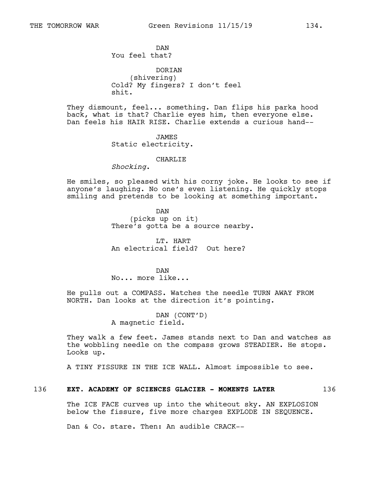DAN You feel that?

DORTAN (shivering) Cold? My fingers? I don't feel shit.

They dismount, feel... something. Dan flips his parka hood back, what is that? Charlie eyes him, then everyone else. Dan feels his HAIR RISE. Charlie extends a curious hand--

> JAMES Static electricity.

#### CHARLIE

*Shocking*.

He smiles, so pleased with his corny joke. He looks to see if anyone's laughing. No one's even listening. He quickly stops smiling and pretends to be looking at something important.

> DAN (picks up on it) There's gotta be a source nearby.

LT. HART An electrical field? Out here?

DAN No... more like...

He pulls out a COMPASS. Watches the needle TURN AWAY FROM NORTH. Dan looks at the direction it's pointing.

> DAN (CONT'D) A magnetic field.

They walk a few feet. James stands next to Dan and watches as the wobbling needle on the compass grows STEADIER. He stops. Looks up.

A TINY FISSURE IN THE ICE WALL. Almost impossible to see.

# 136 **EXT. ACADEMY OF SCIENCES GLACIER - MOMENTS LATER** 136

The ICE FACE curves up into the whiteout sky. AN EXPLOSION below the fissure, five more charges EXPLODE IN SEQUENCE.

Dan & Co. stare. Then: An audible CRACK--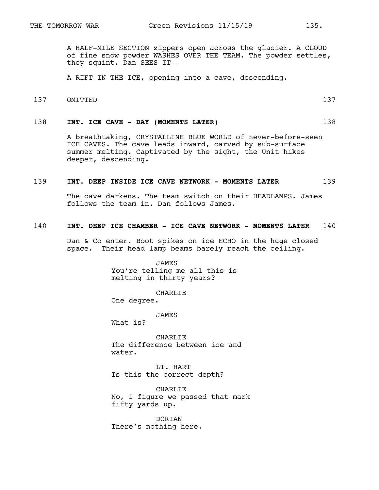A HALF-MILE SECTION zippers open across the glacier. A CLOUD of fine snow powder WASHES OVER THE TEAM. The powder settles, they squint. Dan SEES IT--

A RIFT IN THE ICE, opening into a cave, descending.

137 OMITTED 137

## 138 **INT. ICE CAVE - DAY (MOMENTS LATER)** 138

A breathtaking, CRYSTALLINE BLUE WORLD of never-before-seen ICE CAVES. The cave leads inward, carved by sub-surface summer melting. Captivated by the sight, the Unit hikes deeper, descending.

#### 139 **INT. DEEP INSIDE ICE CAVE NETWORK - MOMENTS LATER** 139

The cave darkens. The team switch on their HEADLAMPS. James follows the team in. Dan follows James.

# 140 **INT. DEEP ICE CHAMBER - ICE CAVE NETWORK - MOMENTS LATER** 140

Dan & Co enter. Boot spikes on ice ECHO in the huge closed space. Their head lamp beams barely reach the ceiling.

> JAMES You're telling me all this is melting in thirty years?

> > CHARLIE

One degree.

JAMES

What is?

CHARLIE The difference between ice and water.

LT. HART Is this the correct depth?

CHARLIE No, I figure we passed that mark fifty yards up.

DORIAN There's nothing here.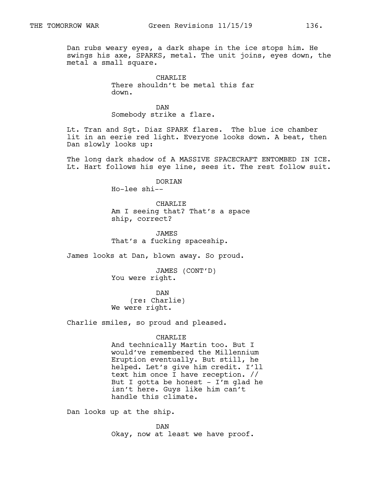Dan rubs weary eyes, a dark shape in the ice stops him. He swings his axe, SPARKS, metal. The unit joins, eyes down, the metal a small square.

> CHARLIE There shouldn't be metal this far down.

DAN Somebody strike a flare.

Lt. Tran and Sgt. Diaz SPARK flares. The blue ice chamber lit in an eerie red light. Everyone looks down. A beat, then Dan slowly looks up:

The long dark shadow of A MASSIVE SPACECRAFT ENTOMBED IN ICE. Lt. Hart follows his eye line, sees it. The rest follow suit.

> DORIAN Ho-lee shi--

CHARLIE Am I seeing that? That's a space ship, correct?

JAMES That's a fucking spaceship.

James looks at Dan, blown away. So proud.

JAMES (CONT'D) You were right.

DAN (re: Charlie) We were right.

Charlie smiles, so proud and pleased.

#### CHARLIE

And technically Martin too. But I would've remembered the Millennium Eruption eventually. But still, he helped. Let's give him credit. I'll text him once I have reception. // But I gotta be honest  $-$  I'm glad he isn't here. Guys like him can't handle this climate.

Dan looks up at the ship.

DAN Okay, now at least we have proof.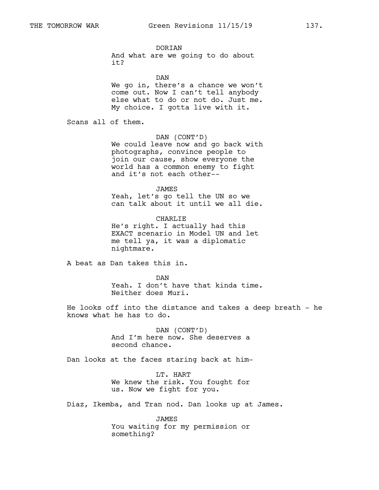DORIAN And what are we going to do about

DAN We go in, there's a chance we won't come out. Now I can't tell anybody else what to do or not do. Just me. My choice. I gotta live with it.

Scans all of them.

it?

DAN (CONT'D)

We could leave now and go back with photographs, convince people to join our cause, show everyone the world has a common enemy to fight and it's not each other--

JAMES

Yeah, let's go tell the UN so we can talk about it until we all die.

CHARLIE He's right. I actually had this EXACT scenario in Model UN and let me tell ya, it was a diplomatic nightmare.

A beat as Dan takes this in.

DAN Yeah. I don't have that kinda time. Neither does Muri.

He looks off into the distance and takes a deep breath - he knows what he has to do.

> DAN (CONT'D) And I'm here now. She deserves a second chance.

Dan looks at the faces staring back at him-

LT. HART We knew the risk. You fought for us. Now we fight for you.

Diaz, Ikemba, and Tran nod. Dan looks up at James.

JAMES You waiting for my permission or something?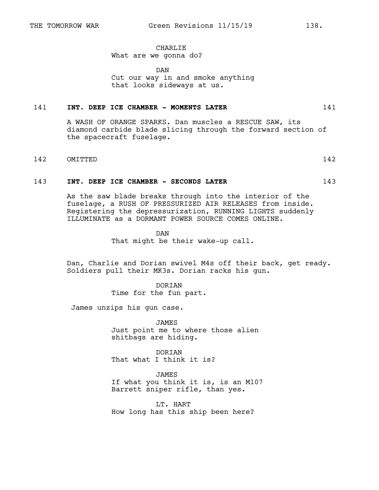# CHARLIE

## What are we gonna do?

DAN Cut our way in and smoke anything that looks sideways at us.

## 141 **INT. DEEP ICE CHAMBER - MOMENTS LATER** 141

A WASH OF ORANGE SPARKS. Dan muscles a RESCUE SAW, its diamond carbide blade slicing through the forward section of the spacecraft fuselage.

#### 142 OMITTED 142

### 143 **INT. DEEP ICE CHAMBER - SECONDS LATER** 143

As the saw blade breaks through into the interior of the fuselage, a RUSH OF PRESSURIZED AIR RELEASES from inside. Registering the depressurization, RUNNING LIGHTS suddenly ILLUMINATE as a DORMANT POWER SOURCE COMES ONLINE.

> DAN That might be their wake-up call.

Dan, Charlie and Dorian swivel M4s off their back, get ready. Soldiers pull their MK3s. Dorian racks his gun.

> DORIAN Time for the fun part.

James unzips his gun case.

JAMES Just point me to where those alien shitbags are hiding.

DORIAN That what I think it is?

JAMES If what you think it is, is an M107 Barrett sniper rifle, than yes.

LT. HART How long has this ship been here?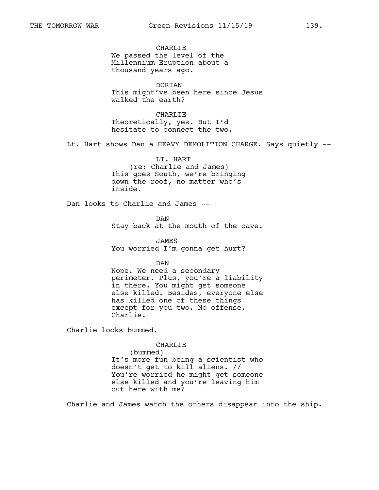CHARLIE We passed the level of the Millennium Eruption about a thousand years ago.

DORIAN This might've been here since Jesus walked the earth?

CHARLIE Theoretically, yes. But I'd hesitate to connect the two.

Lt. Hart shows Dan a HEAVY DEMOLITION CHARGE. Says quietly --

LT. HART (re; Charlie and James) This goes South, we're bringing down the roof, no matter who's inside.

Dan looks to Charlie and James --

DAN Stay back at the mouth of the cave.

JAMES You worried I'm gonna get hurt?

DAN

Nope. We need a secondary perimeter. Plus, you're a liability in there. You might get someone else killed. Besides, everyone else has killed one of these things except for you two. No offense, Charlie.

Charlie looks bummed.

CHARLIE

(bummed) It's more fun being a scientist who doesn't get to kill aliens. // You're worried he might get someone else killed and you're leaving him out here with me?

Charlie and James watch the others disappear into the ship.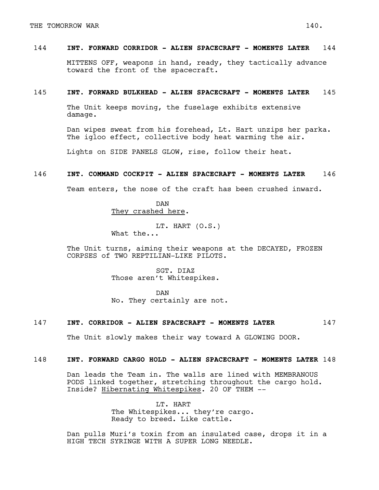# 144 **INT. FORWARD CORRIDOR - ALIEN SPACECRAFT - MOMENTS LATER** 144

MITTENS OFF, weapons in hand, ready, they tactically advance toward the front of the spacecraft.

## 145 **INT. FORWARD BULKHEAD - ALIEN SPACECRAFT - MOMENTS LATER** 145

The Unit keeps moving, the fuselage exhibits extensive damage.

Dan wipes sweat from his forehead, Lt. Hart unzips her parka. The igloo effect, collective body heat warming the air.

Lights on SIDE PANELS GLOW, rise, follow their heat.

# 146 **INT. COMMAND COCKPIT - ALIEN SPACECRAFT - MOMENTS LATER** 146

Team enters, the nose of the craft has been crushed inward.

DAN They crashed here.

LT. HART (O.S.) What the...

The Unit turns, aiming their weapons at the DECAYED, FROZEN CORPSES of TWO REPTILIAN-LIKE PILOTS.

> SGT. DIAZ Those aren't Whitespikes.

DAN No. They certainly are not.

# 147 **INT. CORRIDOR - ALIEN SPACECRAFT - MOMENTS LATER** 147

The Unit slowly makes their way toward A GLOWING DOOR.

# 148 **INT. FORWARD CARGO HOLD - ALIEN SPACECRAFT - MOMENTS LATER** 148

Dan leads the Team in. The walls are lined with MEMBRANOUS PODS linked together, stretching throughout the cargo hold. Inside? Hibernating Whitespikes. 20 OF THEM --

> LT. HART The Whitespikes... they're cargo. Ready to breed. Like cattle.

Dan pulls Muri's toxin from an insulated case, drops it in a HIGH TECH SYRINGE WITH A SUPER LONG NEEDLE.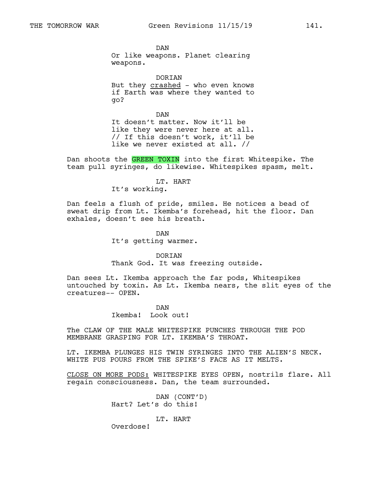DAN Or like weapons. Planet clearing weapons.

DORIAN But they crashed - who even knows if Earth was where they wanted to go?

DAN It doesn't matter. Now it'll be like they were never here at all. // If this doesn't work, it'll be like we never existed at all. //

Dan shoots the GREEN TOXIN into the first Whitespike. The team pull syringes, do likewise. Whitespikes spasm, melt.

LT. HART

It's working.

Dan feels a flush of pride, smiles. He notices a bead of sweat drip from Lt. Ikemba's forehead, hit the floor. Dan exhales, doesn't see his breath.

> DAN It's getting warmer.

DORIAN Thank God. It was freezing outside.

Dan sees Lt. Ikemba approach the far pods, Whitespikes untouched by toxin. As Lt. Ikemba nears, the slit eyes of the creatures-- OPEN.

> DAN Ikemba! Look out!

The CLAW OF THE MALE WHITESPIKE PUNCHES THROUGH THE POD MEMBRANE GRASPING FOR LT. IKEMBA'S THROAT.

LT. IKEMBA PLUNGES HIS TWIN SYRINGES INTO THE ALIEN'S NECK. WHITE PUS POURS FROM THE SPIKE'S FACE AS IT MELTS.

CLOSE ON MORE PODS: WHITESPIKE EYES OPEN, nostrils flare. All regain consciousness. Dan, the team surrounded.

> DAN (CONT'D) Hart? Let's do this!

> > LT. HART

Overdose!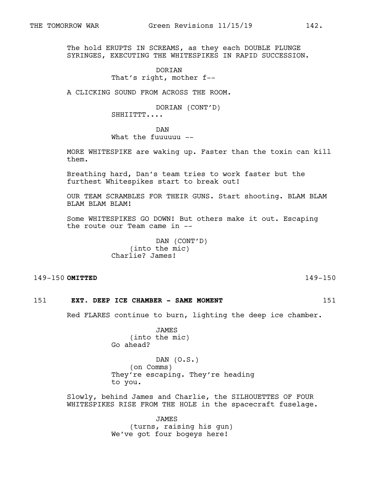The hold ERUPTS IN SCREAMS, as they each DOUBLE PLUNGE SYRINGES, EXECUTING THE WHITESPIKES IN RAPID SUCCESSION.

## **DORTAN** That's right, mother f--

A CLICKING SOUND FROM ACROSS THE ROOM.

DORIAN (CONT'D) SHHIITTT....

DAN

What the fuuuuuu --

MORE WHITESPIKE are waking up. Faster than the toxin can kill them.

Breathing hard, Dan's team tries to work faster but the furthest Whitespikes start to break out!

OUR TEAM SCRAMBLES FOR THEIR GUNS. Start shooting. BLAM BLAM BLAM BLAM BLAM!

Some WHITESPIKES GO DOWN! But others make it out. Escaping the route our Team came in --

> DAN (CONT'D) (into the mic) Charlie? James!

## 149-150 **OMITTED** 149-150

# 151 **EXT. DEEP ICE CHAMBER - SAME MOMENT** 151

Red FLARES continue to burn, lighting the deep ice chamber.

JAMES (into the mic) Go ahead?

DAN (O.S.) (on Comms) They're escaping. They're heading to you.

Slowly, behind James and Charlie, the SILHOUETTES OF FOUR WHITESPIKES RISE FROM THE HOLE in the spacecraft fuselage.

> JAMES (turns, raising his gun) We've got four bogeys here!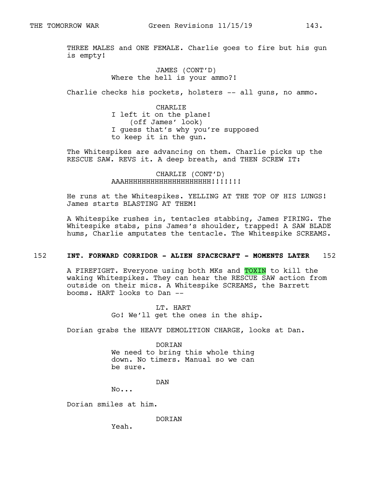THREE MALES and ONE FEMALE. Charlie goes to fire but his gun is empty!

# JAMES (CONT'D) Where the hell is your ammo?!

Charlie checks his pockets, holsters -- all guns, no ammo.

CHARLIE I left it on the plane! (off James' look) I guess that's why you're supposed to keep it in the gun.

The Whitespikes are advancing on them. Charlie picks up the RESCUE SAW. REVS it. A deep breath, and THEN SCREW IT:

> CHARLIE (CONT'D) AAAHHHHHHHHHHHHHHHHHHHH!!!!!!!

He runs at the Whitespikes. YELLING AT THE TOP OF HIS LUNGS! James starts BLASTING AT THEM!

A Whitespike rushes in, tentacles stabbing, James FIRING. The Whitespike stabs, pins James's shoulder, trapped! A SAW BLADE hums, Charlie amputates the tentacle. The Whitespike SCREAMS.

## 152 **INT. FORWARD CORRIDOR - ALIEN SPACECRAFT - MOMENTS LATER** 152

A FIREFIGHT. Everyone using both MKs and TOXIN to kill the waking Whitespikes. They can hear the RESCUE SAW action from outside on their mics. A Whitespike SCREAMS, the Barrett booms. HART looks to Dan --

> LT. HART Go! We'll get the ones in the ship.

Dorian grabs the HEAVY DEMOLITION CHARGE, looks at Dan.

DORIAN We need to bring this whole thing down. No timers. Manual so we can be sure.

DAN

No...

Dorian smiles at him.

DORIAN

Yeah.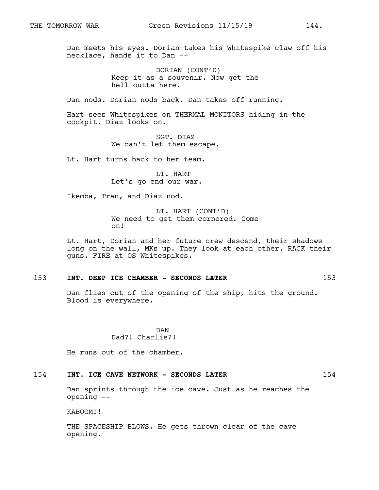Dan meets his eyes. Dorian takes his Whitespike claw off his necklace, hands it to Dan --

> DORIAN (CONT'D) Keep it as a souvenir. Now get the hell outta here.

Dan nods. Dorian nods back. Dan takes off running.

Hart sees Whitespikes on THERMAL MONITORS hiding in the cockpit. Diaz looks on.

> SGT. DIAZ We can't let them escape.

Lt. Hart turns back to her team.

LT. HART Let's go end our war.

Ikemba, Tran, and Diaz nod.

LT. HART (CONT'D) We need to get them cornered. Come on!

Lt. Hart, Dorian and her future crew descend, their shadows long on the wall, MKs up. They look at each other. RACK their guns. FIRE at OS Whitespikes.

### 153 **INT. DEEP ICE CHAMBER - SECONDS LATER** 153

Dan flies out of the opening of the ship, hits the ground. Blood is everywhere.

> DAN Dad?! Charlie?!

He runs out of the chamber.

## 154 **INT. ICE CAVE NETWORK - SECONDS LATER** 154

Dan sprints through the ice cave. Just as he reaches the opening --

KABOOM!!

THE SPACESHIP BLOWS. He gets thrown clear of the cave opening.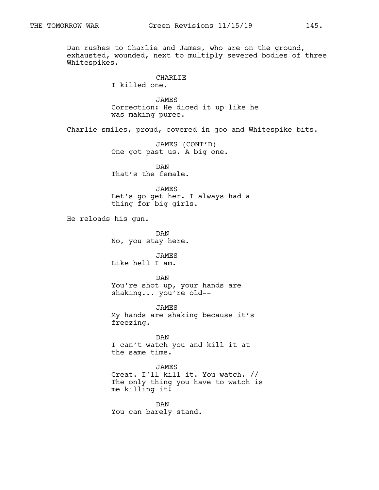Dan rushes to Charlie and James, who are on the ground, exhausted, wounded, next to multiply severed bodies of three Whitespikes.

## CHARLIE

I killed one.

JAMES Correction: He diced it up like he was making puree.

Charlie smiles, proud, covered in goo and Whitespike bits.

JAMES (CONT'D) One got past us. A big one.

DAN That's the female.

#### JAMES

Let's go get her. I always had a thing for big girls.

He reloads his gun.

DAN No, you stay here.

JAMES Like hell I am.

DAN You're shot up, your hands are shaking... you're old--

JAMES My hands are shaking because it's freezing.

DAN I can't watch you and kill it at the same time.

## JAMES

Great. I'll kill it. You watch. // The only thing you have to watch is me killing it!

DAN You can barely stand.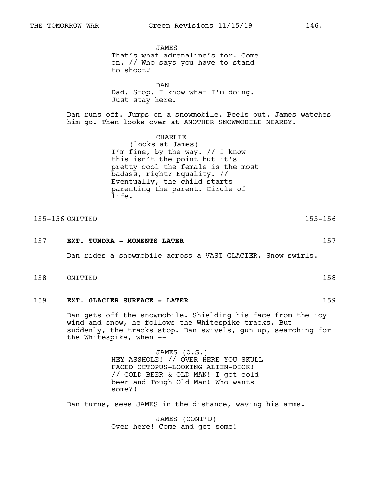JAMES That's what adrenaline's for. Come on. // Who says you have to stand to shoot?

DAN Dad. Stop. I know what I'm doing. Just stay here.

Dan runs off. Jumps on a snowmobile. Peels out. James watches him go. Then looks over at ANOTHER SNOWMOBILE NEARBY.

> CHARLIE (looks at James) I'm fine, by the way. // I know this isn't the point but it's pretty cool the female is the most badass, right? Equality. // Eventually, the child starts parenting the parent. Circle of life.

155-156 OMITTED 155-156

157 **EXT. TUNDRA - MOMENTS LATER** 157

Dan rides a snowmobile across a VAST GLACIER. Snow swirls.

- 158 OMITTED 158
- 159 **EXT. GLACIER SURFACE LATER** 159

Dan gets off the snowmobile. Shielding his face from the icy wind and snow, he follows the Whitespike tracks. But suddenly, the tracks stop. Dan swivels, gun up, searching for the Whitespike, when --

> JAMES (O.S.) HEY ASSHOLE! // OVER HERE YOU SKULL FACED OCTOPUS-LOOKING ALIEN-DICK! // COLD BEER & OLD MAN! I got cold beer and Tough Old Man! Who wants some?!

Dan turns, sees JAMES in the distance, waving his arms.

JAMES (CONT'D) Over here! Come and get some!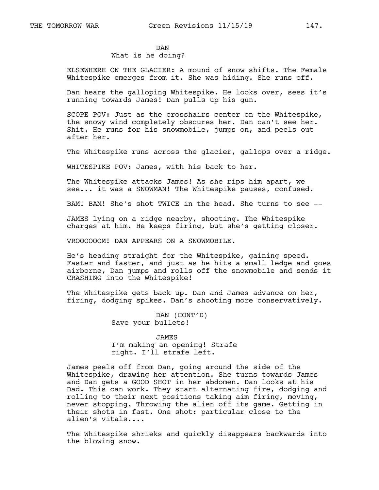DAN

# What is he doing?

ELSEWHERE ON THE GLACIER: A mound of snow shifts. The Female Whitespike emerges from it. She was hiding. She runs off.

Dan hears the galloping Whitespike. He looks over, sees it's running towards James! Dan pulls up his gun.

SCOPE POV: Just as the crosshairs center on the Whitespike, the snowy wind completely obscures her. Dan can't see her. Shit. He runs for his snowmobile, jumps on, and peels out after her.

The Whitespike runs across the glacier, gallops over a ridge.

WHITESPIKE POV: James, with his back to her.

The Whitespike attacks James! As she rips him apart, we see... it was a SNOWMAN! The Whitespike pauses, confused.

BAM! BAM! She's shot TWICE in the head. She turns to see --

JAMES lying on a ridge nearby, shooting. The Whitespike charges at him. He keeps firing, but she's getting closer.

VROOOOOOM! DAN APPEARS ON A SNOWMOBILE.

He's heading straight for the Whitespike, gaining speed. Faster and faster, and just as he hits a small ledge and goes airborne, Dan jumps and rolls off the snowmobile and sends it CRASHING into the Whitespike!

The Whitespike gets back up. Dan and James advance on her, firing, dodging spikes. Dan's shooting more conservatively.

> DAN (CONT'D) Save your bullets!

#### JAMES

I'm making an opening! Strafe right. I'll strafe left.

James peels off from Dan, going around the side of the Whitespike, drawing her attention. She turns towards James and Dan gets a GOOD SHOT in her abdomen. Dan looks at his Dad. This can work. They start alternating fire, dodging and rolling to their next positions taking aim firing, moving, never stopping. Throwing the alien off its game. Getting in their shots in fast. One shot: particular close to the alien's vitals....

The Whitespike shrieks and quickly disappears backwards into the blowing snow.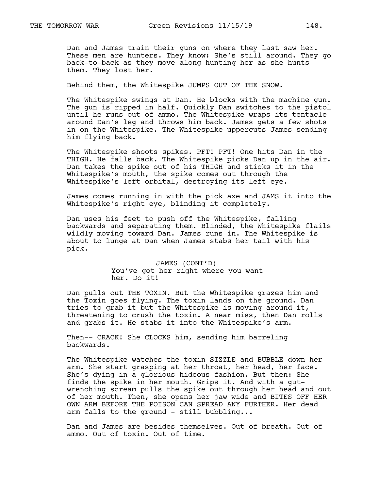Dan and James train their guns on where they last saw her. These men are hunters. They know: She's still around. They go back-to-back as they move along hunting her as she hunts them. They lost her.

Behind them, the Whitespike JUMPS OUT OF THE SNOW.

The Whitespike swings at Dan. He blocks with the machine gun. The gun is ripped in half. Quickly Dan switches to the pistol until he runs out of ammo. The Whitespike wraps its tentacle around Dan's leg and throws him back. James gets a few shots in on the Whitespike. The Whitespike uppercuts James sending him flying back.

The Whitespike shoots spikes. PFT! PFT! One hits Dan in the THIGH. He falls back. The Whitespike picks Dan up in the air. Dan takes the spike out of his THIGH and sticks it in the Whitespike's mouth, the spike comes out through the Whitespike's left orbital, destroying its left eye.

James comes running in with the pick axe and JAMS it into the Whitespike's right eye, blinding it completely.

Dan uses his feet to push off the Whitespike, falling backwards and separating them. Blinded, the Whitespike flails wildly moving toward Dan. James runs in. The Whitespike is about to lunge at Dan when James stabs her tail with his pick.

> JAMES (CONT'D) You've got her right where you want her. Do it!

Dan pulls out THE TOXIN. But the Whitespike grazes him and the Toxin goes flying. The toxin lands on the ground. Dan tries to grab it but the Whitespike is moving around it, threatening to crush the toxin. A near miss, then Dan rolls and grabs it. He stabs it into the Whitespike's arm.

Then-- CRACK! She CLOCKS him, sending him barreling backwards.

The Whitespike watches the toxin SIZZLE and BUBBLE down her arm. She start grasping at her throat, her head, her face. She's dying in a glorious hideous fashion. But then: She finds the spike in her mouth. Grips it. And with a gutwrenching scream pulls the spike out through her head and out of her mouth. Then, she opens her jaw wide and BITES OFF HER OWN ARM BEFORE THE POISON CAN SPREAD ANY FURTHER. Her dead arm falls to the ground - still bubbling...

Dan and James are besides themselves. Out of breath. Out of ammo. Out of toxin. Out of time.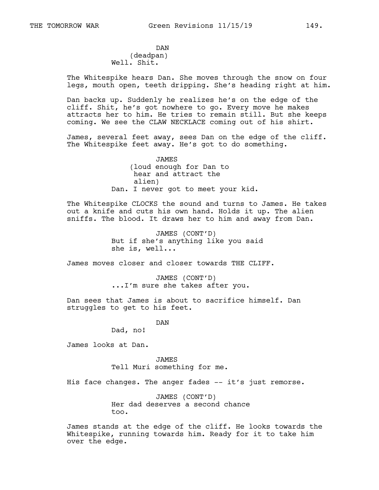DAN (deadpan) Well. Shit.

The Whitespike hears Dan. She moves through the snow on four legs, mouth open, teeth dripping. She's heading right at him.

Dan backs up. Suddenly he realizes he's on the edge of the cliff. Shit, he's got nowhere to go. Every move he makes attracts her to him. He tries to remain still. But she keeps coming. We see the CLAW NECKLACE coming out of his shirt.

James, several feet away, sees Dan on the edge of the cliff. The Whitespike feet away. He's got to do something.

> JAMES (loud enough for Dan to hear and attract the alien) Dan. I never got to meet your kid.

The Whitespike CLOCKS the sound and turns to James. He takes out a knife and cuts his own hand. Holds it up. The alien sniffs. The blood. It draws her to him and away from Dan.

> JAMES (CONT'D) But if she's anything like you said she is, well...

James moves closer and closer towards THE CLIFF.

JAMES (CONT'D) ...I'm sure she takes after you.

Dan sees that James is about to sacrifice himself. Dan struggles to get to his feet.

> DAN Dad, no!

James looks at Dan.

JAMES Tell Muri something for me.

His face changes. The anger fades -- it's just remorse.

JAMES (CONT'D) Her dad deserves a second chance too.

James stands at the edge of the cliff. He looks towards the Whitespike, running towards him. Ready for it to take him over the edge.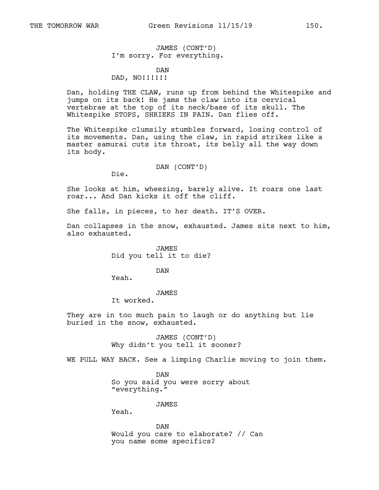# JAMES (CONT'D) I'm sorry. For everything.

## DAN DAD, NO!!!!!!

Dan, holding THE CLAW, runs up from behind the Whitespike and jumps on its back! He jams the claw into its cervical vertebrae at the top of its neck/base of its skull. The Whitespike STOPS, SHRIEKS IN PAIN. Dan flies off.

The Whitespike clumsily stumbles forward, losing control of its movements. Dan, using the claw, in rapid strikes like a master samurai cuts its throat, its belly all the way down its body.

DAN (CONT'D)

Die.

She looks at him, wheezing, barely alive. It roars one last roar... And Dan kicks it off the cliff.

She falls, in pieces, to her death. IT'S OVER.

Dan collapses in the snow, exhausted. James sits next to him, also exhausted.

> JAMES Did you tell it to die?

> > DAN

Yeah.

## JAMES

It worked.

They are in too much pain to laugh or do anything but lie buried in the snow, exhausted.

> JAMES (CONT'D) Why didn't you tell it sooner?

WE PULL WAY BACK. See a limping Charlie moving to join them.

DAN So you said you were sorry about "everything."

JAMES

Yeah.

DAN Would you care to elaborate? // Can you name some specifics?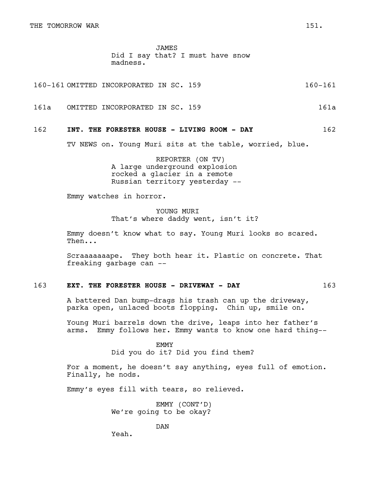JAMES Did I say that? I must have snow madness.

160-161 OMITTED INCORPORATED IN SC. 159 160-161

161a OMITTED INCORPORATED IN SC. 159 161a

### 162 **INT. THE FORESTER HOUSE - LIVING ROOM - DAY** 162

TV NEWS on. Young Muri sits at the table, worried, blue.

REPORTER (ON TV) A large underground explosion rocked a glacier in a remote Russian territory yesterday --

Emmy watches in horror.

YOUNG MURI That's where daddy went, isn't it?

Emmy doesn't know what to say. Young Muri looks so scared. Then...

Scraaaaaaape. They both hear it. Plastic on concrete. That freaking garbage can --

# 163 **EXT. THE FORESTER HOUSE - DRIVEWAY - DAY** 163

A battered Dan bump-drags his trash can up the driveway, parka open, unlaced boots flopping. Chin up, smile on.

Young Muri barrels down the drive, leaps into her father's arms. Emmy follows her. Emmy wants to know one hard thing--

> EMMY Did you do it? Did you find them?

For a moment, he doesn't say anything, eyes full of emotion. Finally, he nods.

Emmy's eyes fill with tears, so relieved.

EMMY (CONT'D) We're going to be okay?

DAN

Yeah.